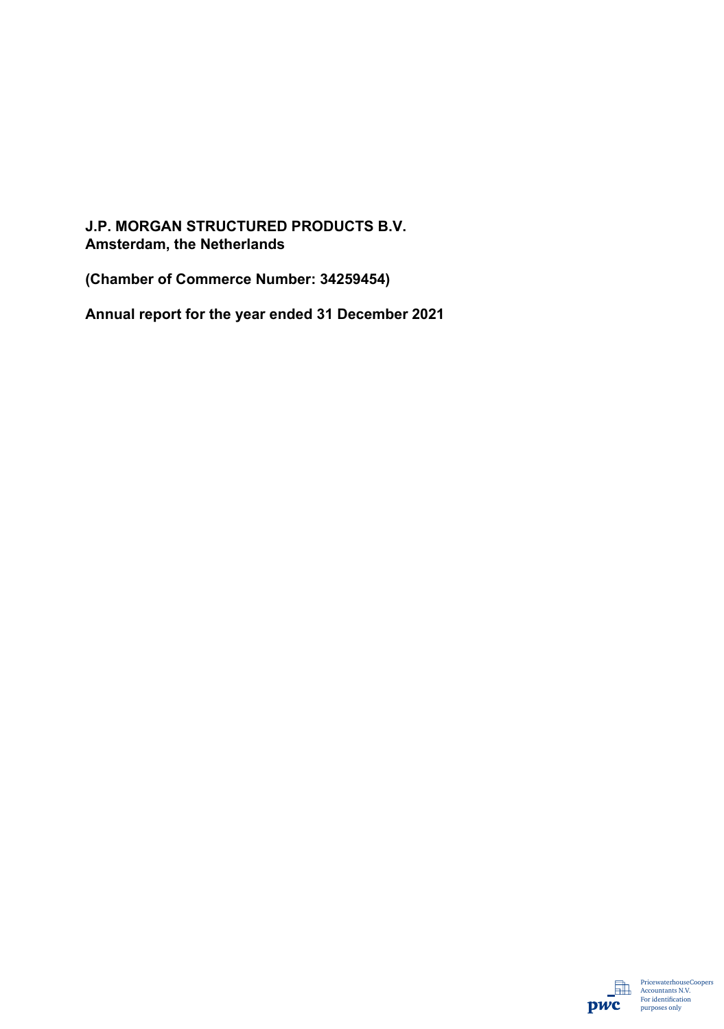## **J.P. MORGAN STRUCTURED PRODUCTS B.V. Amsterdam, the Netherlands**

**(Chamber of Commerce Number: 34259454)**

**Annual report for the year ended 31 December 2021** 

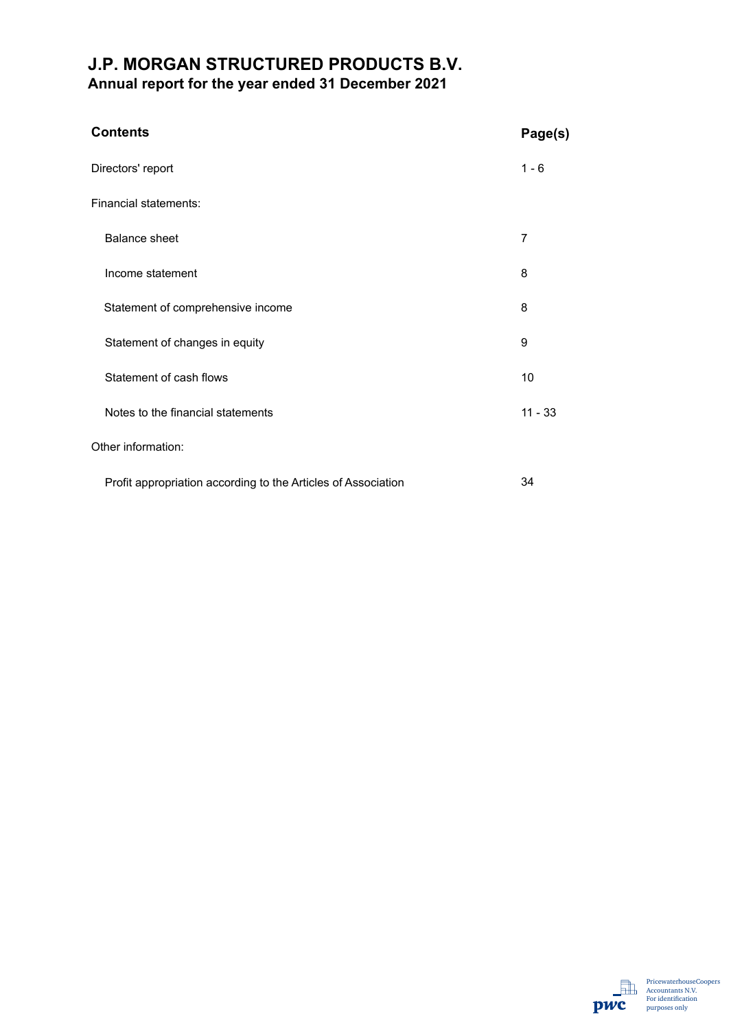## **J.P. MORGAN STRUCTURED PRODUCTS B.V. Annual report for the year ended 31 December 2021**

| <b>Contents</b>                                               | Page(s)   |
|---------------------------------------------------------------|-----------|
| Directors' report                                             | $1 - 6$   |
| Financial statements:                                         |           |
| <b>Balance sheet</b>                                          | 7         |
| Income statement                                              | 8         |
| Statement of comprehensive income                             | 8         |
| Statement of changes in equity                                | 9         |
| Statement of cash flows                                       | 10        |
| Notes to the financial statements                             | $11 - 33$ |
| Other information:                                            |           |
| Profit appropriation according to the Articles of Association | 34        |

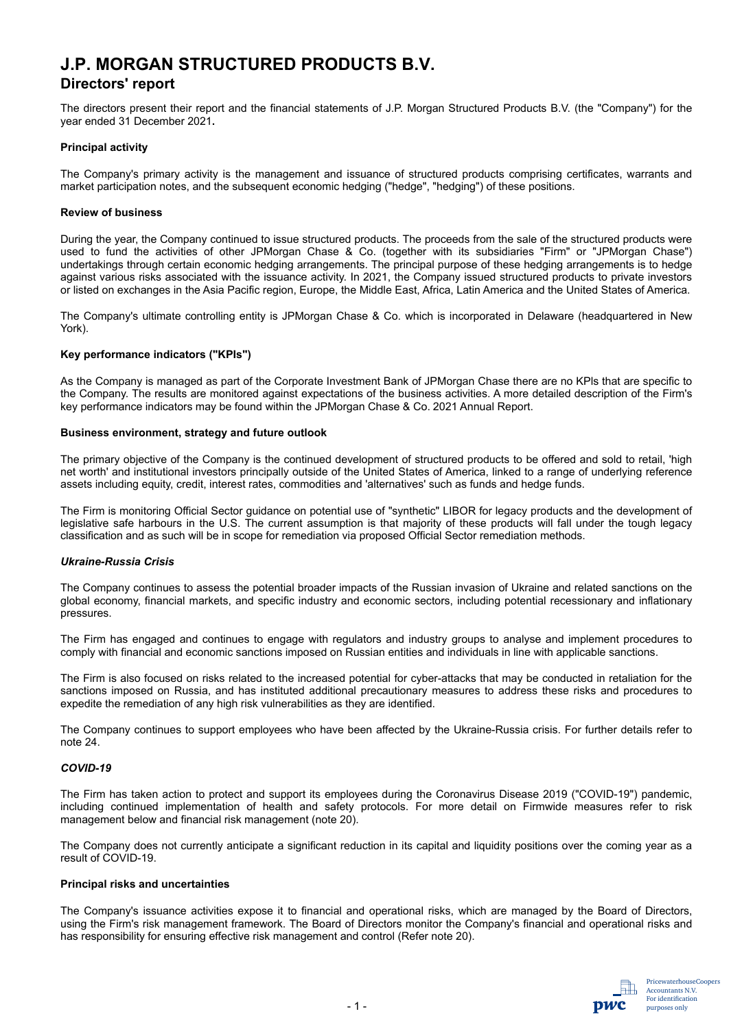### **Directors' report**

The directors present their report and the financial statements of J.P. Morgan Structured Products B.V. (the "Company") for the year ended 31 December 2021**.**

#### **Principal activity**

The Company's primary activity is the management and issuance of structured products comprising certificates, warrants and market participation notes, and the subsequent economic hedging ("hedge", "hedging") of these positions.

#### **Review of business**

During the year, the Company continued to issue structured products. The proceeds from the sale of the structured products were used to fund the activities of other JPMorgan Chase & Co. (together with its subsidiaries "Firm" or "JPMorgan Chase") undertakings through certain economic hedging arrangements. The principal purpose of these hedging arrangements is to hedge against various risks associated with the issuance activity. In 2021, the Company issued structured products to private investors or listed on exchanges in the Asia Pacific region, Europe, the Middle East, Africa, Latin America and the United States of America.

The Company's ultimate controlling entity is JPMorgan Chase & Co. which is incorporated in Delaware (headquartered in New York).

#### **Key performance indicators ("KPIs")**

As the Company is managed as part of the Corporate Investment Bank of JPMorgan Chase there are no KPls that are specific to the Company. The results are monitored against expectations of the business activities. A more detailed description of the Firm's key performance indicators may be found within the JPMorgan Chase & Co. 2021 Annual Report.

#### **Business environment, strategy and future outlook**

The primary objective of the Company is the continued development of structured products to be offered and sold to retail, 'high net worth' and institutional investors principally outside of the United States of America, linked to a range of underlying reference assets including equity, credit, interest rates, commodities and 'alternatives' such as funds and hedge funds.

The Firm is monitoring Official Sector guidance on potential use of "synthetic" LIBOR for legacy products and the development of legislative safe harbours in the U.S. The current assumption is that majority of these products will fall under the tough legacy classification and as such will be in scope for remediation via proposed Official Sector remediation methods.

#### *Ukraine-Russia Crisis*

The Company continues to assess the potential broader impacts of the Russian invasion of Ukraine and related sanctions on the global economy, financial markets, and specific industry and economic sectors, including potential recessionary and inflationary pressures.

The Firm has engaged and continues to engage with regulators and industry groups to analyse and implement procedures to comply with financial and economic sanctions imposed on Russian entities and individuals in line with applicable sanctions.

The Firm is also focused on risks related to the increased potential for cyber-attacks that may be conducted in retaliation for the sanctions imposed on Russia, and has instituted additional precautionary measures to address these risks and procedures to expedite the remediation of any high risk vulnerabilities as they are identified.

The Company continues to support employees who have been affected by the Ukraine-Russia crisis. For further details refer to note 24.

#### *COVID-19*

The Firm has taken action to protect and support its employees during the Coronavirus Disease 2019 ("COVID-19") pandemic, including continued implementation of health and safety protocols. For more detail on Firmwide measures refer to risk management below and financial risk management (note 20).

The Company does not currently anticipate a significant reduction in its capital and liquidity positions over the coming year as a result of COVID-19.

#### **Principal risks and uncertainties**

The Company's issuance activities expose it to financial and operational risks, which are managed by the Board of Directors, using the Firm's risk management framework. The Board of Directors monitor the Company's financial and operational risks and has responsibility for ensuring effective risk management and control (Refer note 20).

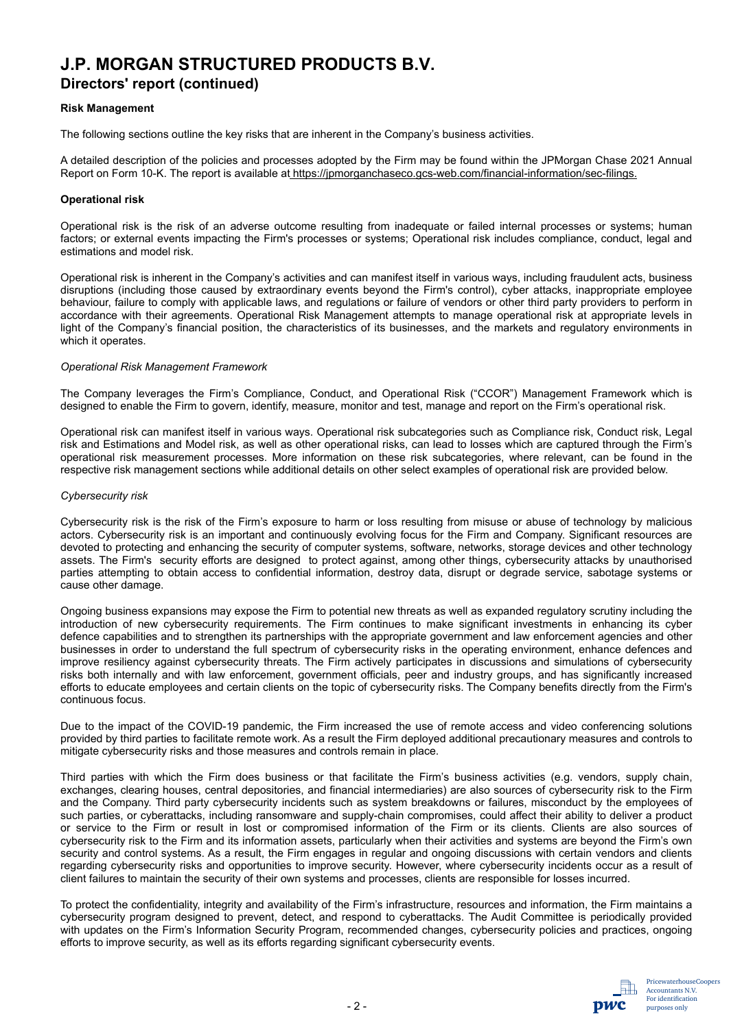### **Directors' report (continued)**

#### **Risk Management**

The following sections outline the key risks that are inherent in the Company's business activities.

A detailed description of the policies and processes adopted by the Firm may be found within the JPMorgan Chase 2021 Annual Report on Form 10-K. The report is available at https://jpmorganchaseco.gcs-web.com/financial-information/sec-filings.

#### **Operational risk**

Operational risk is the risk of an adverse outcome resulting from inadequate or failed internal processes or systems; human factors; or external events impacting the Firm's processes or systems; Operational risk includes compliance, conduct, legal and estimations and model risk.

Operational risk is inherent in the Company's activities and can manifest itself in various ways, including fraudulent acts, business disruptions (including those caused by extraordinary events beyond the Firm's control), cyber attacks, inappropriate employee behaviour, failure to comply with applicable laws, and regulations or failure of vendors or other third party providers to perform in accordance with their agreements. Operational Risk Management attempts to manage operational risk at appropriate levels in light of the Company's financial position, the characteristics of its businesses, and the markets and regulatory environments in which it operates.

#### *Operational Risk Management Framework*

The Company leverages the Firm's Compliance, Conduct, and Operational Risk ("CCOR") Management Framework which is designed to enable the Firm to govern, identify, measure, monitor and test, manage and report on the Firm's operational risk.

Operational risk can manifest itself in various ways. Operational risk subcategories such as Compliance risk, Conduct risk, Legal risk and Estimations and Model risk, as well as other operational risks, can lead to losses which are captured through the Firm's operational risk measurement processes. More information on these risk subcategories, where relevant, can be found in the respective risk management sections while additional details on other select examples of operational risk are provided below.

#### *Cybersecurity risk*

Cybersecurity risk is the risk of the Firm's exposure to harm or loss resulting from misuse or abuse of technology by malicious actors. Cybersecurity risk is an important and continuously evolving focus for the Firm and Company. Significant resources are devoted to protecting and enhancing the security of computer systems, software, networks, storage devices and other technology assets. The Firm's security efforts are designed to protect against, among other things, cybersecurity attacks by unauthorised parties attempting to obtain access to confidential information, destroy data, disrupt or degrade service, sabotage systems or cause other damage.

Ongoing business expansions may expose the Firm to potential new threats as well as expanded regulatory scrutiny including the introduction of new cybersecurity requirements. The Firm continues to make significant investments in enhancing its cyber defence capabilities and to strengthen its partnerships with the appropriate government and law enforcement agencies and other businesses in order to understand the full spectrum of cybersecurity risks in the operating environment, enhance defences and improve resiliency against cybersecurity threats. The Firm actively participates in discussions and simulations of cybersecurity risks both internally and with law enforcement, government officials, peer and industry groups, and has significantly increased efforts to educate employees and certain clients on the topic of cybersecurity risks. The Company benefits directly from the Firm's continuous focus.

Due to the impact of the COVID-19 pandemic, the Firm increased the use of remote access and video conferencing solutions provided by third parties to facilitate remote work. As a result the Firm deployed additional precautionary measures and controls to mitigate cybersecurity risks and those measures and controls remain in place.

Third parties with which the Firm does business or that facilitate the Firm's business activities (e.g. vendors, supply chain, exchanges, clearing houses, central depositories, and financial intermediaries) are also sources of cybersecurity risk to the Firm and the Company. Third party cybersecurity incidents such as system breakdowns or failures, misconduct by the employees of such parties, or cyberattacks, including ransomware and supply-chain compromises, could affect their ability to deliver a product or service to the Firm or result in lost or compromised information of the Firm or its clients. Clients are also sources of cybersecurity risk to the Firm and its information assets, particularly when their activities and systems are beyond the Firm's own security and control systems. As a result, the Firm engages in regular and ongoing discussions with certain vendors and clients regarding cybersecurity risks and opportunities to improve security. However, where cybersecurity incidents occur as a result of client failures to maintain the security of their own systems and processes, clients are responsible for losses incurred.

To protect the confidentiality, integrity and availability of the Firm's infrastructure, resources and information, the Firm maintains a cybersecurity program designed to prevent, detect, and respond to cyberattacks. The Audit Committee is periodically provided with updates on the Firm's Information Security Program, recommended changes, cybersecurity policies and practices, ongoing efforts to improve security, as well as its efforts regarding significant cybersecurity events.

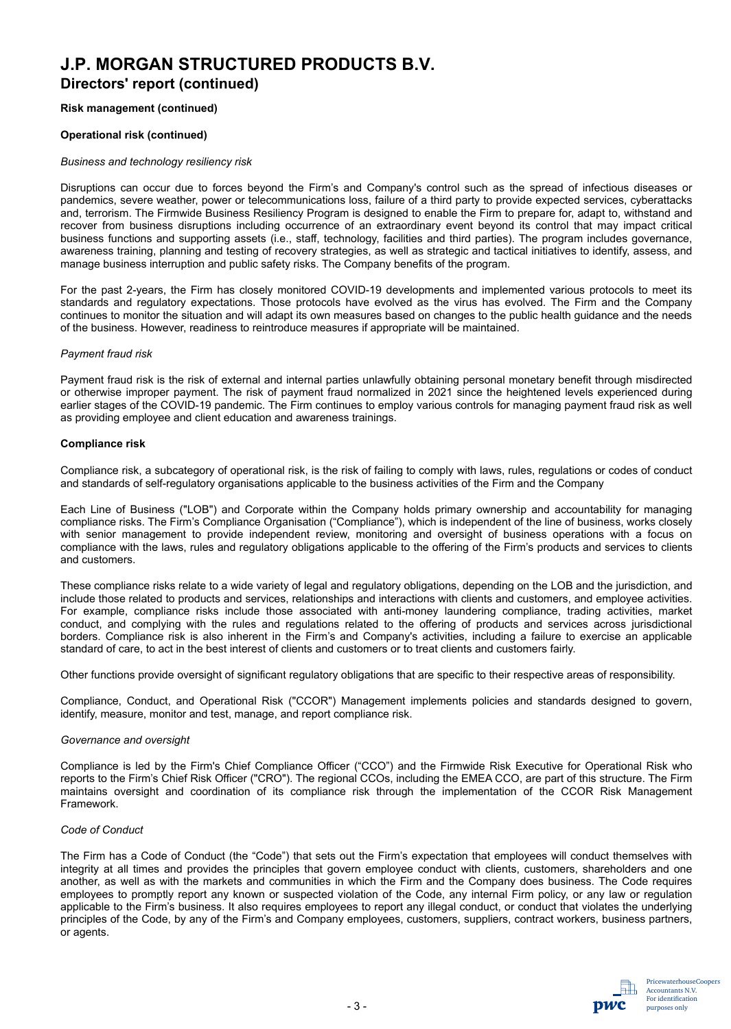## **J.P. MORGAN STRUCTURED PRODUCTS B.V. Directors' report (continued)**

#### **Risk management (continued)**

#### **Operational risk (continued)**

#### *Business and technology resiliency risk*

Disruptions can occur due to forces beyond the Firm's and Company's control such as the spread of infectious diseases or pandemics, severe weather, power or telecommunications loss, failure of a third party to provide expected services, cyberattacks and, terrorism. The Firmwide Business Resiliency Program is designed to enable the Firm to prepare for, adapt to, withstand and recover from business disruptions including occurrence of an extraordinary event beyond its control that may impact critical business functions and supporting assets (i.e., staff, technology, facilities and third parties). The program includes governance, awareness training, planning and testing of recovery strategies, as well as strategic and tactical initiatives to identify, assess, and manage business interruption and public safety risks. The Company benefits of the program.

For the past 2-years, the Firm has closely monitored COVID-19 developments and implemented various protocols to meet its standards and regulatory expectations. Those protocols have evolved as the virus has evolved. The Firm and the Company continues to monitor the situation and will adapt its own measures based on changes to the public health guidance and the needs of the business. However, readiness to reintroduce measures if appropriate will be maintained.

#### *Payment fraud risk*

Payment fraud risk is the risk of external and internal parties unlawfully obtaining personal monetary benefit through misdirected or otherwise improper payment. The risk of payment fraud normalized in 2021 since the heightened levels experienced during earlier stages of the COVID-19 pandemic. The Firm continues to employ various controls for managing payment fraud risk as well as providing employee and client education and awareness trainings.

#### **Compliance risk**

Compliance risk, a subcategory of operational risk, is the risk of failing to comply with laws, rules, regulations or codes of conduct and standards of self-regulatory organisations applicable to the business activities of the Firm and the Company

Each Line of Business ("LOB") and Corporate within the Company holds primary ownership and accountability for managing compliance risks. The Firm's Compliance Organisation ("Compliance"), which is independent of the line of business, works closely with senior management to provide independent review, monitoring and oversight of business operations with a focus on compliance with the laws, rules and regulatory obligations applicable to the offering of the Firm's products and services to clients and customers.

These compliance risks relate to a wide variety of legal and regulatory obligations, depending on the LOB and the jurisdiction, and include those related to products and services, relationships and interactions with clients and customers, and employee activities. For example, compliance risks include those associated with anti-money laundering compliance, trading activities, market conduct, and complying with the rules and regulations related to the offering of products and services across jurisdictional borders. Compliance risk is also inherent in the Firm's and Company's activities, including a failure to exercise an applicable standard of care, to act in the best interest of clients and customers or to treat clients and customers fairly.

Other functions provide oversight of significant regulatory obligations that are specific to their respective areas of responsibility.

Compliance, Conduct, and Operational Risk ("CCOR") Management implements policies and standards designed to govern, identify, measure, monitor and test, manage, and report compliance risk.

#### *Governance and oversight*

Compliance is led by the Firm's Chief Compliance Officer ("CCO") and the Firmwide Risk Executive for Operational Risk who reports to the Firm's Chief Risk Officer ("CRO"). The regional CCOs, including the EMEA CCO, are part of this structure. The Firm maintains oversight and coordination of its compliance risk through the implementation of the CCOR Risk Management Framework.

#### *Code of Conduct*

The Firm has a Code of Conduct (the "Code") that sets out the Firm's expectation that employees will conduct themselves with integrity at all times and provides the principles that govern employee conduct with clients, customers, shareholders and one another, as well as with the markets and communities in which the Firm and the Company does business. The Code requires employees to promptly report any known or suspected violation of the Code, any internal Firm policy, or any law or regulation applicable to the Firm's business. It also requires employees to report any illegal conduct, or conduct that violates the underlying principles of the Code, by any of the Firm's and Company employees, customers, suppliers, contract workers, business partners, or agents.

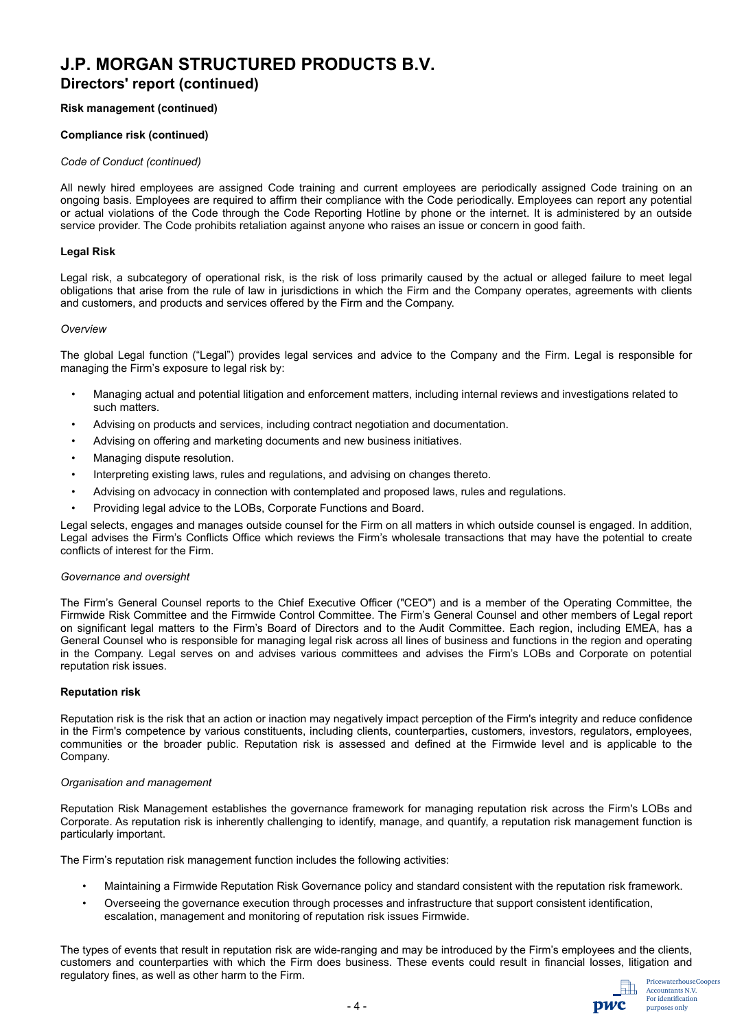## **J.P. MORGAN STRUCTURED PRODUCTS B.V. Directors' report (continued)**

#### **Risk management (continued)**

#### **Compliance risk (continued)**

#### *Code of Conduct (continued)*

All newly hired employees are assigned Code training and current employees are periodically assigned Code training on an ongoing basis. Employees are required to affirm their compliance with the Code periodically. Employees can report any potential or actual violations of the Code through the Code Reporting Hotline by phone or the internet. It is administered by an outside service provider. The Code prohibits retaliation against anyone who raises an issue or concern in good faith.

#### **Legal Risk**

Legal risk, a subcategory of operational risk, is the risk of loss primarily caused by the actual or alleged failure to meet legal obligations that arise from the rule of law in jurisdictions in which the Firm and the Company operates, agreements with clients and customers, and products and services offered by the Firm and the Company.

#### *Overview*

The global Legal function ("Legal") provides legal services and advice to the Company and the Firm. Legal is responsible for managing the Firm's exposure to legal risk by:

- Managing actual and potential litigation and enforcement matters, including internal reviews and investigations related to such matters.
- Advising on products and services, including contract negotiation and documentation.
- Advising on offering and marketing documents and new business initiatives.
- Managing dispute resolution.
- Interpreting existing laws, rules and regulations, and advising on changes thereto.
- Advising on advocacy in connection with contemplated and proposed laws, rules and regulations.
- Providing legal advice to the LOBs, Corporate Functions and Board.

Legal selects, engages and manages outside counsel for the Firm on all matters in which outside counsel is engaged. In addition, Legal advises the Firm's Conflicts Office which reviews the Firm's wholesale transactions that may have the potential to create conflicts of interest for the Firm.

#### *Governance and oversight*

The Firm's General Counsel reports to the Chief Executive Officer ("CEO") and is a member of the Operating Committee, the Firmwide Risk Committee and the Firmwide Control Committee. The Firm's General Counsel and other members of Legal report on significant legal matters to the Firm's Board of Directors and to the Audit Committee. Each region, including EMEA, has a General Counsel who is responsible for managing legal risk across all lines of business and functions in the region and operating in the Company. Legal serves on and advises various committees and advises the Firm's LOBs and Corporate on potential reputation risk issues.

#### **Reputation risk**

Reputation risk is the risk that an action or inaction may negatively impact perception of the Firm's integrity and reduce confidence in the Firm's competence by various constituents, including clients, counterparties, customers, investors, regulators, employees, communities or the broader public. Reputation risk is assessed and defined at the Firmwide level and is applicable to the Company.

#### *Organisation and management*

Reputation Risk Management establishes the governance framework for managing reputation risk across the Firm's LOBs and Corporate. As reputation risk is inherently challenging to identify, manage, and quantify, a reputation risk management function is particularly important.

The Firm's reputation risk management function includes the following activities:

- Maintaining a Firmwide Reputation Risk Governance policy and standard consistent with the reputation risk framework.
- Overseeing the governance execution through processes and infrastructure that support consistent identification, escalation, management and monitoring of reputation risk issues Firmwide.

The types of events that result in reputation risk are wide-ranging and may be introduced by the Firm's employees and the clients, customers and counterparties with which the Firm does business. These events could result in financial losses, litigation and regulatory fines, as well as other harm to the Firm.

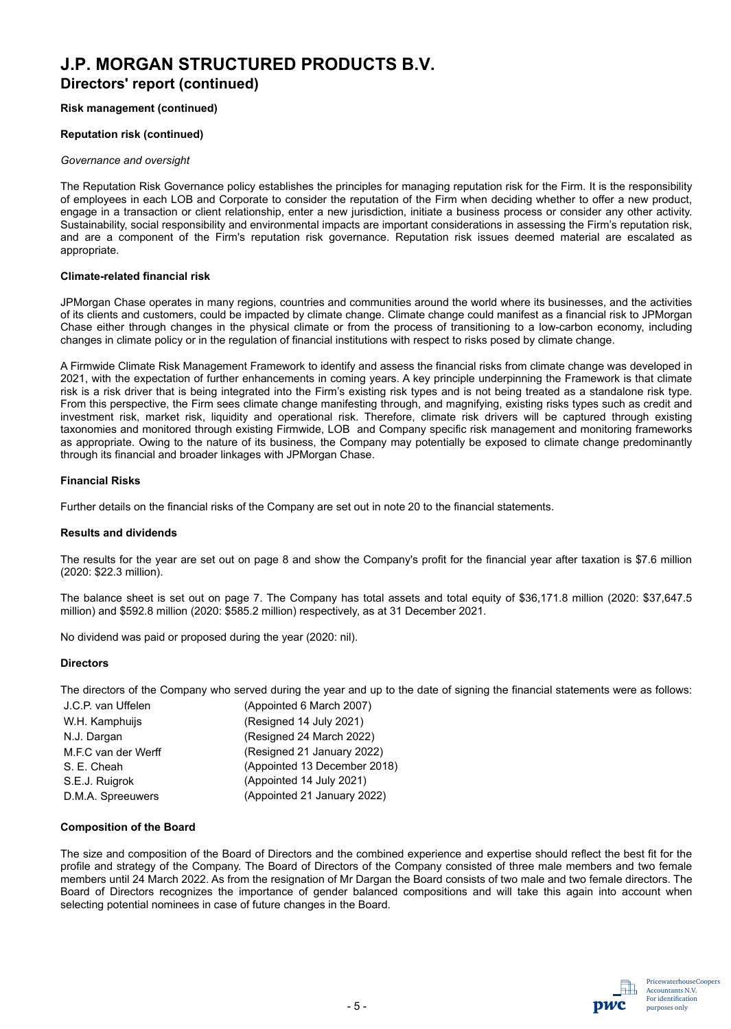## **J.P. MORGAN STRUCTURED PRODUCTS B.V. Directors' report (continued)**

#### **Risk management (continued)**

#### **Reputation risk (continued)**

#### *Governance and oversight*

The Reputation Risk Governance policy establishes the principles for managing reputation risk for the Firm. It is the responsibility of employees in each LOB and Corporate to consider the reputation of the Firm when deciding whether to offer a new product, engage in a transaction or client relationship, enter a new jurisdiction, initiate a business process or consider any other activity. Sustainability, social responsibility and environmental impacts are important considerations in assessing the Firm's reputation risk, and are a component of the Firm's reputation risk governance. Reputation risk issues deemed material are escalated as appropriate.

#### **Climate-related financial risk**

JPMorgan Chase operates in many regions, countries and communities around the world where its businesses, and the activities of its clients and customers, could be impacted by climate change. Climate change could manifest as a financial risk to JPMorgan Chase either through changes in the physical climate or from the process of transitioning to a low-carbon economy, including changes in climate policy or in the regulation of financial institutions with respect to risks posed by climate change.

A Firmwide Climate Risk Management Framework to identify and assess the financial risks from climate change was developed in 2021, with the expectation of further enhancements in coming years. A key principle underpinning the Framework is that climate risk is a risk driver that is being integrated into the Firm's existing risk types and is not being treated as a standalone risk type. From this perspective, the Firm sees climate change manifesting through, and magnifying, existing risks types such as credit and investment risk, market risk, liquidity and operational risk. Therefore, climate risk drivers will be captured through existing taxonomies and monitored through existing Firmwide, LOB and Company specific risk management and monitoring frameworks as appropriate. Owing to the nature of its business, the Company may potentially be exposed to climate change predominantly through its financial and broader linkages with JPMorgan Chase.

#### **Financial Risks**

Further details on the financial risks of the Company are set out in note 20 to the financial statements.

#### **Results and dividends**

The results for the year are set out on page 8 and show the Company's profit for the financial year after taxation is \$7.6 million (2020: \$22.3 million).

The balance sheet is set out on page 7. The Company has total assets and total equity of \$36,171.8 million (2020: \$37,647.5 million) and \$592.8 million (2020: \$585.2 million) respectively, as at 31 December 2021.

No dividend was paid or proposed during the year (2020: nil).

#### **Directors**

The directors of the Company who served during the year and up to the date of signing the financial statements were as follows:

| J.C.P. van Uffelen  | (Appointed 6 March 2007)     |
|---------------------|------------------------------|
| W.H. Kamphuijs      | (Resigned 14 July 2021)      |
| N.J. Dargan         | (Resigned 24 March 2022)     |
| M.F.C van der Werff | (Resigned 21 January 2022)   |
| S. E. Cheah         | (Appointed 13 December 2018) |
| S.E.J. Ruigrok      | (Appointed 14 July 2021)     |
| D.M.A. Spreeuwers   | (Appointed 21 January 2022)  |

#### **Composition of the Board**

The size and composition of the Board of Directors and the combined experience and expertise should reflect the best fit for the profile and strategy of the Company. The Board of Directors of the Company consisted of three male members and two female members until 24 March 2022. As from the resignation of Mr Dargan the Board consists of two male and two female directors. The Board of Directors recognizes the importance of gender balanced compositions and will take this again into account when selecting potential nominees in case of future changes in the Board.

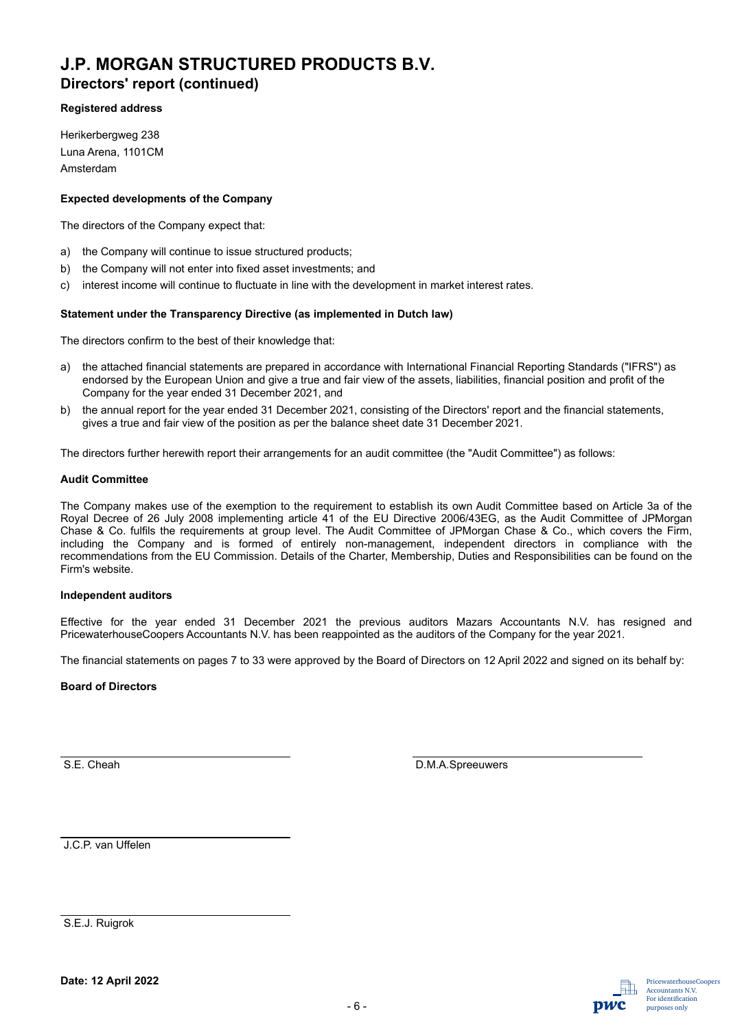**Directors' report (continued)**

#### **Registered address**

Herikerbergweg 238 Luna Arena, 1101CM Amsterdam

#### **Expected developments of the Company**

The directors of the Company expect that:

- a) the Company will continue to issue structured products;
- b) the Company will not enter into fixed asset investments; and
- c) interest income will continue to fluctuate in line with the development in market interest rates.

#### **Statement under the Transparency Directive (as implemented in Dutch law)**

The directors confirm to the best of their knowledge that:

- a) the attached financial statements are prepared in accordance with International Financial Reporting Standards ("IFRS") as endorsed by the European Union and give a true and fair view of the assets, liabilities, financial position and profit of the Company for the year ended 31 December 2021, and
- b) the annual report for the year ended 31 December 2021, consisting of the Directors' report and the financial statements, gives a true and fair view of the position as per the balance sheet date 31 December 2021.

The directors further herewith report their arrangements for an audit committee (the "Audit Committee") as follows:

#### **Audit Committee**

The Company makes use of the exemption to the requirement to establish its own Audit Committee based on Article 3a of the Royal Decree of 26 July 2008 implementing article 41 of the EU Directive 2006/43EG, as the Audit Committee of JPMorgan Chase & Co. fulfils the requirements at group level. The Audit Committee of JPMorgan Chase & Co., which covers the Firm, including the Company and is formed of entirely non-management, independent directors in compliance with the recommendations from the EU Commission. Details of the Charter, Membership, Duties and Responsibilities can be found on the Firm's website.

#### **Independent auditors**

Effective for the year ended 31 December 2021 the previous auditors Mazars Accountants N.V. has resigned and PricewaterhouseCoopers Accountants N.V. has been reappointed as the auditors of the Company for the year 2021.

The financial statements on pages 7 to 33 were approved by the Board of Directors on 12 April 2022 and signed on its behalf by:

#### **Board of Directors**

S.E. Cheah D.M.A.Spreeuwers

J.C.P. van Uffelen

S.E.J. Ruigrok

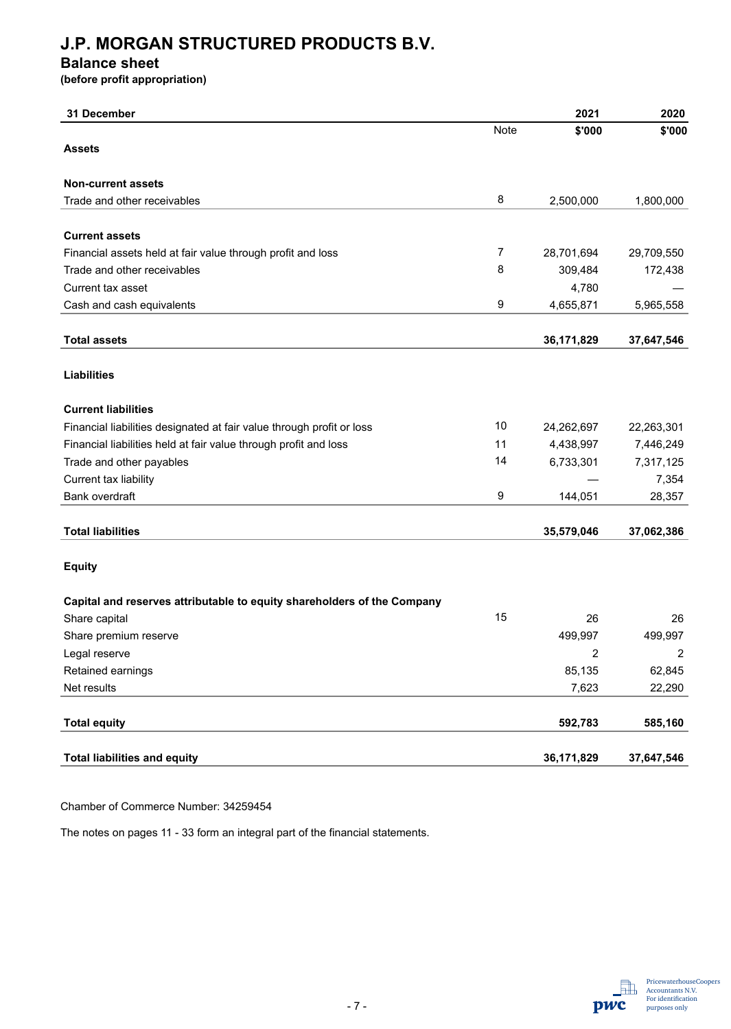### **Balance sheet**

**(before profit appropriation)**

| 31 December                                                             |      | 2021       | 2020           |
|-------------------------------------------------------------------------|------|------------|----------------|
|                                                                         | Note | \$'000     | \$'000         |
| <b>Assets</b>                                                           |      |            |                |
| <b>Non-current assets</b>                                               |      |            |                |
| Trade and other receivables                                             | 8    | 2,500,000  | 1,800,000      |
| <b>Current assets</b>                                                   |      |            |                |
| Financial assets held at fair value through profit and loss             | 7    | 28,701,694 | 29,709,550     |
| Trade and other receivables                                             | 8    | 309,484    | 172,438        |
| Current tax asset                                                       |      | 4,780      |                |
| Cash and cash equivalents                                               | 9    | 4,655,871  | 5,965,558      |
|                                                                         |      |            |                |
| <b>Total assets</b>                                                     |      | 36,171,829 | 37,647,546     |
| <b>Liabilities</b>                                                      |      |            |                |
|                                                                         |      |            |                |
| <b>Current liabilities</b>                                              |      |            |                |
| Financial liabilities designated at fair value through profit or loss   | 10   | 24,262,697 | 22,263,301     |
| Financial liabilities held at fair value through profit and loss        | 11   | 4,438,997  | 7,446,249      |
| Trade and other payables                                                | 14   | 6,733,301  | 7,317,125      |
| Current tax liability                                                   |      |            | 7,354          |
| Bank overdraft                                                          | 9    | 144,051    | 28,357         |
| <b>Total liabilities</b>                                                |      | 35,579,046 | 37,062,386     |
| <b>Equity</b>                                                           |      |            |                |
| Capital and reserves attributable to equity shareholders of the Company |      |            |                |
| Share capital                                                           | 15   | 26         | 26             |
| Share premium reserve                                                   |      | 499,997    | 499,997        |
| Legal reserve                                                           |      | 2          | $\overline{c}$ |
| Retained earnings                                                       |      | 85,135     | 62,845         |
| Net results                                                             |      | 7,623      | 22,290         |
|                                                                         |      |            |                |
| <b>Total equity</b>                                                     |      | 592,783    | 585,160        |
| <b>Total liabilities and equity</b>                                     |      | 36,171,829 | 37,647,546     |
|                                                                         |      |            |                |

Chamber of Commerce Number: 34259454

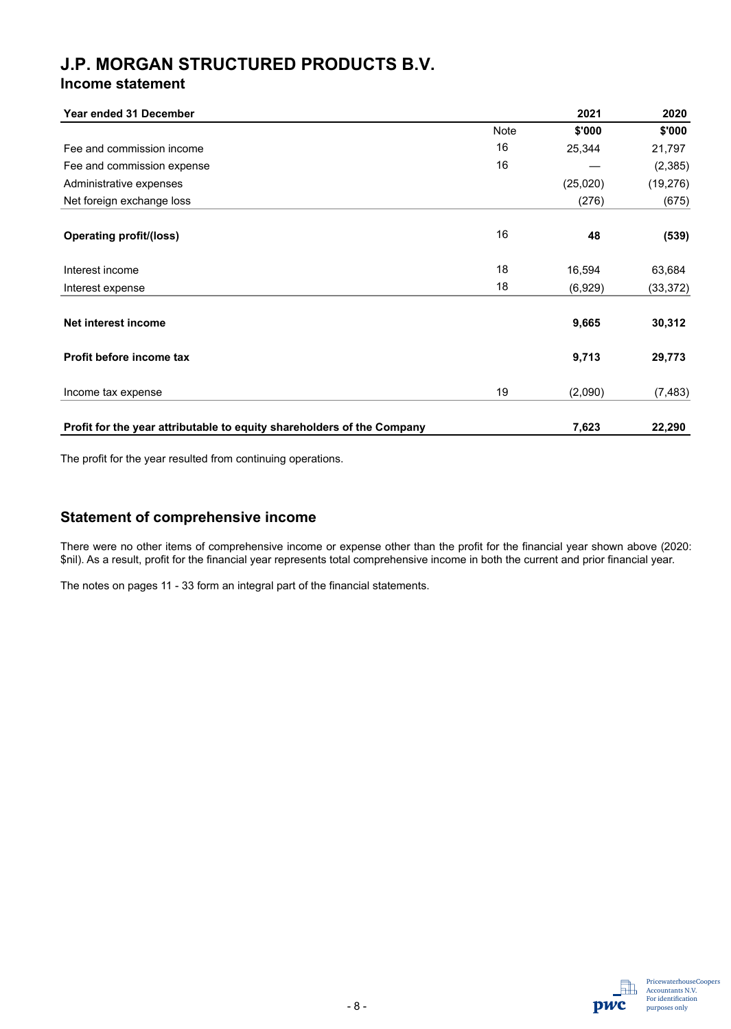### **Income statement**

| <b>Year ended 31 December</b>                                          |             | 2021     | 2020      |
|------------------------------------------------------------------------|-------------|----------|-----------|
|                                                                        | <b>Note</b> | \$'000   | \$'000    |
| Fee and commission income                                              | 16          | 25,344   | 21,797    |
| Fee and commission expense                                             | 16          |          | (2, 385)  |
| Administrative expenses                                                |             | (25,020) | (19, 276) |
| Net foreign exchange loss                                              |             | (276)    | (675)     |
| <b>Operating profit/(loss)</b>                                         | 16          | 48       | (539)     |
| Interest income                                                        | 18          | 16,594   | 63,684    |
| Interest expense                                                       | 18          | (6,929)  | (33, 372) |
| Net interest income                                                    |             | 9,665    | 30,312    |
| Profit before income tax                                               |             | 9,713    | 29,773    |
| Income tax expense                                                     | 19          | (2,090)  | (7, 483)  |
| Profit for the year attributable to equity shareholders of the Company |             | 7,623    | 22,290    |

The profit for the year resulted from continuing operations.

### **Statement of comprehensive income**

There were no other items of comprehensive income or expense other than the profit for the financial year shown above (2020: \$nil). As a result, profit for the financial year represents total comprehensive income in both the current and prior financial year.

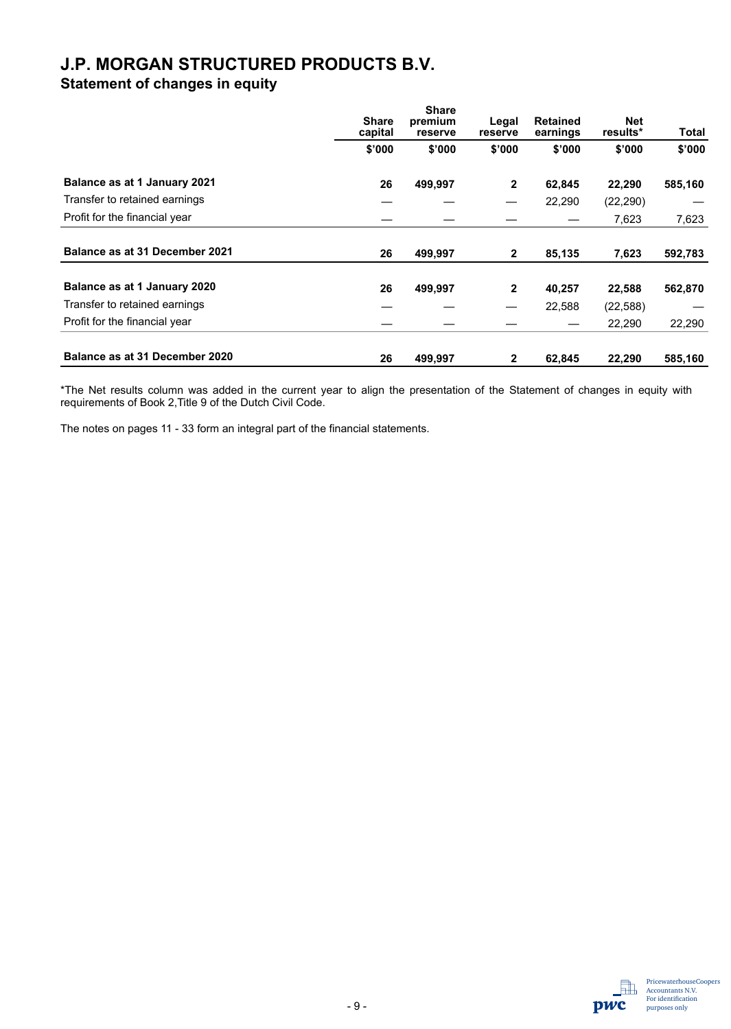**Statement of changes in equity**

|                                       | <b>Share</b><br>capital | <b>Share</b><br>premium<br>reserve | Legal<br>reserve | <b>Retained</b><br>earnings | <b>Net</b><br>results* | Total   |
|---------------------------------------|-------------------------|------------------------------------|------------------|-----------------------------|------------------------|---------|
|                                       | \$'000                  | \$'000                             | \$'000           | \$'000                      | \$'000                 | \$'000  |
| Balance as at 1 January 2021          | 26                      | 499,997                            | $\mathbf{2}$     | 62,845                      | 22,290                 | 585,160 |
| Transfer to retained earnings         |                         |                                    |                  | 22,290                      | (22, 290)              |         |
| Profit for the financial year         |                         |                                    |                  |                             | 7,623                  | 7,623   |
| <b>Balance as at 31 December 2021</b> | 26                      | 499,997                            | $\mathbf{2}$     | 85,135                      | 7,623                  | 592,783 |
| Balance as at 1 January 2020          | 26                      | 499,997                            | $\mathbf{2}$     | 40,257                      | 22,588                 | 562,870 |
| Transfer to retained earnings         |                         |                                    | --               | 22,588                      | (22, 588)              |         |
| Profit for the financial year         |                         |                                    |                  |                             | 22,290                 | 22,290  |
| Balance as at 31 December 2020        | 26                      | 499.997                            | $\mathbf{2}$     | 62,845                      | 22,290                 | 585,160 |

\*The Net results column was added in the current year to align the presentation of the Statement of changes in equity with requirements of Book 2,Title 9 of the Dutch Civil Code.

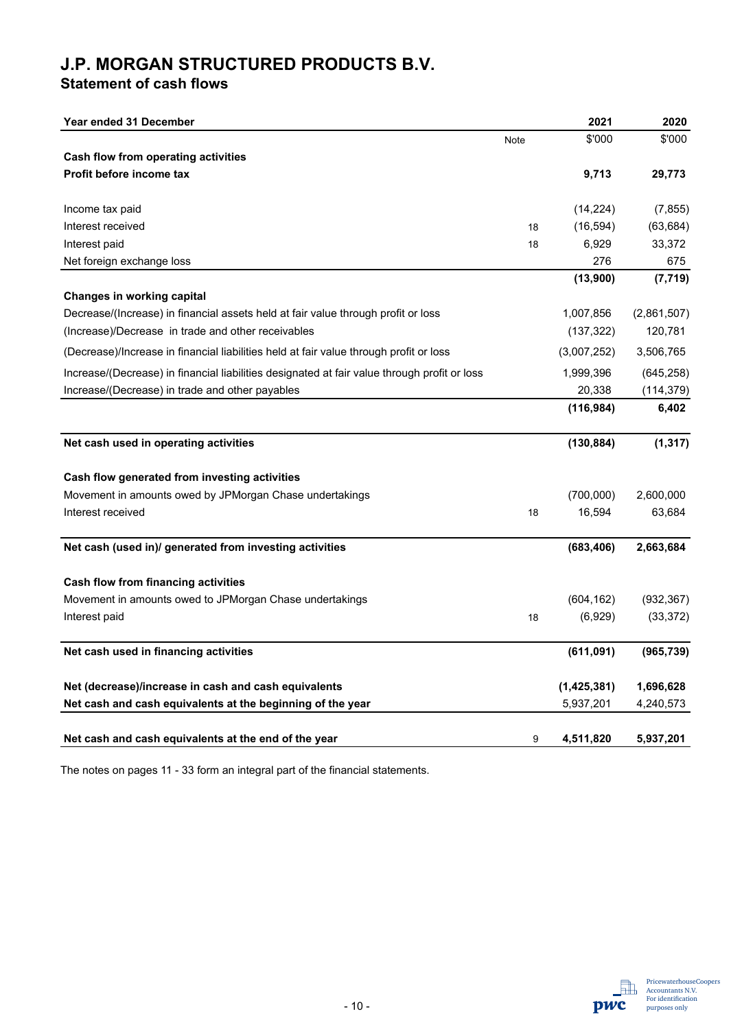**Statement of cash flows** 

| Year ended 31 December                                                                       |      | 2021        | 2020        |
|----------------------------------------------------------------------------------------------|------|-------------|-------------|
|                                                                                              | Note | \$'000      | \$'000      |
| <b>Cash flow from operating activities</b>                                                   |      |             |             |
| Profit before income tax                                                                     |      | 9,713       | 29,773      |
|                                                                                              |      |             |             |
| Income tax paid                                                                              |      | (14, 224)   | (7, 855)    |
| Interest received                                                                            | 18   | (16, 594)   | (63, 684)   |
| Interest paid                                                                                | 18   | 6,929       | 33,372      |
| Net foreign exchange loss                                                                    |      | 276         | 675         |
|                                                                                              |      | (13,900)    | (7, 719)    |
| <b>Changes in working capital</b>                                                            |      |             |             |
| Decrease/(Increase) in financial assets held at fair value through profit or loss            |      | 1,007,856   | (2,861,507) |
| (Increase)/Decrease in trade and other receivables                                           |      | (137, 322)  | 120,781     |
| (Decrease)/Increase in financial liabilities held at fair value through profit or loss       |      | (3,007,252) | 3,506,765   |
| Increase/(Decrease) in financial liabilities designated at fair value through profit or loss |      | 1,999,396   | (645, 258)  |
| Increase/(Decrease) in trade and other payables                                              |      | 20,338      | (114, 379)  |
|                                                                                              |      | (116, 984)  | 6,402       |
| Net cash used in operating activities                                                        |      | (130, 884)  | (1, 317)    |
| Cash flow generated from investing activities                                                |      |             |             |
| Movement in amounts owed by JPMorgan Chase undertakings                                      |      | (700,000)   | 2,600,000   |
| Interest received                                                                            | 18   | 16,594      | 63,684      |
| Net cash (used in)/ generated from investing activities                                      |      | (683, 406)  | 2,663,684   |
| <b>Cash flow from financing activities</b>                                                   |      |             |             |
| Movement in amounts owed to JPMorgan Chase undertakings                                      |      | (604, 162)  | (932, 367)  |
| Interest paid                                                                                | 18   | (6,929)     | (33, 372)   |
|                                                                                              |      |             |             |
| Net cash used in financing activities                                                        |      | (611,091)   | (965, 739)  |
| Net (decrease)/increase in cash and cash equivalents                                         |      | (1,425,381) | 1,696,628   |
| Net cash and cash equivalents at the beginning of the year                                   |      | 5,937,201   | 4,240,573   |
|                                                                                              |      |             |             |
| Net cash and cash equivalents at the end of the year                                         | 9    | 4,511,820   | 5,937,201   |

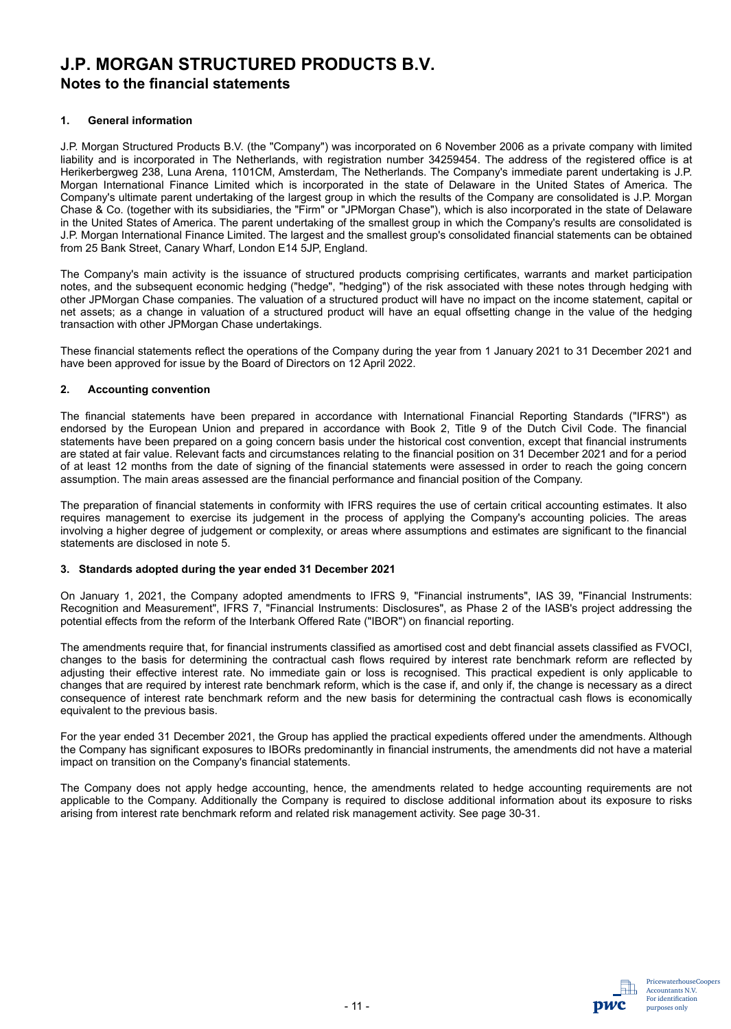### **Notes to the financial statements**

#### **1. General information**

J.P. Morgan Structured Products B.V. (the "Company") was incorporated on 6 November 2006 as a private company with limited liability and is incorporated in The Netherlands, with registration number 34259454. The address of the registered office is at Herikerbergweg 238, Luna Arena, 1101CM, Amsterdam, The Netherlands. The Company's immediate parent undertaking is J.P. Morgan International Finance Limited which is incorporated in the state of Delaware in the United States of America. The Company's ultimate parent undertaking of the largest group in which the results of the Company are consolidated is J.P. Morgan Chase & Co. (together with its subsidiaries, the "Firm" or "JPMorgan Chase"), which is also incorporated in the state of Delaware in the United States of America. The parent undertaking of the smallest group in which the Company's results are consolidated is J.P. Morgan International Finance Limited. The largest and the smallest group's consolidated financial statements can be obtained from 25 Bank Street, Canary Wharf, London E14 5JP, England.

The Company's main activity is the issuance of structured products comprising certificates, warrants and market participation notes, and the subsequent economic hedging ("hedge", "hedging") of the risk associated with these notes through hedging with other JPMorgan Chase companies. The valuation of a structured product will have no impact on the income statement, capital or net assets; as a change in valuation of a structured product will have an equal offsetting change in the value of the hedging transaction with other JPMorgan Chase undertakings.

These financial statements reflect the operations of the Company during the year from 1 January 2021 to 31 December 2021 and have been approved for issue by the Board of Directors on 12 April 2022.

#### **2. Accounting convention**

The financial statements have been prepared in accordance with International Financial Reporting Standards ("IFRS") as endorsed by the European Union and prepared in accordance with Book 2, Title 9 of the Dutch Civil Code. The financial statements have been prepared on a going concern basis under the historical cost convention, except that financial instruments are stated at fair value. Relevant facts and circumstances relating to the financial position on 31 December 2021 and for a period of at least 12 months from the date of signing of the financial statements were assessed in order to reach the going concern assumption. The main areas assessed are the financial performance and financial position of the Company.

The preparation of financial statements in conformity with IFRS requires the use of certain critical accounting estimates. It also requires management to exercise its judgement in the process of applying the Company's accounting policies. The areas involving a higher degree of judgement or complexity, or areas where assumptions and estimates are significant to the financial statements are disclosed in note 5.

#### **3. Standards adopted during the year ended 31 December 2021**

On January 1, 2021, the Company adopted amendments to IFRS 9, "Financial instruments", IAS 39, "Financial Instruments: Recognition and Measurement", IFRS 7, "Financial Instruments: Disclosures", as Phase 2 of the IASB's project addressing the potential effects from the reform of the Interbank Offered Rate ("IBOR") on financial reporting.

The amendments require that, for financial instruments classified as amortised cost and debt financial assets classified as FVOCI, changes to the basis for determining the contractual cash flows required by interest rate benchmark reform are reflected by adjusting their effective interest rate. No immediate gain or loss is recognised. This practical expedient is only applicable to changes that are required by interest rate benchmark reform, which is the case if, and only if, the change is necessary as a direct consequence of interest rate benchmark reform and the new basis for determining the contractual cash flows is economically equivalent to the previous basis.

For the year ended 31 December 2021, the Group has applied the practical expedients offered under the amendments. Although the Company has significant exposures to IBORs predominantly in financial instruments, the amendments did not have a material impact on transition on the Company's financial statements.

The Company does not apply hedge accounting, hence, the amendments related to hedge accounting requirements are not applicable to the Company. Additionally the Company is required to disclose additional information about its exposure to risks arising from interest rate benchmark reform and related risk management activity. See page 30-31.

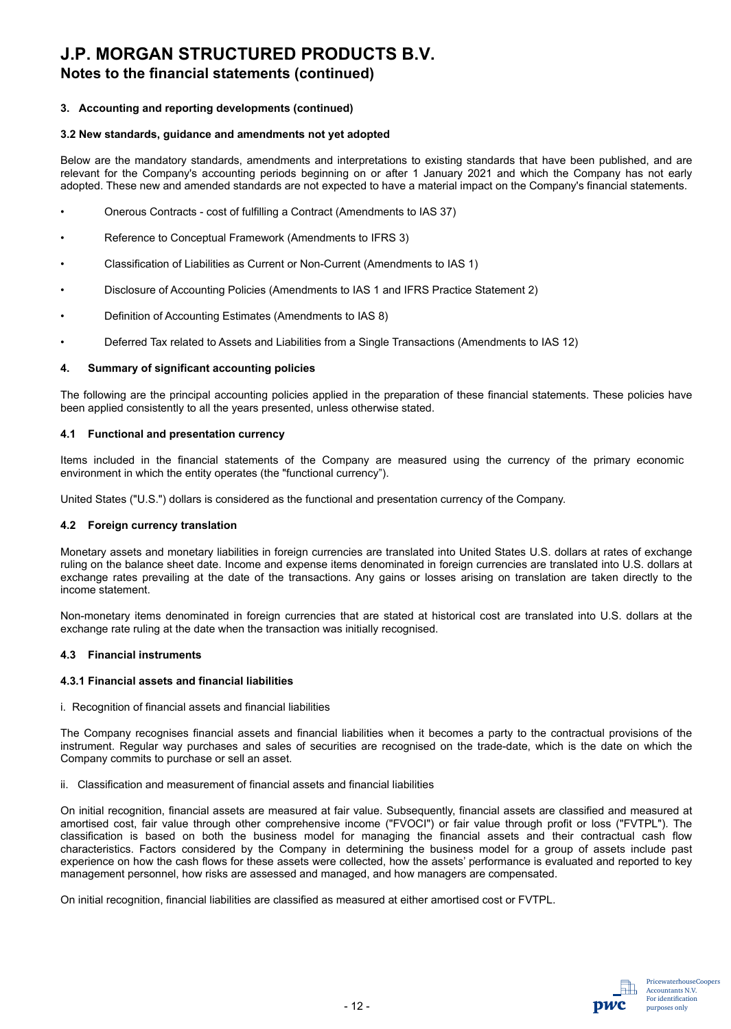## **Notes to the financial statements (continued)**

#### **3. Accounting and reporting developments (continued)**

#### **3.2 New standards, guidance and amendments not yet adopted**

Below are the mandatory standards, amendments and interpretations to existing standards that have been published, and are relevant for the Company's accounting periods beginning on or after 1 January 2021 and which the Company has not early adopted. These new and amended standards are not expected to have a material impact on the Company's financial statements.

- Onerous Contracts cost of fulfilling a Contract (Amendments to IAS 37)
- Reference to Conceptual Framework (Amendments to IFRS 3)
- Classification of Liabilities as Current or Non-Current (Amendments to IAS 1)
- Disclosure of Accounting Policies (Amendments to IAS 1 and IFRS Practice Statement 2)
- Definition of Accounting Estimates (Amendments to IAS 8)
- Deferred Tax related to Assets and Liabilities from a Single Transactions (Amendments to IAS 12)

#### **4. Summary of significant accounting policies**

The following are the principal accounting policies applied in the preparation of these financial statements. These policies have been applied consistently to all the years presented, unless otherwise stated.

#### **4.1 Functional and presentation currency**

Items included in the financial statements of the Company are measured using the currency of the primary economic environment in which the entity operates (the "functional currency").

United States ("U.S.") dollars is considered as the functional and presentation currency of the Company.

#### **4.2 Foreign currency translation**

Monetary assets and monetary liabilities in foreign currencies are translated into United States U.S. dollars at rates of exchange ruling on the balance sheet date. Income and expense items denominated in foreign currencies are translated into U.S. dollars at exchange rates prevailing at the date of the transactions. Any gains or losses arising on translation are taken directly to the income statement.

Non-monetary items denominated in foreign currencies that are stated at historical cost are translated into U.S. dollars at the exchange rate ruling at the date when the transaction was initially recognised.

#### **4.3 Financial instruments**

#### **4.3.1 Financial assets and financial liabilities**

i. Recognition of financial assets and financial liabilities

The Company recognises financial assets and financial liabilities when it becomes a party to the contractual provisions of the instrument. Regular way purchases and sales of securities are recognised on the trade-date, which is the date on which the Company commits to purchase or sell an asset.

ii. Classification and measurement of financial assets and financial liabilities

On initial recognition, financial assets are measured at fair value. Subsequently, financial assets are classified and measured at amortised cost, fair value through other comprehensive income ("FVOCI") or fair value through profit or loss ("FVTPL"). The classification is based on both the business model for managing the financial assets and their contractual cash flow characteristics. Factors considered by the Company in determining the business model for a group of assets include past experience on how the cash flows for these assets were collected, how the assets' performance is evaluated and reported to key management personnel, how risks are assessed and managed, and how managers are compensated.

On initial recognition, financial liabilities are classified as measured at either amortised cost or FVTPL.

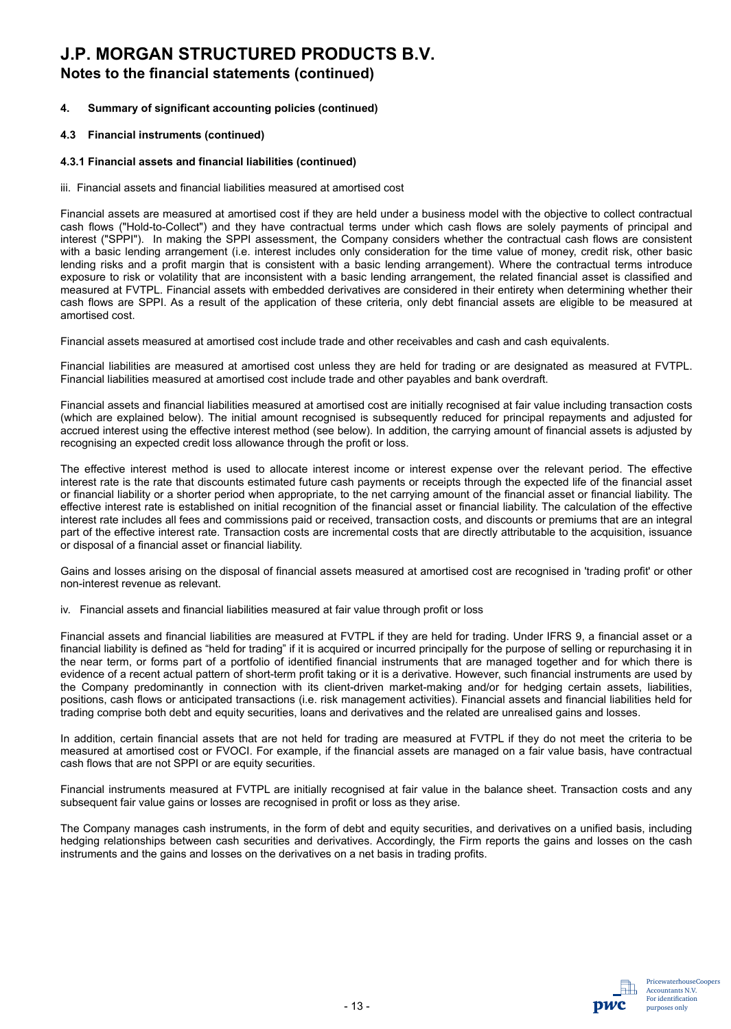### **Notes to the financial statements (continued)**

#### **4. Summary of significant accounting policies (continued)**

#### **4.3 Financial instruments (continued)**

#### **4.3.1 Financial assets and financial liabilities (continued)**

iii.Financial assets and financial liabilities measured at amortised cost

Financial assets are measured at amortised cost if they are held under a business model with the objective to collect contractual cash flows ("Hold-to-Collect") and they have contractual terms under which cash flows are solely payments of principal and interest ("SPPI"). In making the SPPI assessment, the Company considers whether the contractual cash flows are consistent with a basic lending arrangement (i.e. interest includes only consideration for the time value of money, credit risk, other basic lending risks and a profit margin that is consistent with a basic lending arrangement). Where the contractual terms introduce exposure to risk or volatility that are inconsistent with a basic lending arrangement, the related financial asset is classified and measured at FVTPL. Financial assets with embedded derivatives are considered in their entirety when determining whether their cash flows are SPPI. As a result of the application of these criteria, only debt financial assets are eligible to be measured at amortised cost.

Financial assets measured at amortised cost include trade and other receivables and cash and cash equivalents.

Financial liabilities are measured at amortised cost unless they are held for trading or are designated as measured at FVTPL. Financial liabilities measured at amortised cost include trade and other payables and bank overdraft.

Financial assets and financial liabilities measured at amortised cost are initially recognised at fair value including transaction costs (which are explained below). The initial amount recognised is subsequently reduced for principal repayments and adjusted for accrued interest using the effective interest method (see below). In addition, the carrying amount of financial assets is adjusted by recognising an expected credit loss allowance through the profit or loss.

The effective interest method is used to allocate interest income or interest expense over the relevant period. The effective interest rate is the rate that discounts estimated future cash payments or receipts through the expected life of the financial asset or financial liability or a shorter period when appropriate, to the net carrying amount of the financial asset or financial liability. The effective interest rate is established on initial recognition of the financial asset or financial liability. The calculation of the effective interest rate includes all fees and commissions paid or received, transaction costs, and discounts or premiums that are an integral part of the effective interest rate. Transaction costs are incremental costs that are directly attributable to the acquisition, issuance or disposal of a financial asset or financial liability.

Gains and losses arising on the disposal of financial assets measured at amortised cost are recognised in 'trading profit' or other non-interest revenue as relevant.

iv. Financial assets and financial liabilities measured at fair value through profit or loss

Financial assets and financial liabilities are measured at FVTPL if they are held for trading. Under IFRS 9, a financial asset or a financial liability is defined as "held for trading" if it is acquired or incurred principally for the purpose of selling or repurchasing it in the near term, or forms part of a portfolio of identified financial instruments that are managed together and for which there is evidence of a recent actual pattern of short-term profit taking or it is a derivative. However, such financial instruments are used by the Company predominantly in connection with its client-driven market-making and/or for hedging certain assets, liabilities, positions, cash flows or anticipated transactions (i.e. risk management activities). Financial assets and financial liabilities held for trading comprise both debt and equity securities, loans and derivatives and the related are unrealised gains and losses.

In addition, certain financial assets that are not held for trading are measured at FVTPL if they do not meet the criteria to be measured at amortised cost or FVOCI. For example, if the financial assets are managed on a fair value basis, have contractual cash flows that are not SPPI or are equity securities.

Financial instruments measured at FVTPL are initially recognised at fair value in the balance sheet. Transaction costs and any subsequent fair value gains or losses are recognised in profit or loss as they arise.

The Company manages cash instruments, in the form of debt and equity securities, and derivatives on a unified basis, including hedging relationships between cash securities and derivatives. Accordingly, the Firm reports the gains and losses on the cash instruments and the gains and losses on the derivatives on a net basis in trading profits.

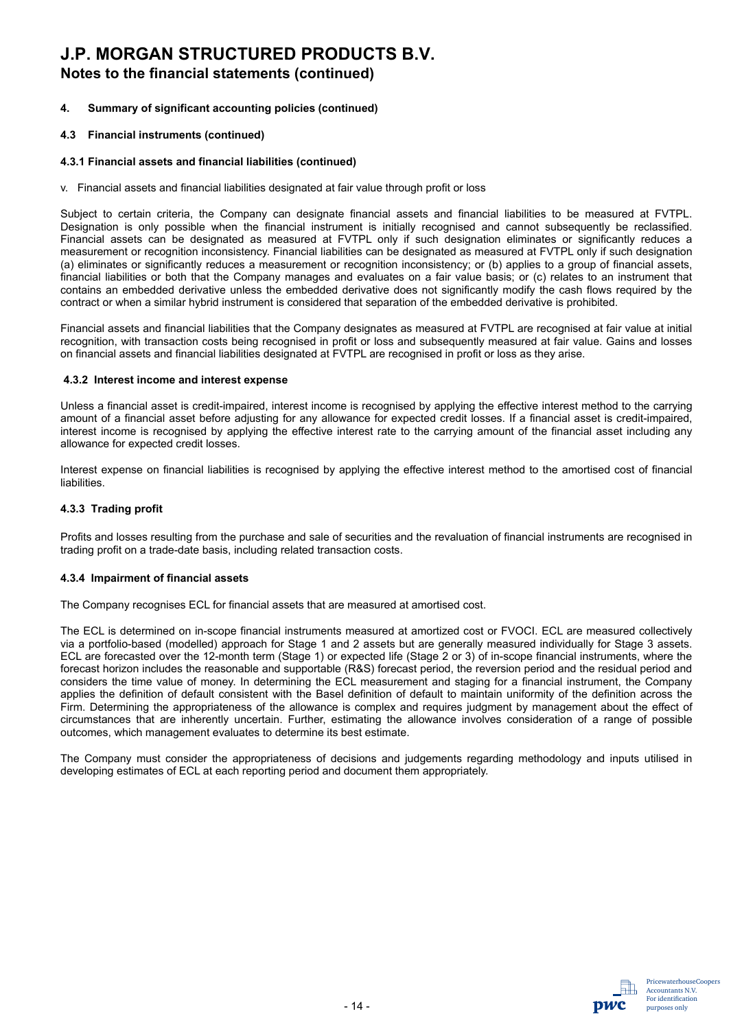## **Notes to the financial statements (continued)**

#### **4. Summary of significant accounting policies (continued)**

#### **4.3 Financial instruments (continued)**

#### **4.3.1 Financial assets and financial liabilities (continued)**

v. Financial assets and financial liabilities designated at fair value through profit or loss

Subject to certain criteria, the Company can designate financial assets and financial liabilities to be measured at FVTPL. Designation is only possible when the financial instrument is initially recognised and cannot subsequently be reclassified. Financial assets can be designated as measured at FVTPL only if such designation eliminates or significantly reduces a measurement or recognition inconsistency. Financial liabilities can be designated as measured at FVTPL only if such designation (a) eliminates or significantly reduces a measurement or recognition inconsistency; or (b) applies to a group of financial assets, financial liabilities or both that the Company manages and evaluates on a fair value basis; or (c) relates to an instrument that contains an embedded derivative unless the embedded derivative does not significantly modify the cash flows required by the contract or when a similar hybrid instrument is considered that separation of the embedded derivative is prohibited.

Financial assets and financial liabilities that the Company designates as measured at FVTPL are recognised at fair value at initial recognition, with transaction costs being recognised in profit or loss and subsequently measured at fair value. Gains and losses on financial assets and financial liabilities designated at FVTPL are recognised in profit or loss as they arise.

#### **4.3.2 Interest income and interest expense**

Unless a financial asset is credit-impaired, interest income is recognised by applying the effective interest method to the carrying amount of a financial asset before adjusting for any allowance for expected credit losses. If a financial asset is credit-impaired, interest income is recognised by applying the effective interest rate to the carrying amount of the financial asset including any allowance for expected credit losses.

Interest expense on financial liabilities is recognised by applying the effective interest method to the amortised cost of financial liabilities.

#### **4.3.3 Trading profit**

Profits and losses resulting from the purchase and sale of securities and the revaluation of financial instruments are recognised in trading profit on a trade-date basis, including related transaction costs.

#### **4.3.4 Impairment of financial assets**

The Company recognises ECL for financial assets that are measured at amortised cost.

The ECL is determined on in-scope financial instruments measured at amortized cost or FVOCI. ECL are measured collectively via a portfolio-based (modelled) approach for Stage 1 and 2 assets but are generally measured individually for Stage 3 assets. ECL are forecasted over the 12-month term (Stage 1) or expected life (Stage 2 or 3) of in-scope financial instruments, where the forecast horizon includes the reasonable and supportable (R&S) forecast period, the reversion period and the residual period and considers the time value of money. In determining the ECL measurement and staging for a financial instrument, the Company applies the definition of default consistent with the Basel definition of default to maintain uniformity of the definition across the Firm. Determining the appropriateness of the allowance is complex and requires judgment by management about the effect of circumstances that are inherently uncertain. Further, estimating the allowance involves consideration of a range of possible outcomes, which management evaluates to determine its best estimate.

The Company must consider the appropriateness of decisions and judgements regarding methodology and inputs utilised in developing estimates of ECL at each reporting period and document them appropriately.

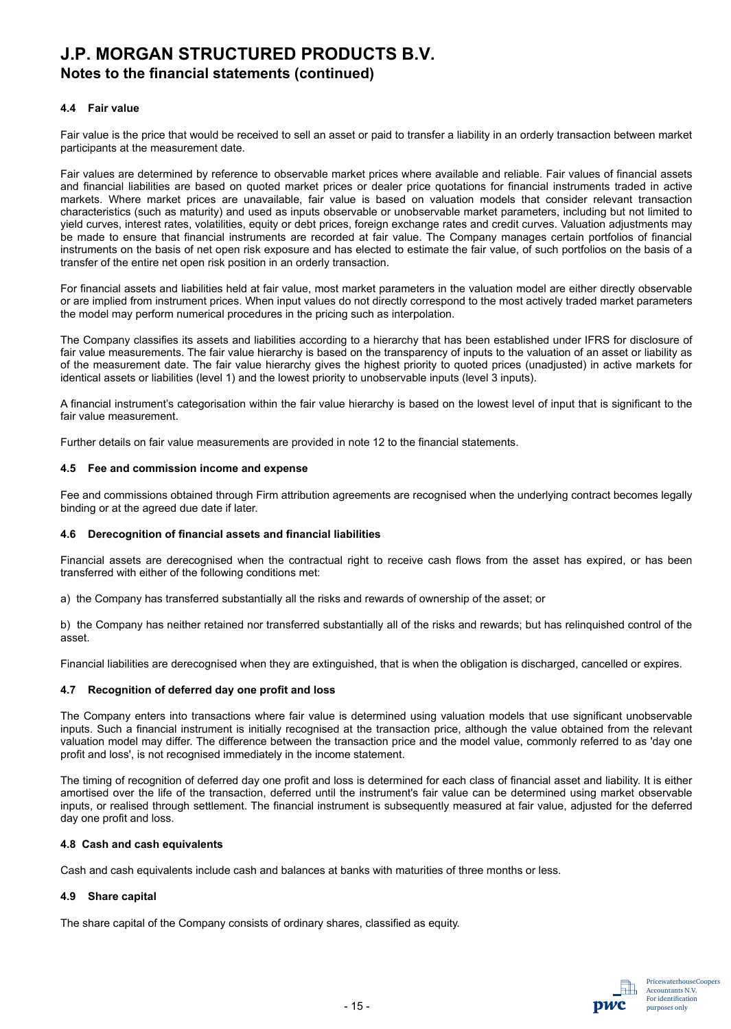## **Notes to the financial statements (continued)**

#### **4.4 Fair value**

Fair value is the price that would be received to sell an asset or paid to transfer a liability in an orderly transaction between market participants at the measurement date.

Fair values are determined by reference to observable market prices where available and reliable. Fair values of financial assets and financial liabilities are based on quoted market prices or dealer price quotations for financial instruments traded in active markets. Where market prices are unavailable, fair value is based on valuation models that consider relevant transaction characteristics (such as maturity) and used as inputs observable or unobservable market parameters, including but not limited to yield curves, interest rates, volatilities, equity or debt prices, foreign exchange rates and credit curves. Valuation adjustments may be made to ensure that financial instruments are recorded at fair value. The Company manages certain portfolios of financial instruments on the basis of net open risk exposure and has elected to estimate the fair value, of such portfolios on the basis of a transfer of the entire net open risk position in an orderly transaction.

For financial assets and liabilities held at fair value, most market parameters in the valuation model are either directly observable or are implied from instrument prices. When input values do not directly correspond to the most actively traded market parameters the model may perform numerical procedures in the pricing such as interpolation.

The Company classifies its assets and liabilities according to a hierarchy that has been established under IFRS for disclosure of fair value measurements. The fair value hierarchy is based on the transparency of inputs to the valuation of an asset or liability as of the measurement date. The fair value hierarchy gives the highest priority to quoted prices (unadjusted) in active markets for identical assets or liabilities (level 1) and the lowest priority to unobservable inputs (level 3 inputs).

A financial instrument's categorisation within the fair value hierarchy is based on the lowest level of input that is significant to the fair value measurement.

Further details on fair value measurements are provided in note 12 to the financial statements.

#### **4.5 Fee and commission income and expense**

Fee and commissions obtained through Firm attribution agreements are recognised when the underlying contract becomes legally binding or at the agreed due date if later.

#### **4.6 Derecognition of financial assets and financial liabilities**

Financial assets are derecognised when the contractual right to receive cash flows from the asset has expired, or has been transferred with either of the following conditions met:

a) the Company has transferred substantially all the risks and rewards of ownership of the asset; or

b) the Company has neither retained nor transferred substantially all of the risks and rewards; but has relinquished control of the asset.

Financial liabilities are derecognised when they are extinguished, that is when the obligation is discharged, cancelled or expires.

#### **4.7 Recognition of deferred day one profit and loss**

The Company enters into transactions where fair value is determined using valuation models that use significant unobservable inputs. Such a financial instrument is initially recognised at the transaction price, although the value obtained from the relevant valuation model may differ. The difference between the transaction price and the model value, commonly referred to as 'day one profit and loss', is not recognised immediately in the income statement.

The timing of recognition of deferred day one profit and loss is determined for each class of financial asset and liability. It is either amortised over the life of the transaction, deferred until the instrument's fair value can be determined using market observable inputs, or realised through settlement. The financial instrument is subsequently measured at fair value, adjusted for the deferred day one profit and loss.

#### **4.8 Cash and cash equivalents**

Cash and cash equivalents include cash and balances at banks with maturities of three months or less.

#### **4.9 Share capital**

The share capital of the Company consists of ordinary shares, classified as equity.

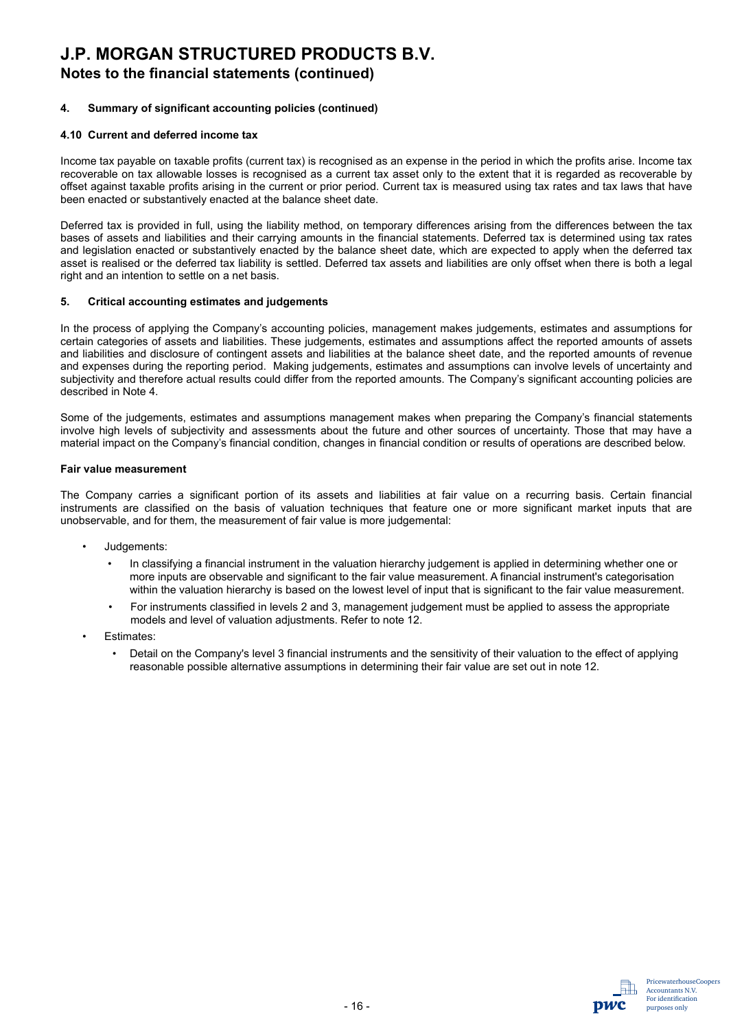## **J.P. MORGAN STRUCTURED PRODUCTS B.V. Notes to the financial statements (continued)**

#### **4. Summary of significant accounting policies (continued)**

#### **4.10 Current and deferred income tax**

Income tax payable on taxable profits (current tax) is recognised as an expense in the period in which the profits arise. Income tax recoverable on tax allowable losses is recognised as a current tax asset only to the extent that it is regarded as recoverable by offset against taxable profits arising in the current or prior period. Current tax is measured using tax rates and tax laws that have been enacted or substantively enacted at the balance sheet date.

Deferred tax is provided in full, using the liability method, on temporary differences arising from the differences between the tax bases of assets and liabilities and their carrying amounts in the financial statements. Deferred tax is determined using tax rates and legislation enacted or substantively enacted by the balance sheet date, which are expected to apply when the deferred tax asset is realised or the deferred tax liability is settled. Deferred tax assets and liabilities are only offset when there is both a legal right and an intention to settle on a net basis.

#### **5. Critical accounting estimates and judgements**

In the process of applying the Company's accounting policies, management makes judgements, estimates and assumptions for certain categories of assets and liabilities. These judgements, estimates and assumptions affect the reported amounts of assets and liabilities and disclosure of contingent assets and liabilities at the balance sheet date, and the reported amounts of revenue and expenses during the reporting period. Making judgements, estimates and assumptions can involve levels of uncertainty and subjectivity and therefore actual results could differ from the reported amounts. The Company's significant accounting policies are described in Note 4.

Some of the judgements, estimates and assumptions management makes when preparing the Company's financial statements involve high levels of subjectivity and assessments about the future and other sources of uncertainty. Those that may have a material impact on the Company's financial condition, changes in financial condition or results of operations are described below.

#### **Fair value measurement**

The Company carries a significant portion of its assets and liabilities at fair value on a recurring basis. Certain financial instruments are classified on the basis of valuation techniques that feature one or more significant market inputs that are unobservable, and for them, the measurement of fair value is more judgemental:

- Judgements:
	- In classifying a financial instrument in the valuation hierarchy judgement is applied in determining whether one or more inputs are observable and significant to the fair value measurement. A financial instrument's categorisation within the valuation hierarchy is based on the lowest level of input that is significant to the fair value measurement.
	- For instruments classified in levels 2 and 3, management judgement must be applied to assess the appropriate models and level of valuation adjustments. Refer to note 12.
- Estimates:
	- Detail on the Company's level 3 financial instruments and the sensitivity of their valuation to the effect of applying reasonable possible alternative assumptions in determining their fair value are set out in note 12.

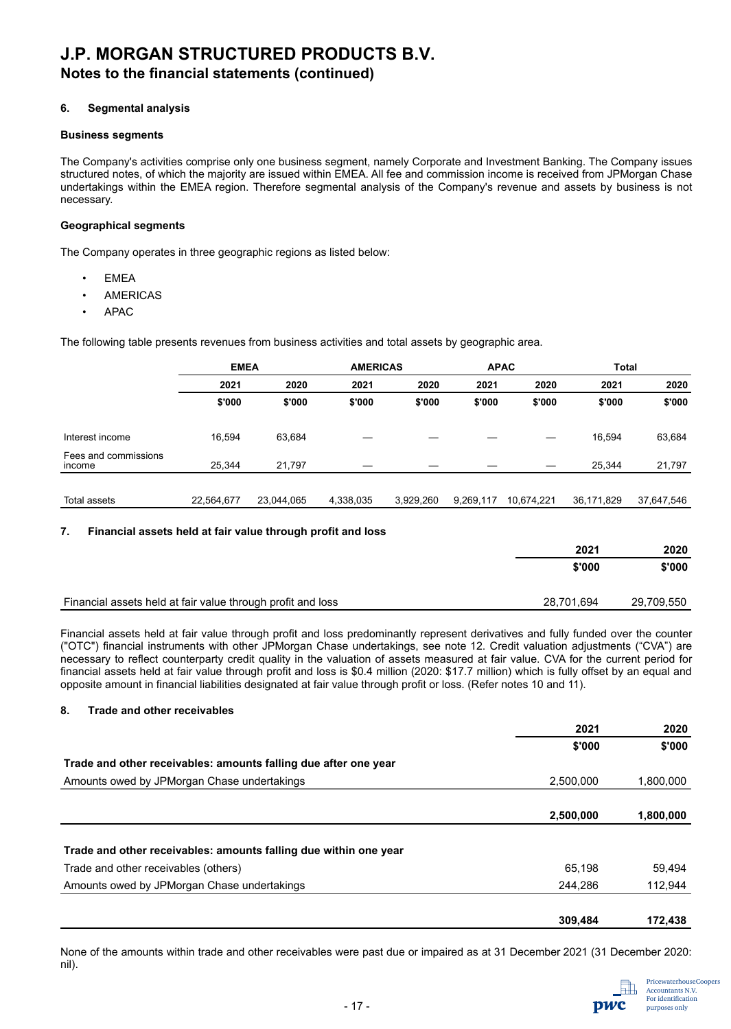## **J.P. MORGAN STRUCTURED PRODUCTS B.V. Notes to the financial statements (continued)**

#### **6. Segmental analysis**

#### **Business segments**

The Company's activities comprise only one business segment, namely Corporate and Investment Banking. The Company issues structured notes, of which the majority are issued within EMEA. All fee and commission income is received from JPMorgan Chase undertakings within the EMEA region. Therefore segmental analysis of the Company's revenue and assets by business is not necessary.

#### **Geographical segments**

The Company operates in three geographic regions as listed below:

- **EMEA**
- **AMERICAS**
- APAC

The following table presents revenues from business activities and total assets by geographic area.

|                                | <b>EMEA</b> |            | <b>AMERICAS</b> |           | <b>APAC</b> |            | <b>Total</b> |            |
|--------------------------------|-------------|------------|-----------------|-----------|-------------|------------|--------------|------------|
|                                | 2021        | 2020       | 2021            | 2020      | 2021        | 2020       | 2021         | 2020       |
|                                | \$'000      | \$'000     | \$'000          | \$'000    | \$'000      | \$'000     | \$'000       | \$'000     |
| Interest income                | 16.594      | 63,684     |                 |           |             |            | 16.594       | 63,684     |
| Fees and commissions<br>income | 25.344      | 21,797     |                 |           |             |            | 25.344       | 21,797     |
|                                |             |            |                 |           |             |            |              |            |
| Total assets                   | 22,564,677  | 23,044,065 | 4,338,035       | 3,929,260 | 9,269,117   | 10,674,221 | 36,171,829   | 37,647,546 |
|                                |             |            |                 |           |             |            |              |            |

#### **7. Financial assets held at fair value through profit and loss**

|                                                             | 2021       | 2020       |
|-------------------------------------------------------------|------------|------------|
|                                                             | \$'000     | \$'000     |
| Financial assets held at fair value through profit and loss | 28,701,694 | 29,709,550 |

Financial assets held at fair value through profit and loss predominantly represent derivatives and fully funded over the counter ("OTC") financial instruments with other JPMorgan Chase undertakings, see note 12. Credit valuation adjustments ("CVA") are necessary to reflect counterparty credit quality in the valuation of assets measured at fair value. CVA for the current period for financial assets held at fair value through profit and loss is \$0.4 million (2020: \$17.7 million) which is fully offset by an equal and opposite amount in financial liabilities designated at fair value through profit or loss. (Refer notes 10 and 11).

#### **8. Trade and other receivables**

|                                                                  | 2021      | 2020      |
|------------------------------------------------------------------|-----------|-----------|
|                                                                  | \$'000    | \$'000    |
| Trade and other receivables: amounts falling due after one year  |           |           |
| Amounts owed by JPMorgan Chase undertakings                      | 2,500,000 | 1,800,000 |
|                                                                  |           |           |
|                                                                  | 2,500,000 | 1,800,000 |
|                                                                  |           |           |
| Trade and other receivables: amounts falling due within one year |           |           |
| Trade and other receivables (others)                             | 65.198    | 59,494    |
| Amounts owed by JPMorgan Chase undertakings                      | 244,286   | 112,944   |
|                                                                  | 309,484   | 172,438   |

None of the amounts within trade and other receivables were past due or impaired as at 31 December 2021 (31 December 2020: nil).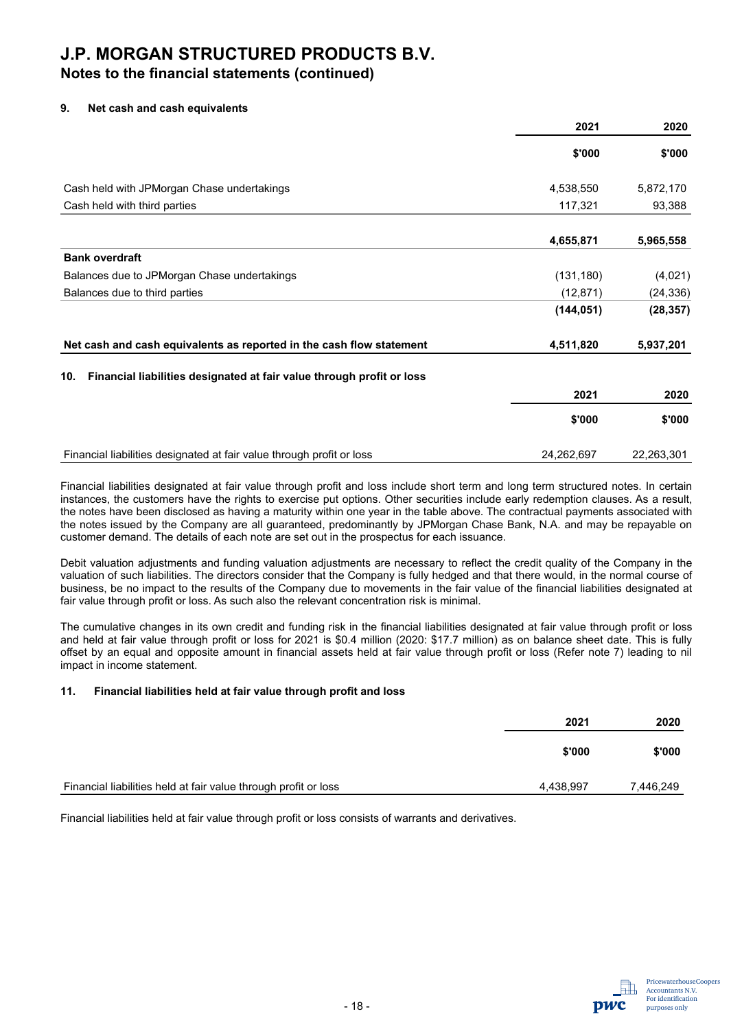## **Notes to the financial statements (continued)**

#### **9. Net cash and cash equivalents**

|                                                                              | 2021       | 2020       |  |
|------------------------------------------------------------------------------|------------|------------|--|
|                                                                              | \$'000     | \$'000     |  |
| Cash held with JPMorgan Chase undertakings                                   | 4,538,550  | 5,872,170  |  |
| Cash held with third parties                                                 | 117,321    | 93,388     |  |
|                                                                              | 4,655,871  | 5,965,558  |  |
| <b>Bank overdraft</b>                                                        |            |            |  |
| Balances due to JPMorgan Chase undertakings                                  | (131, 180) | (4,021)    |  |
| Balances due to third parties                                                | (12, 871)  | (24, 336)  |  |
|                                                                              | (144, 051) | (28, 357)  |  |
| Net cash and cash equivalents as reported in the cash flow statement         | 4,511,820  | 5,937,201  |  |
| Financial liabilities designated at fair value through profit or loss<br>10. |            |            |  |
|                                                                              | 2021       | 2020       |  |
|                                                                              | \$'000     | \$'000     |  |
| Financial liabilities designated at fair value through profit or loss        | 24,262,697 | 22,263,301 |  |

Financial liabilities designated at fair value through profit and loss include short term and long term structured notes. In certain instances, the customers have the rights to exercise put options. Other securities include early redemption clauses. As a result, the notes have been disclosed as having a maturity within one year in the table above. The contractual payments associated with the notes issued by the Company are all guaranteed, predominantly by JPMorgan Chase Bank, N.A. and may be repayable on customer demand. The details of each note are set out in the prospectus for each issuance.

Debit valuation adjustments and funding valuation adjustments are necessary to reflect the credit quality of the Company in the valuation of such liabilities. The directors consider that the Company is fully hedged and that there would, in the normal course of business, be no impact to the results of the Company due to movements in the fair value of the financial liabilities designated at fair value through profit or loss. As such also the relevant concentration risk is minimal.

The cumulative changes in its own credit and funding risk in the financial liabilities designated at fair value through profit or loss and held at fair value through profit or loss for 2021 is \$0.4 million (2020: \$17.7 million) as on balance sheet date. This is fully offset by an equal and opposite amount in financial assets held at fair value through profit or loss (Refer note 7) leading to nil impact in income statement.

#### **11. Financial liabilities held at fair value through profit and loss**

|                                                                 | 2021      | 2020      |
|-----------------------------------------------------------------|-----------|-----------|
|                                                                 | \$'000    | \$'000    |
| Financial liabilities held at fair value through profit or loss | 4,438,997 | 7,446,249 |

Financial liabilities held at fair value through profit or loss consists of warrants and derivatives.

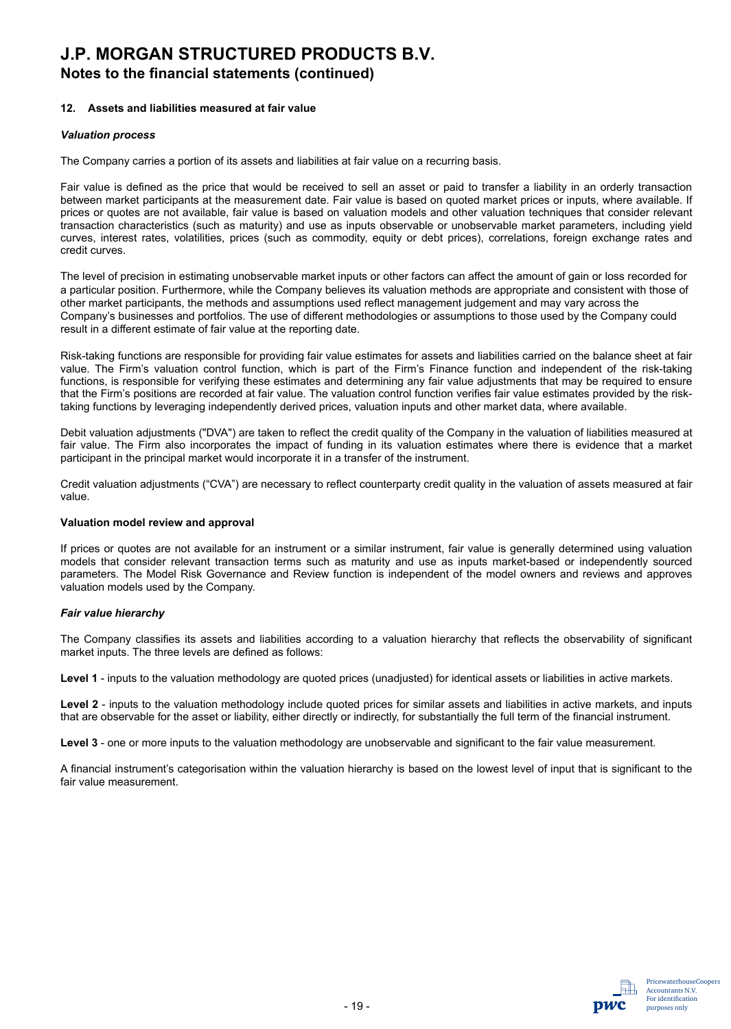## **Notes to the financial statements (continued)**

#### **12. Assets and liabilities measured at fair value**

#### *Valuation process*

The Company carries a portion of its assets and liabilities at fair value on a recurring basis.

Fair value is defined as the price that would be received to sell an asset or paid to transfer a liability in an orderly transaction between market participants at the measurement date. Fair value is based on quoted market prices or inputs, where available. If prices or quotes are not available, fair value is based on valuation models and other valuation techniques that consider relevant transaction characteristics (such as maturity) and use as inputs observable or unobservable market parameters, including yield curves, interest rates, volatilities, prices (such as commodity, equity or debt prices), correlations, foreign exchange rates and credit curves.

The level of precision in estimating unobservable market inputs or other factors can affect the amount of gain or loss recorded for a particular position. Furthermore, while the Company believes its valuation methods are appropriate and consistent with those of other market participants, the methods and assumptions used reflect management judgement and may vary across the Company's businesses and portfolios. The use of different methodologies or assumptions to those used by the Company could result in a different estimate of fair value at the reporting date.

Risk-taking functions are responsible for providing fair value estimates for assets and liabilities carried on the balance sheet at fair value. The Firm's valuation control function, which is part of the Firm's Finance function and independent of the risk-taking functions, is responsible for verifying these estimates and determining any fair value adjustments that may be required to ensure that the Firm's positions are recorded at fair value. The valuation control function verifies fair value estimates provided by the risktaking functions by leveraging independently derived prices, valuation inputs and other market data, where available.

Debit valuation adjustments ("DVA") are taken to reflect the credit quality of the Company in the valuation of liabilities measured at fair value. The Firm also incorporates the impact of funding in its valuation estimates where there is evidence that a market participant in the principal market would incorporate it in a transfer of the instrument.

Credit valuation adjustments ("CVA") are necessary to reflect counterparty credit quality in the valuation of assets measured at fair value.

#### **Valuation model review and approval**

If prices or quotes are not available for an instrument or a similar instrument, fair value is generally determined using valuation models that consider relevant transaction terms such as maturity and use as inputs market-based or independently sourced parameters. The Model Risk Governance and Review function is independent of the model owners and reviews and approves valuation models used by the Company.

#### *Fair value hierarchy*

The Company classifies its assets and liabilities according to a valuation hierarchy that reflects the observability of significant market inputs. The three levels are defined as follows:

**Level 1** - inputs to the valuation methodology are quoted prices (unadjusted) for identical assets or liabilities in active markets.

**Level 2** - inputs to the valuation methodology include quoted prices for similar assets and liabilities in active markets, and inputs that are observable for the asset or liability, either directly or indirectly, for substantially the full term of the financial instrument.

**Level 3** - one or more inputs to the valuation methodology are unobservable and significant to the fair value measurement.

A financial instrument's categorisation within the valuation hierarchy is based on the lowest level of input that is significant to the fair value measurement.

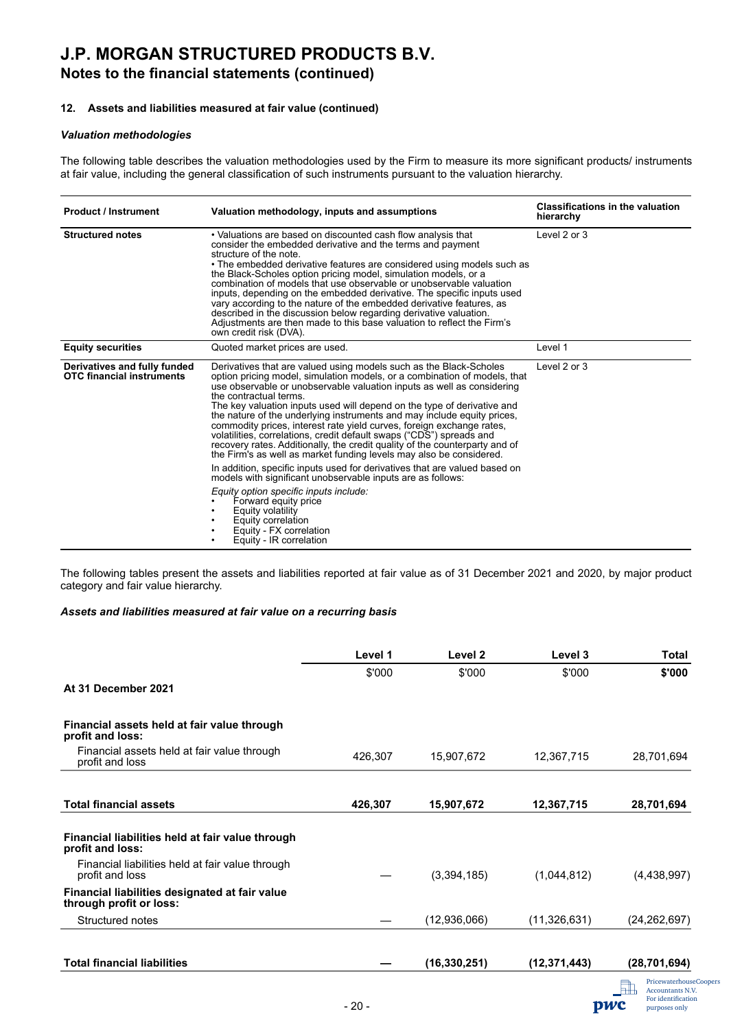## **J.P. MORGAN STRUCTURED PRODUCTS B.V. Notes to the financial statements (continued)**

#### **12. Assets and liabilities measured at fair value (continued)**

#### *Valuation methodologies*

The following table describes the valuation methodologies used by the Firm to measure its more significant products/ instruments at fair value, including the general classification of such instruments pursuant to the valuation hierarchy.

| <b>Product / Instrument</b>                                      | Valuation methodology, inputs and assumptions                                                                                                                                                                                                                                                                                                                                                                                                                                                                                                                                                                                                                                                                                                                                                                                                                                                                                                                                                                                    | <b>Classifications in the valuation</b><br>hierarchy |
|------------------------------------------------------------------|----------------------------------------------------------------------------------------------------------------------------------------------------------------------------------------------------------------------------------------------------------------------------------------------------------------------------------------------------------------------------------------------------------------------------------------------------------------------------------------------------------------------------------------------------------------------------------------------------------------------------------------------------------------------------------------------------------------------------------------------------------------------------------------------------------------------------------------------------------------------------------------------------------------------------------------------------------------------------------------------------------------------------------|------------------------------------------------------|
| <b>Structured notes</b>                                          | • Valuations are based on discounted cash flow analysis that<br>consider the embedded derivative and the terms and payment<br>structure of the note.<br>• The embedded derivative features are considered using models such as<br>the Black-Scholes option pricing model, simulation models, or a<br>combination of models that use observable or unobservable valuation<br>inputs, depending on the embedded derivative. The specific inputs used<br>vary according to the nature of the embedded derivative features, as<br>described in the discussion below regarding derivative valuation.<br>Adjustments are then made to this base valuation to reflect the Firm's<br>own credit risk (DVA).                                                                                                                                                                                                                                                                                                                              | Level 2 or 3                                         |
| <b>Equity securities</b>                                         | Quoted market prices are used.                                                                                                                                                                                                                                                                                                                                                                                                                                                                                                                                                                                                                                                                                                                                                                                                                                                                                                                                                                                                   | Level 1                                              |
| Derivatives and fully funded<br><b>OTC</b> financial instruments | Derivatives that are valued using models such as the Black-Scholes<br>option pricing model, simulation models, or a combination of models, that<br>use observable or unobservable valuation inputs as well as considering<br>the contractual terms.<br>The key valuation inputs used will depend on the type of derivative and<br>the nature of the underlying instruments and may include equity prices.<br>commodity prices, interest rate yield curves, foreign exchange rates,<br>volatilities, correlations, credit default swaps ("CDS") spreads and<br>recovery rates. Additionally, the credit quality of the counterparty and of<br>the Firm's as well as market funding levels may also be considered.<br>In addition, specific inputs used for derivatives that are valued based on<br>models with significant unobservable inputs are as follows:<br>Equity option specific inputs include:<br>Forward equity price<br>Equity volatility<br>Equity correlation<br>Equity - FX correlation<br>Equity - IR correlation | Level 2 or 3                                         |

The following tables present the assets and liabilities reported at fair value as of 31 December 2021 and 2020, by major product category and fair value hierarchy.

#### *Assets and liabilities measured at fair value on a recurring basis*

| Level 1 | Level 2        | Level 3        | <b>Total</b>   |
|---------|----------------|----------------|----------------|
| \$'000  | \$'000         | \$'000         | \$'000         |
|         |                |                |                |
|         |                |                |                |
| 426,307 | 15,907,672     | 12,367,715     | 28,701,694     |
|         |                |                |                |
| 426,307 | 15,907,672     | 12,367,715     | 28,701,694     |
|         |                |                |                |
|         |                |                |                |
|         | (3,394,185)    | (1,044,812)    | (4,438,997)    |
|         |                |                |                |
|         | (12,936,066)   | (11,326,631)   | (24, 262, 697) |
|         | (16, 330, 251) | (12, 371, 443) | (28, 701, 694) |
|         |                |                |                |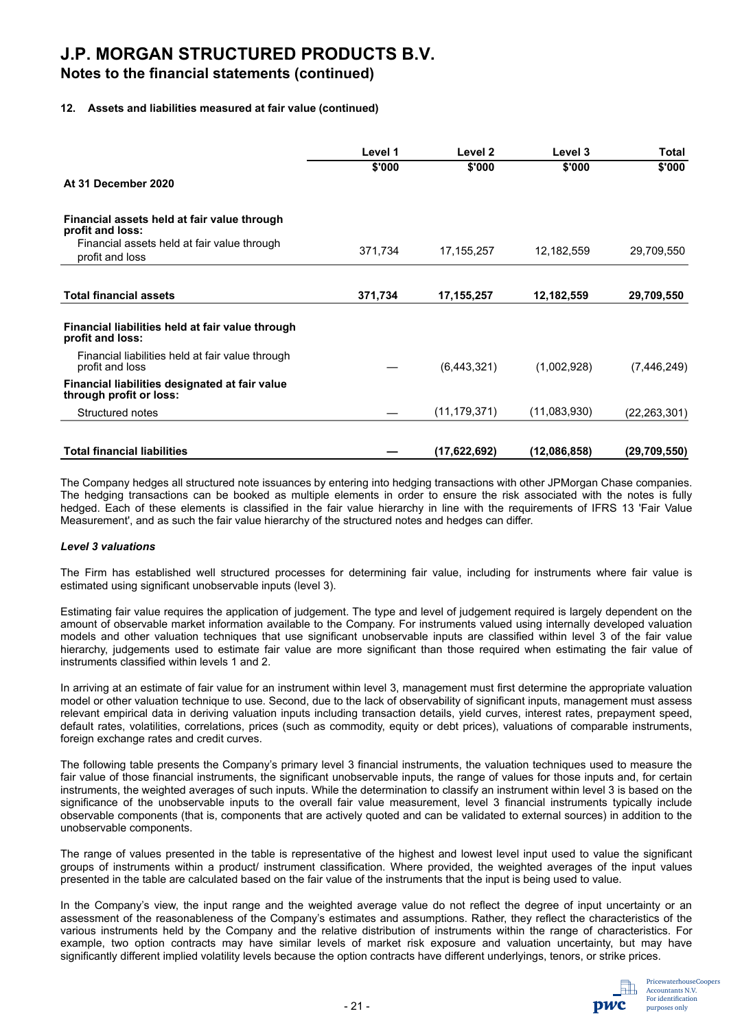### **Notes to the financial statements (continued)**

#### **12. Assets and liabilities measured at fair value (continued)**

|                                                                           | Level 1 | Level 2        | Level 3      | <b>Total</b>   |
|---------------------------------------------------------------------------|---------|----------------|--------------|----------------|
|                                                                           | \$'000  | \$'000         | \$'000       | \$'000         |
| At 31 December 2020                                                       |         |                |              |                |
| Financial assets held at fair value through<br>profit and loss:           |         |                |              |                |
| Financial assets held at fair value through<br>profit and loss            | 371,734 | 17, 155, 257   | 12,182,559   | 29,709,550     |
| <b>Total financial assets</b>                                             | 371,734 | 17,155,257     | 12,182,559   | 29,709,550     |
|                                                                           |         |                |              |                |
| Financial liabilities held at fair value through<br>profit and loss:      |         |                |              |                |
| Financial liabilities held at fair value through<br>profit and loss       |         | (6,443,321)    | (1,002,928)  | (7,446,249)    |
| Financial liabilities designated at fair value<br>through profit or loss: |         |                |              |                |
| Structured notes                                                          |         | (11, 179, 371) | (11,083,930) | (22, 263, 301) |
|                                                                           |         |                |              |                |
| <b>Total financial liabilities</b>                                        |         | (17,622,692)   | (12,086,858) | (29,709,550)   |

The Company hedges all structured note issuances by entering into hedging transactions with other JPMorgan Chase companies. The hedging transactions can be booked as multiple elements in order to ensure the risk associated with the notes is fully hedged. Each of these elements is classified in the fair value hierarchy in line with the requirements of IFRS 13 'Fair Value Measurement', and as such the fair value hierarchy of the structured notes and hedges can differ.

#### *Level 3 valuations*

The Firm has established well structured processes for determining fair value, including for instruments where fair value is estimated using significant unobservable inputs (level 3).

Estimating fair value requires the application of judgement. The type and level of judgement required is largely dependent on the amount of observable market information available to the Company. For instruments valued using internally developed valuation models and other valuation techniques that use significant unobservable inputs are classified within level 3 of the fair value hierarchy, judgements used to estimate fair value are more significant than those required when estimating the fair value of instruments classified within levels 1 and 2.

In arriving at an estimate of fair value for an instrument within level 3, management must first determine the appropriate valuation model or other valuation technique to use. Second, due to the lack of observability of significant inputs, management must assess relevant empirical data in deriving valuation inputs including transaction details, yield curves, interest rates, prepayment speed, default rates, volatilities, correlations, prices (such as commodity, equity or debt prices), valuations of comparable instruments, foreign exchange rates and credit curves.

The following table presents the Company's primary level 3 financial instruments, the valuation techniques used to measure the fair value of those financial instruments, the significant unobservable inputs, the range of values for those inputs and, for certain instruments, the weighted averages of such inputs. While the determination to classify an instrument within level 3 is based on the significance of the unobservable inputs to the overall fair value measurement, level 3 financial instruments typically include observable components (that is, components that are actively quoted and can be validated to external sources) in addition to the unobservable components.

The range of values presented in the table is representative of the highest and lowest level input used to value the significant groups of instruments within a product/ instrument classification. Where provided, the weighted averages of the input values presented in the table are calculated based on the fair value of the instruments that the input is being used to value.

In the Company's view, the input range and the weighted average value do not reflect the degree of input uncertainty or an assessment of the reasonableness of the Company's estimates and assumptions. Rather, they reflect the characteristics of the various instruments held by the Company and the relative distribution of instruments within the range of characteristics. For example, two option contracts may have similar levels of market risk exposure and valuation uncertainty, but may have significantly different implied volatility levels because the option contracts have different underlyings, tenors, or strike prices.

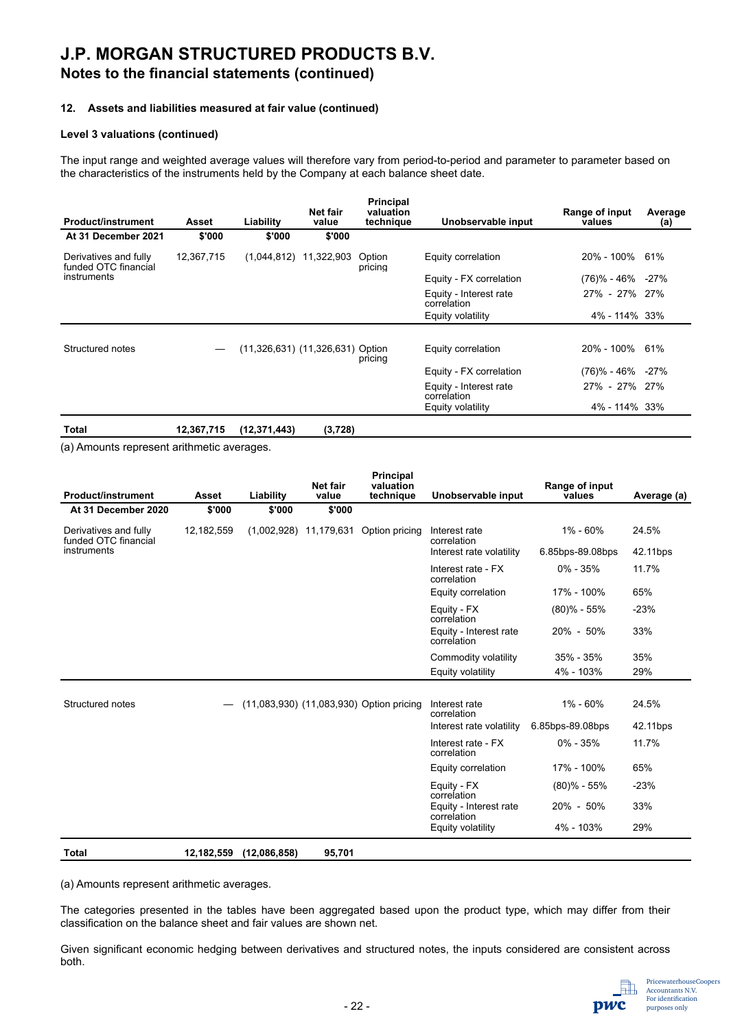## **J.P. MORGAN STRUCTURED PRODUCTS B.V. Notes to the financial statements (continued)**

#### **12. Assets and liabilities measured at fair value (continued)**

#### **Level 3 valuations (continued)**

The input range and weighted average values will therefore vary from period-to-period and parameter to parameter based on the characteristics of the instruments held by the Company at each balance sheet date.

| <b>Product/instrument</b>                     | Asset      | Liability                        | Net fair<br>value | <b>Principal</b><br>valuation<br>technique | Unobservable input                    | Range of input<br>values | Average<br>(a) |
|-----------------------------------------------|------------|----------------------------------|-------------------|--------------------------------------------|---------------------------------------|--------------------------|----------------|
| At 31 December 2021                           | \$'000     | \$'000                           | \$'000            |                                            |                                       |                          |                |
| Derivatives and fully<br>funded OTC financial | 12,367,715 | (1,044,812)                      | 11,322,903        | Option<br>pricing                          | Equity correlation                    | 20% - 100% 61%           |                |
| instruments                                   |            |                                  |                   |                                            | Equity - FX correlation               | $(76)\% - 46\% - 27\%$   |                |
|                                               |            |                                  |                   |                                            | Equity - Interest rate<br>correlation | 27% - 27% 27%            |                |
|                                               |            |                                  |                   |                                            | Equity volatility                     | 4% - 114% 33%            |                |
|                                               |            |                                  |                   |                                            |                                       |                          |                |
| Structured notes                              |            | (11,326,631) (11,326,631) Option |                   | pricing                                    | Equity correlation                    | 20% - 100% 61%           |                |
|                                               |            |                                  |                   |                                            | Equity - FX correlation               | $(76)\% - 46\% - 27\%$   |                |
|                                               |            |                                  |                   |                                            | Equity - Interest rate<br>correlation | 27% - 27% 27%            |                |
|                                               |            |                                  |                   |                                            | Equity volatility                     | 4% - 114% 33%            |                |
| Total                                         | 12,367,715 | (12, 371, 443)                   | (3,728)           |                                            |                                       |                          |                |

(a) Amounts represent arithmetic averages.

| <b>Product/instrument</b>                     | Asset      | Liability    | <b>Net fair</b><br>value | <b>Principal</b><br>valuation<br>technique | Unobservable input                    | Range of input<br>values | Average (a) |
|-----------------------------------------------|------------|--------------|--------------------------|--------------------------------------------|---------------------------------------|--------------------------|-------------|
| At 31 December 2020                           | \$'000     | \$'000       | \$'000                   |                                            |                                       |                          |             |
| Derivatives and fully<br>funded OTC financial | 12,182,559 | (1,002,928)  | 11,179,631               | Option pricing                             | Interest rate<br>correlation          | $1\% - 60\%$             | 24.5%       |
| instruments                                   |            |              |                          |                                            | Interest rate volatility              | 6.85bps-89.08bps         | 42.11bps    |
|                                               |            |              |                          |                                            | Interest rate - FX<br>correlation     | $0\% - 35\%$             | 11.7%       |
|                                               |            |              |                          |                                            | Equity correlation                    | 17% - 100%               | 65%         |
|                                               |            |              |                          |                                            | Equity - FX<br>correlation            | $(80)$ % - 55%           | $-23%$      |
|                                               |            |              |                          |                                            | Equity - Interest rate<br>correlation | 20% - 50%                | 33%         |
|                                               |            |              |                          |                                            | Commodity volatility                  | $35\% - 35\%$            | 35%         |
|                                               |            |              |                          |                                            | Equity volatility                     | 4% - 103%                | 29%         |
|                                               |            |              |                          |                                            |                                       |                          |             |
| Structured notes                              |            |              |                          | (11,083,930) (11,083,930) Option pricing   | Interest rate<br>correlation          | $1\% - 60\%$             | 24.5%       |
|                                               |            |              |                          |                                            | Interest rate volatility              | 6.85bps-89.08bps         | 42.11bps    |
|                                               |            |              |                          |                                            | Interest rate - FX<br>correlation     | $0\% - 35\%$             | 11.7%       |
|                                               |            |              |                          |                                            | Equity correlation                    | 17% - 100%               | 65%         |
|                                               |            |              |                          |                                            | Equity - FX<br>correlation            | $(80)$ % - 55%           | $-23%$      |
|                                               |            |              |                          |                                            | Equity - Interest rate<br>correlation | 20% - 50%                | 33%         |
|                                               |            |              |                          |                                            | Equity volatility                     | 4% - 103%                | 29%         |
| Total                                         | 12,182,559 | (12,086,858) | 95,701                   |                                            |                                       |                          |             |

(a) Amounts represent arithmetic averages.

The categories presented in the tables have been aggregated based upon the product type, which may differ from their classification on the balance sheet and fair values are shown net.

Given significant economic hedging between derivatives and structured notes, the inputs considered are consistent across both.

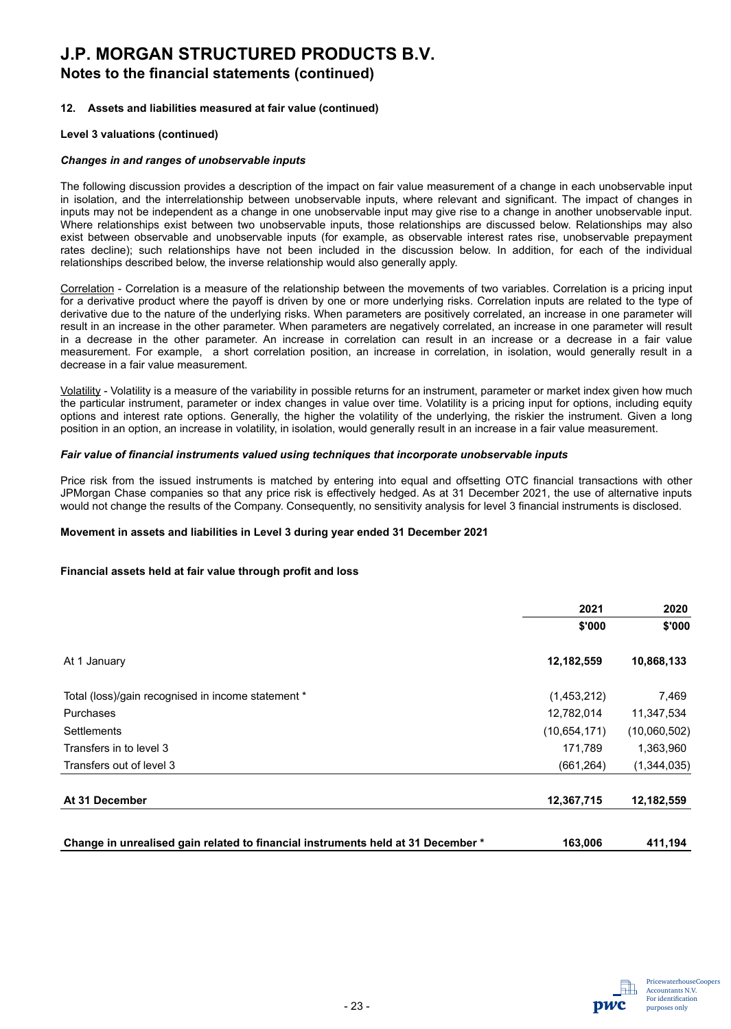## **J.P. MORGAN STRUCTURED PRODUCTS B.V. Notes to the financial statements (continued)**

#### **12. Assets and liabilities measured at fair value (continued)**

#### **Level 3 valuations (continued)**

#### *Changes in and ranges of unobservable inputs*

The following discussion provides a description of the impact on fair value measurement of a change in each unobservable input in isolation, and the interrelationship between unobservable inputs, where relevant and significant. The impact of changes in inputs may not be independent as a change in one unobservable input may give rise to a change in another unobservable input. Where relationships exist between two unobservable inputs, those relationships are discussed below. Relationships may also exist between observable and unobservable inputs (for example, as observable interest rates rise, unobservable prepayment rates decline); such relationships have not been included in the discussion below. In addition, for each of the individual relationships described below, the inverse relationship would also generally apply.

Correlation - Correlation is a measure of the relationship between the movements of two variables. Correlation is a pricing input for a derivative product where the payoff is driven by one or more underlying risks. Correlation inputs are related to the type of derivative due to the nature of the underlying risks. When parameters are positively correlated, an increase in one parameter will result in an increase in the other parameter. When parameters are negatively correlated, an increase in one parameter will result in a decrease in the other parameter. An increase in correlation can result in an increase or a decrease in a fair value measurement. For example, a short correlation position, an increase in correlation, in isolation, would generally result in a decrease in a fair value measurement.

Volatility - Volatility is a measure of the variability in possible returns for an instrument, parameter or market index given how much the particular instrument, parameter or index changes in value over time. Volatility is a pricing input for options, including equity options and interest rate options. Generally, the higher the volatility of the underlying, the riskier the instrument. Given a long position in an option, an increase in volatility, in isolation, would generally result in an increase in a fair value measurement.

#### *Fair value of financial instruments valued using techniques that incorporate unobservable inputs*

Price risk from the issued instruments is matched by entering into equal and offsetting OTC financial transactions with other JPMorgan Chase companies so that any price risk is effectively hedged. As at 31 December 2021, the use of alternative inputs would not change the results of the Company. Consequently, no sensitivity analysis for level 3 financial instruments is disclosed.

#### **Movement in assets and liabilities in Level 3 during year ended 31 December 2021**

#### **Financial assets held at fair value through profit and loss**

| \$'000<br>12,182,559 | \$'000<br>10,868,133 |
|----------------------|----------------------|
|                      |                      |
|                      |                      |
| (1,453,212)          | 7,469                |
| 12,782,014           | 11,347,534           |
| (10,654,171)         | (10,060,502)         |
| 171,789              | 1,363,960            |
| (661, 264)           | (1,344,035)          |
| 12,367,715           | 12,182,559           |
|                      |                      |

| Change in unrealised gain related to financial instruments held at 31 December * | 163.006 | 411,194 |
|----------------------------------------------------------------------------------|---------|---------|
|                                                                                  |         |         |

nwc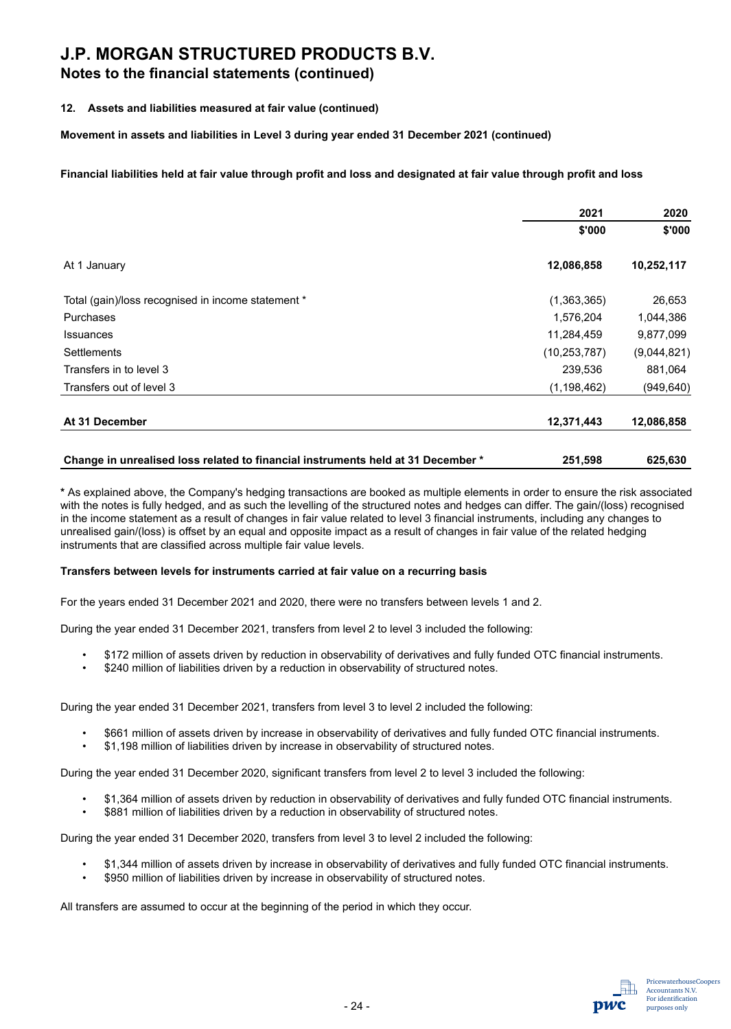### **Notes to the financial statements (continued)**

#### **12. Assets and liabilities measured at fair value (continued)**

**Movement in assets and liabilities in Level 3 during year ended 31 December 2021 (continued)**

**Financial liabilities held at fair value through profit and loss and designated at fair value through profit and loss**

|                                                    | 2021           | 2020        |
|----------------------------------------------------|----------------|-------------|
|                                                    | \$'000         | \$'000      |
| At 1 January                                       | 12,086,858     | 10,252,117  |
| Total (gain)/loss recognised in income statement * | (1,363,365)    | 26,653      |
| Purchases                                          | 1,576,204      | 1,044,386   |
| <b>Issuances</b>                                   | 11,284,459     | 9,877,099   |
| Settlements                                        | (10, 253, 787) | (9,044,821) |
| Transfers in to level 3                            | 239,536        | 881,064     |
| Transfers out of level 3                           | (1, 198, 462)  | (949, 640)  |
| At 31 December                                     | 12,371,443     | 12,086,858  |
|                                                    |                |             |

| Change in unrealised loss related to financial instruments held at 31 December * | 251,598 | 625,630 |
|----------------------------------------------------------------------------------|---------|---------|
|                                                                                  |         |         |

**\*** As explained above, the Company's hedging transactions are booked as multiple elements in order to ensure the risk associated with the notes is fully hedged, and as such the levelling of the structured notes and hedges can differ. The gain/(loss) recognised in the income statement as a result of changes in fair value related to level 3 financial instruments, including any changes to unrealised gain/(loss) is offset by an equal and opposite impact as a result of changes in fair value of the related hedging instruments that are classified across multiple fair value levels.

#### **Transfers between levels for instruments carried at fair value on a recurring basis**

For the years ended 31 December 2021 and 2020, there were no transfers between levels 1 and 2.

During the year ended 31 December 2021, transfers from level 2 to level 3 included the following:

- \$172 million of assets driven by reduction in observability of derivatives and fully funded OTC financial instruments.
- \$240 million of liabilities driven by a reduction in observability of structured notes.

During the year ended 31 December 2021, transfers from level 3 to level 2 included the following:

- \$661 million of assets driven by increase in observability of derivatives and fully funded OTC financial instruments.
- \$1,198 million of liabilities driven by increase in observability of structured notes.

During the year ended 31 December 2020, significant transfers from level 2 to level 3 included the following:

- \$1,364 million of assets driven by reduction in observability of derivatives and fully funded OTC financial instruments.
- \$881 million of liabilities driven by a reduction in observability of structured notes.

During the year ended 31 December 2020, transfers from level 3 to level 2 included the following:

- \$1,344 million of assets driven by increase in observability of derivatives and fully funded OTC financial instruments.
- \$950 million of liabilities driven by increase in observability of structured notes.

All transfers are assumed to occur at the beginning of the period in which they occur.

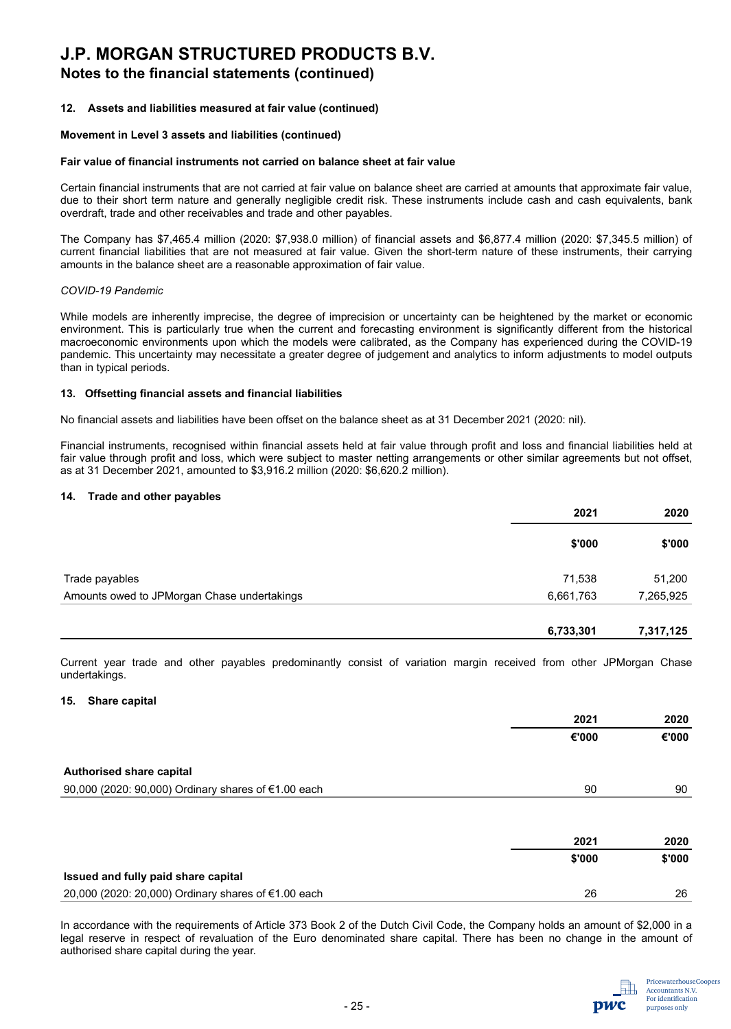### **Notes to the financial statements (continued)**

#### **12. Assets and liabilities measured at fair value (continued)**

#### **Movement in Level 3 assets and liabilities (continued)**

#### **Fair value of financial instruments not carried on balance sheet at fair value**

Certain financial instruments that are not carried at fair value on balance sheet are carried at amounts that approximate fair value, due to their short term nature and generally negligible credit risk. These instruments include cash and cash equivalents, bank overdraft, trade and other receivables and trade and other payables.

The Company has \$7,465.4 million (2020: \$7,938.0 million) of financial assets and \$6,877.4 million (2020: \$7,345.5 million) of current financial liabilities that are not measured at fair value. Given the short-term nature of these instruments, their carrying amounts in the balance sheet are a reasonable approximation of fair value.

#### *COVID-19 Pandemic*

While models are inherently imprecise, the degree of imprecision or uncertainty can be heightened by the market or economic environment. This is particularly true when the current and forecasting environment is significantly different from the historical macroeconomic environments upon which the models were calibrated, as the Company has experienced during the COVID-19 pandemic. This uncertainty may necessitate a greater degree of judgement and analytics to inform adjustments to model outputs than in typical periods.

#### **13. Offsetting financial assets and financial liabilities**

No financial assets and liabilities have been offset on the balance sheet as at 31 December 2021 (2020: nil).

Financial instruments, recognised within financial assets held at fair value through profit and loss and financial liabilities held at fair value through profit and loss, which were subject to master netting arrangements or other similar agreements but not offset, as at 31 December 2021, amounted to \$3,916.2 million (2020: \$6,620.2 million).

#### **14. Trade and other payables**

|                                             | 2021      | 2020      |
|---------------------------------------------|-----------|-----------|
|                                             | \$'000    | \$'000    |
| Trade payables                              | 71,538    | 51,200    |
| Amounts owed to JPMorgan Chase undertakings | 6,661,763 | 7,265,925 |
|                                             |           |           |

Current year trade and other payables predominantly consist of variation margin received from other JPMorgan Chase undertakings.

#### **15. Share capital**

|                                                     | 2021   | 2020   |
|-----------------------------------------------------|--------|--------|
|                                                     | €'000  | €'000  |
| Authorised share capital                            |        |        |
| 90,000 (2020: 90,000) Ordinary shares of €1.00 each | 90     | 90     |
|                                                     |        |        |
|                                                     | 2021   | 2020   |
|                                                     | \$'000 | \$'000 |
| Issued and fully paid share capital                 |        |        |
| 20,000 (2020: 20,000) Ordinary shares of €1.00 each | 26     | 26     |

In accordance with the requirements of Article 373 Book 2 of the Dutch Civil Code, the Company holds an amount of \$2,000 in a legal reserve in respect of revaluation of the Euro denominated share capital. There has been no change in the amount of authorised share capital during the year.

 **6,733,301 7,317,125**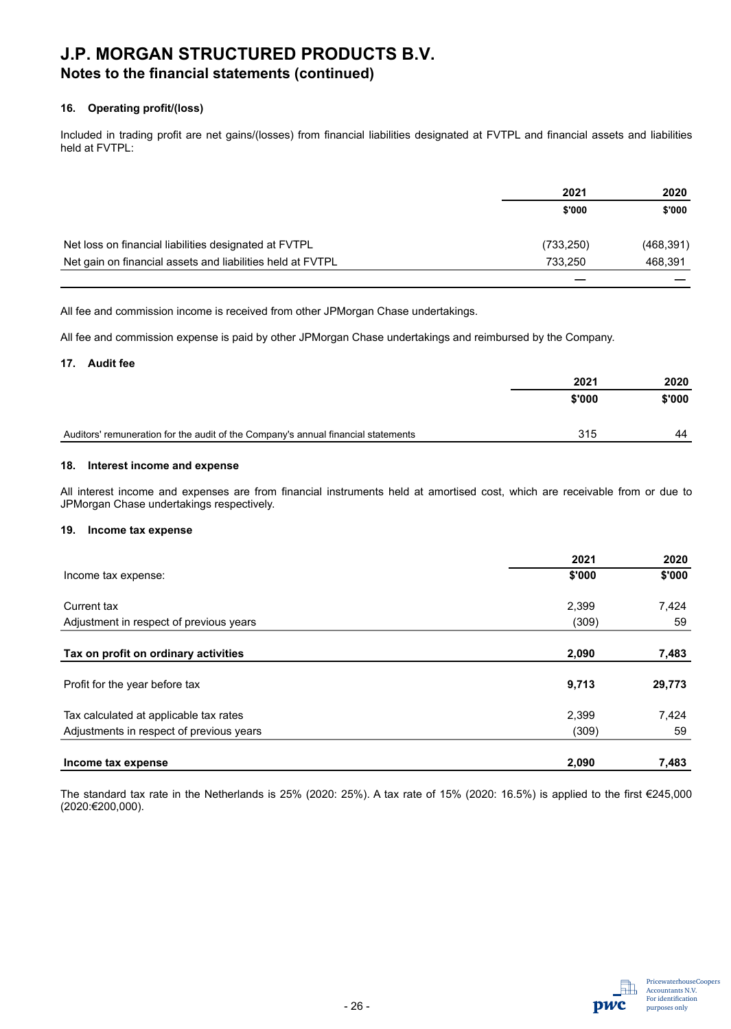## **Notes to the financial statements (continued)**

#### **16. Operating profit/(loss)**

Included in trading profit are net gains/(losses) from financial liabilities designated at FVTPL and financial assets and liabilities held at FVTPL:

|                                                            | 2021       | 2020       |
|------------------------------------------------------------|------------|------------|
|                                                            | \$'000     | \$'000     |
| Net loss on financial liabilities designated at FVTPL      | (733, 250) | (468, 391) |
| Net gain on financial assets and liabilities held at FVTPL | 733.250    | 468,391    |
|                                                            |            |            |

All fee and commission income is received from other JPMorgan Chase undertakings.

All fee and commission expense is paid by other JPMorgan Chase undertakings and reimbursed by the Company.

#### **17. Audit fee**

|                                                                                   | 2021   | 2020   |
|-----------------------------------------------------------------------------------|--------|--------|
|                                                                                   | \$'000 | \$'000 |
|                                                                                   |        |        |
| Auditors' remuneration for the audit of the Company's annual financial statements | 315    | 44     |

#### **18. Interest income and expense**

All interest income and expenses are from financial instruments held at amortised cost, which are receivable from or due to JPMorgan Chase undertakings respectively.

#### **19. Income tax expense**

|                                          | 2021   | 2020   |
|------------------------------------------|--------|--------|
| Income tax expense:                      | \$'000 | \$'000 |
| Current tax                              | 2,399  | 7,424  |
| Adjustment in respect of previous years  | (309)  | 59     |
|                                          |        |        |
| Tax on profit on ordinary activities     | 2,090  | 7,483  |
| Profit for the year before tax           | 9,713  | 29,773 |
| Tax calculated at applicable tax rates   | 2,399  | 7,424  |
| Adjustments in respect of previous years | (309)  | 59     |
| Income tax expense                       | 2,090  | 7,483  |

The standard tax rate in the Netherlands is 25% (2020: 25%). A tax rate of 15% (2020: 16.5%) is applied to the first €245,000 (2020:€200,000).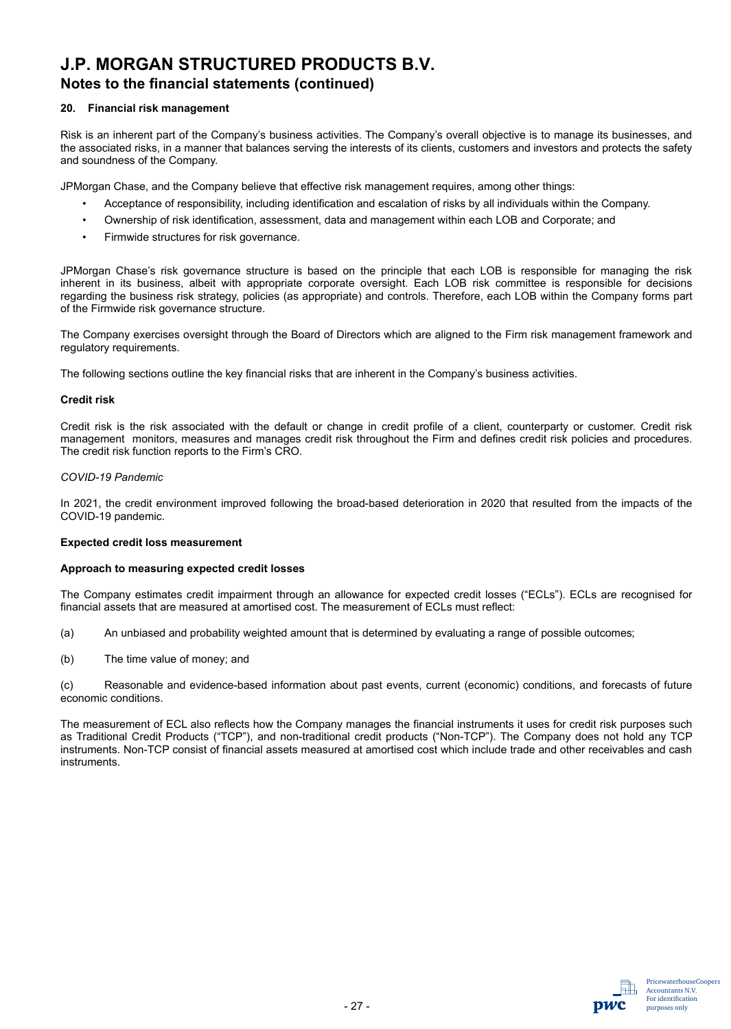### **Notes to the financial statements (continued)**

#### **20. Financial risk management**

Risk is an inherent part of the Company's business activities. The Company's overall objective is to manage its businesses, and the associated risks, in a manner that balances serving the interests of its clients, customers and investors and protects the safety and soundness of the Company.

JPMorgan Chase, and the Company believe that effective risk management requires, among other things:

- Acceptance of responsibility, including identification and escalation of risks by all individuals within the Company.
- Ownership of risk identification, assessment, data and management within each LOB and Corporate; and
- Firmwide structures for risk governance.

JPMorgan Chase's risk governance structure is based on the principle that each LOB is responsible for managing the risk inherent in its business, albeit with appropriate corporate oversight. Each LOB risk committee is responsible for decisions regarding the business risk strategy, policies (as appropriate) and controls. Therefore, each LOB within the Company forms part of the Firmwide risk governance structure.

The Company exercises oversight through the Board of Directors which are aligned to the Firm risk management framework and regulatory requirements.

The following sections outline the key financial risks that are inherent in the Company's business activities.

#### **Credit risk**

Credit risk is the risk associated with the default or change in credit profile of a client, counterparty or customer. Credit risk management monitors, measures and manages credit risk throughout the Firm and defines credit risk policies and procedures. The credit risk function reports to the Firm's CRO.

#### *COVID-19 Pandemic*

In 2021, the credit environment improved following the broad-based deterioration in 2020 that resulted from the impacts of the COVID-19 pandemic.

#### **Expected credit loss measurement**

#### **Approach to measuring expected credit losses**

The Company estimates credit impairment through an allowance for expected credit losses ("ECLs"). ECLs are recognised for financial assets that are measured at amortised cost. The measurement of ECLs must reflect:

- (a) An unbiased and probability weighted amount that is determined by evaluating a range of possible outcomes;
- (b) The time value of money; and

(c) Reasonable and evidence-based information about past events, current (economic) conditions, and forecasts of future economic conditions.

The measurement of ECL also reflects how the Company manages the financial instruments it uses for credit risk purposes such as Traditional Credit Products ("TCP"), and non-traditional credit products ("Non-TCP"). The Company does not hold any TCP instruments. Non-TCP consist of financial assets measured at amortised cost which include trade and other receivables and cash instruments.

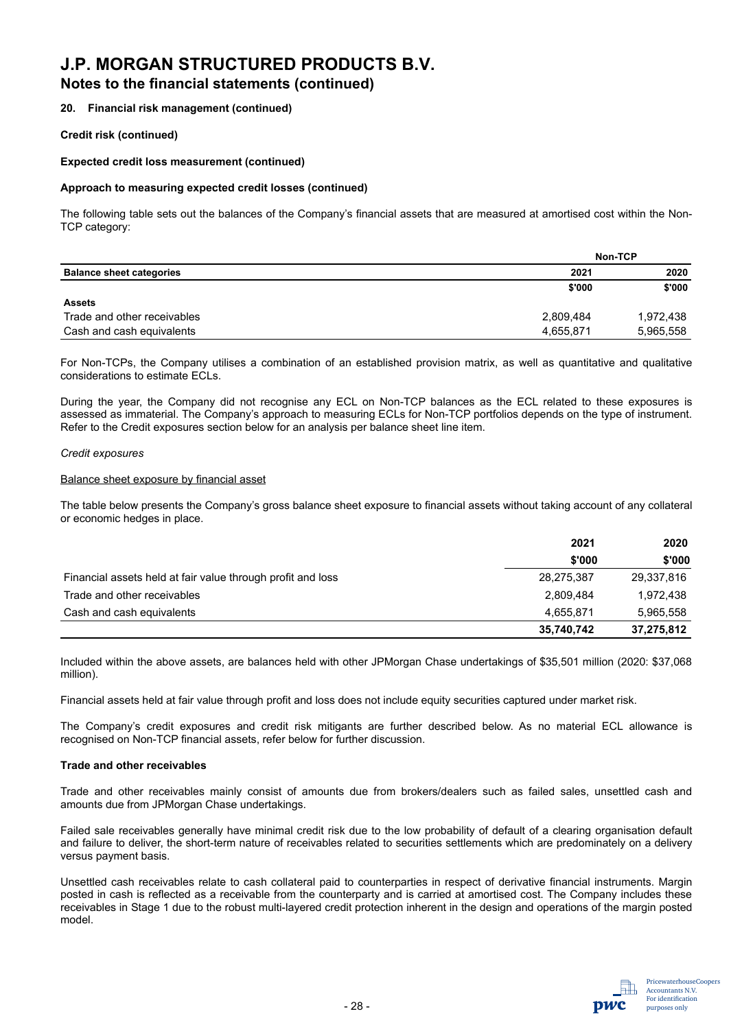### **Notes to the financial statements (continued)**

#### **20. Financial risk management (continued)**

#### **Credit risk (continued)**

#### **Expected credit loss measurement (continued)**

#### **Approach to measuring expected credit losses (continued)**

The following table sets out the balances of the Company's financial assets that are measured at amortised cost within the Non-TCP category:

|                                 |           | Non-TCP   |
|---------------------------------|-----------|-----------|
| <b>Balance sheet categories</b> | 2021      | 2020      |
|                                 | \$'000    | \$'000    |
| Assets                          |           |           |
| Trade and other receivables     | 2,809,484 | 1,972,438 |
| Cash and cash equivalents       | 4,655,871 | 5,965,558 |

For Non-TCPs, the Company utilises a combination of an established provision matrix, as well as quantitative and qualitative considerations to estimate ECLs.

During the year, the Company did not recognise any ECL on Non-TCP balances as the ECL related to these exposures is assessed as immaterial. The Company's approach to measuring ECLs for Non-TCP portfolios depends on the type of instrument. Refer to the Credit exposures section below for an analysis per balance sheet line item.

#### *Credit exposures*

#### Balance sheet exposure by financial asset

The table below presents the Company's gross balance sheet exposure to financial assets without taking account of any collateral or economic hedges in place.

|                                                             | 2021       | 2020       |
|-------------------------------------------------------------|------------|------------|
|                                                             | \$'000     | \$'000     |
| Financial assets held at fair value through profit and loss | 28,275,387 | 29,337,816 |
| Trade and other receivables                                 | 2,809,484  | 1.972.438  |
| Cash and cash equivalents                                   | 4,655,871  | 5,965,558  |
|                                                             | 35,740,742 | 37,275,812 |

Included within the above assets, are balances held with other JPMorgan Chase undertakings of \$35,501 million (2020: \$37,068 million).

Financial assets held at fair value through profit and loss does not include equity securities captured under market risk.

The Company's credit exposures and credit risk mitigants are further described below. As no material ECL allowance is recognised on Non-TCP financial assets, refer below for further discussion.

#### **Trade and other receivables**

Trade and other receivables mainly consist of amounts due from brokers/dealers such as failed sales, unsettled cash and amounts due from JPMorgan Chase undertakings.

Failed sale receivables generally have minimal credit risk due to the low probability of default of a clearing organisation default and failure to deliver, the short-term nature of receivables related to securities settlements which are predominately on a delivery versus payment basis.

Unsettled cash receivables relate to cash collateral paid to counterparties in respect of derivative financial instruments. Margin posted in cash is reflected as a receivable from the counterparty and is carried at amortised cost. The Company includes these receivables in Stage 1 due to the robust multi-layered credit protection inherent in the design and operations of the margin posted model.

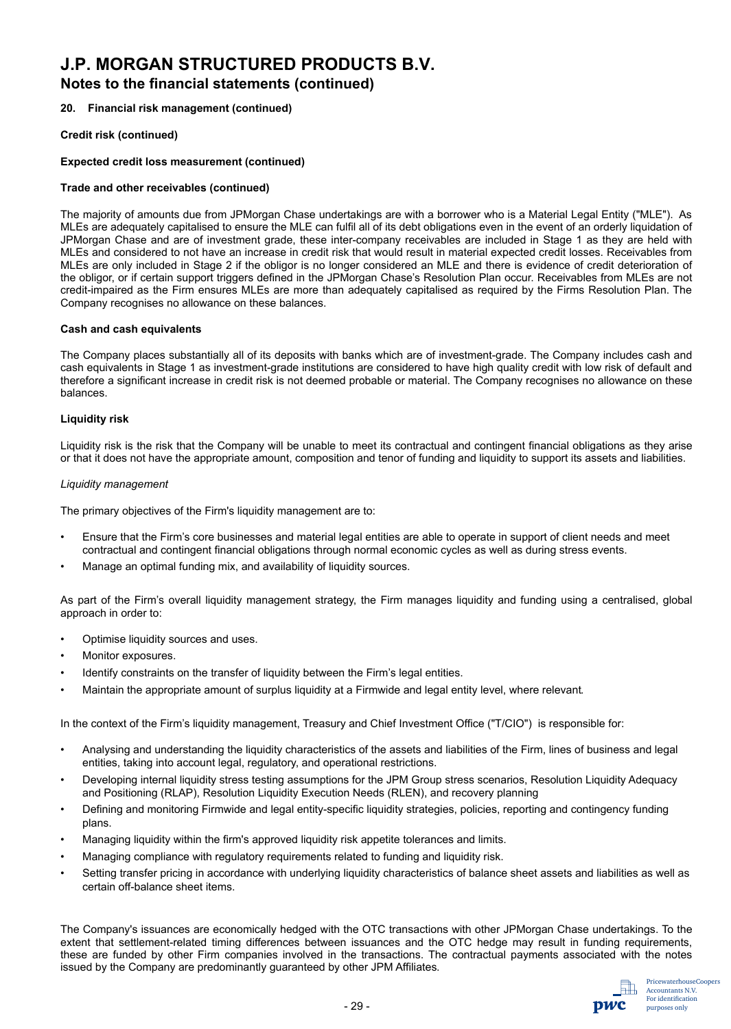### **Notes to the financial statements (continued)**

#### **20. Financial risk management (continued)**

#### **Credit risk (continued)**

#### **Expected credit loss measurement (continued)**

#### **Trade and other receivables (continued)**

The majority of amounts due from JPMorgan Chase undertakings are with a borrower who is a Material Legal Entity ("MLE"). As MLEs are adequately capitalised to ensure the MLE can fulfil all of its debt obligations even in the event of an orderly liquidation of JPMorgan Chase and are of investment grade, these inter-company receivables are included in Stage 1 as they are held with MLEs and considered to not have an increase in credit risk that would result in material expected credit losses. Receivables from MLEs are only included in Stage 2 if the obligor is no longer considered an MLE and there is evidence of credit deterioration of the obligor, or if certain support triggers defined in the JPMorgan Chase's Resolution Plan occur. Receivables from MLEs are not credit-impaired as the Firm ensures MLEs are more than adequately capitalised as required by the Firms Resolution Plan. The Company recognises no allowance on these balances.

#### **Cash and cash equivalents**

The Company places substantially all of its deposits with banks which are of investment-grade. The Company includes cash and cash equivalents in Stage 1 as investment-grade institutions are considered to have high quality credit with low risk of default and therefore a significant increase in credit risk is not deemed probable or material. The Company recognises no allowance on these balances.

#### **Liquidity risk**

Liquidity risk is the risk that the Company will be unable to meet its contractual and contingent financial obligations as they arise or that it does not have the appropriate amount, composition and tenor of funding and liquidity to support its assets and liabilities.

#### *Liquidity management*

The primary objectives of the Firm's liquidity management are to:

- Ensure that the Firm's core businesses and material legal entities are able to operate in support of client needs and meet contractual and contingent financial obligations through normal economic cycles as well as during stress events.
- Manage an optimal funding mix, and availability of liquidity sources.

As part of the Firm's overall liquidity management strategy, the Firm manages liquidity and funding using a centralised, global approach in order to:

- Optimise liquidity sources and uses.
- Monitor exposures.
- Identify constraints on the transfer of liquidity between the Firm's legal entities.
- Maintain the appropriate amount of surplus liquidity at a Firmwide and legal entity level, where relevant.

In the context of the Firm's liquidity management, Treasury and Chief Investment Office ("T/CIO") is responsible for:

- Analysing and understanding the liquidity characteristics of the assets and liabilities of the Firm, lines of business and legal entities, taking into account legal, regulatory, and operational restrictions.
- Developing internal liquidity stress testing assumptions for the JPM Group stress scenarios, Resolution Liquidity Adequacy and Positioning (RLAP), Resolution Liquidity Execution Needs (RLEN), and recovery planning
- Defining and monitoring Firmwide and legal entity-specific liquidity strategies, policies, reporting and contingency funding plans.
- Managing liquidity within the firm's approved liquidity risk appetite tolerances and limits.
- Managing compliance with regulatory requirements related to funding and liquidity risk.
- Setting transfer pricing in accordance with underlying liquidity characteristics of balance sheet assets and liabilities as well as certain off-balance sheet items.

The Company's issuances are economically hedged with the OTC transactions with other JPMorgan Chase undertakings. To the extent that settlement-related timing differences between issuances and the OTC hedge may result in funding requirements, these are funded by other Firm companies involved in the transactions. The contractual payments associated with the notes issued by the Company are predominantly guaranteed by other JPM Affiliates.

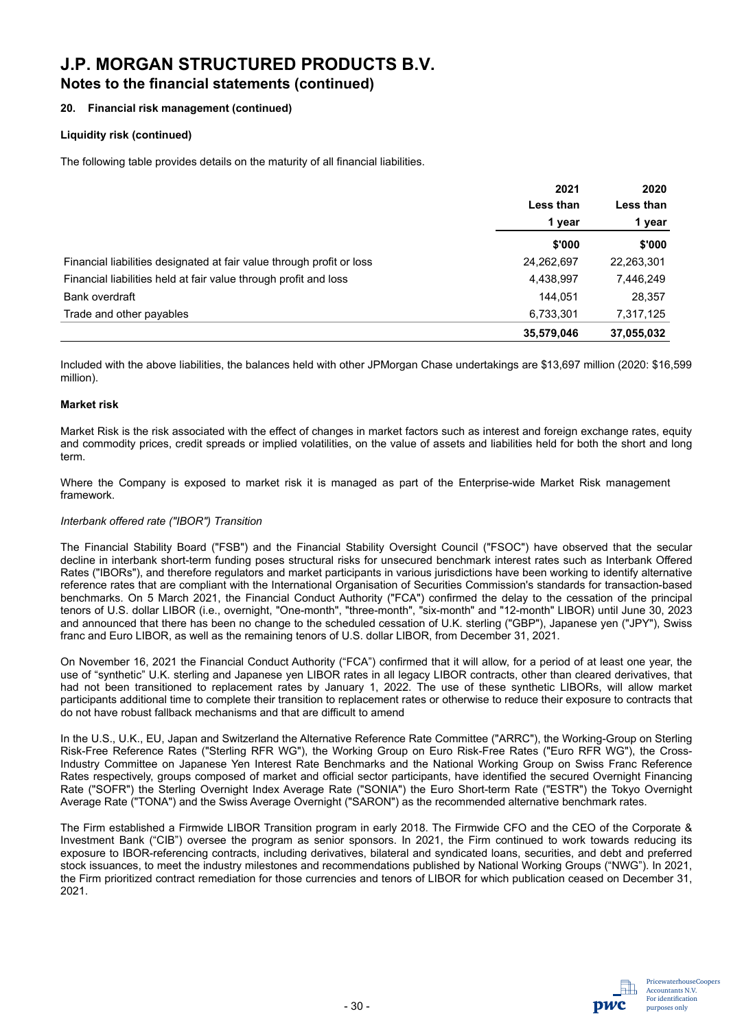### **Notes to the financial statements (continued)**

#### **20. Financial risk management (continued)**

#### **Liquidity risk (continued)**

The following table provides details on the maturity of all financial liabilities.

|                                                                       | 2021       | 2020       |           |
|-----------------------------------------------------------------------|------------|------------|-----------|
|                                                                       | Less than  |            | Less than |
|                                                                       | 1 year     | 1 year     |           |
|                                                                       | \$'000     | \$'000     |           |
| Financial liabilities designated at fair value through profit or loss | 24,262,697 | 22,263,301 |           |
| Financial liabilities held at fair value through profit and loss      | 4,438,997  | 7,446,249  |           |
| Bank overdraft                                                        | 144.051    | 28,357     |           |
| Trade and other payables                                              | 6,733,301  | 7,317,125  |           |
|                                                                       | 35,579,046 | 37,055,032 |           |

Included with the above liabilities, the balances held with other JPMorgan Chase undertakings are \$13,697 million (2020: \$16,599 million).

#### **Market risk**

Market Risk is the risk associated with the effect of changes in market factors such as interest and foreign exchange rates, equity and commodity prices, credit spreads or implied volatilities, on the value of assets and liabilities held for both the short and long term.

Where the Company is exposed to market risk it is managed as part of the Enterprise-wide Market Risk management framework.

#### *Interbank offered rate ("IBOR") Transition*

The Financial Stability Board ("FSB") and the Financial Stability Oversight Council ("FSOC") have observed that the secular decline in interbank short-term funding poses structural risks for unsecured benchmark interest rates such as Interbank Offered Rates ("IBORs"), and therefore regulators and market participants in various jurisdictions have been working to identify alternative reference rates that are compliant with the International Organisation of Securities Commission's standards for transaction-based benchmarks. On 5 March 2021, the Financial Conduct Authority ("FCA") confirmed the delay to the cessation of the principal tenors of U.S. dollar LIBOR (i.e., overnight, "One-month", "three-month", "six-month" and "12-month" LIBOR) until June 30, 2023 and announced that there has been no change to the scheduled cessation of U.K. sterling ("GBP"), Japanese yen ("JPY"), Swiss franc and Euro LIBOR, as well as the remaining tenors of U.S. dollar LIBOR, from December 31, 2021.

On November 16, 2021 the Financial Conduct Authority ("FCA") confirmed that it will allow, for a period of at least one year, the use of "synthetic" U.K. sterling and Japanese yen LIBOR rates in all legacy LIBOR contracts, other than cleared derivatives, that had not been transitioned to replacement rates by January 1, 2022. The use of these synthetic LIBORs, will allow market participants additional time to complete their transition to replacement rates or otherwise to reduce their exposure to contracts that do not have robust fallback mechanisms and that are difficult to amend

In the U.S., U.K., EU, Japan and Switzerland the Alternative Reference Rate Committee ("ARRC"), the Working-Group on Sterling Risk-Free Reference Rates ("Sterling RFR WG"), the Working Group on Euro Risk-Free Rates ("Euro RFR WG"), the Cross-Industry Committee on Japanese Yen Interest Rate Benchmarks and the National Working Group on Swiss Franc Reference Rates respectively, groups composed of market and official sector participants, have identified the secured Overnight Financing Rate ("SOFR") the Sterling Overnight Index Average Rate ("SONIA") the Euro Short-term Rate ("ESTR") the Tokyo Overnight Average Rate ("TONA") and the Swiss Average Overnight ("SARON") as the recommended alternative benchmark rates.

The Firm established a Firmwide LIBOR Transition program in early 2018. The Firmwide CFO and the CEO of the Corporate & Investment Bank ("CIB") oversee the program as senior sponsors. In 2021, the Firm continued to work towards reducing its exposure to IBOR-referencing contracts, including derivatives, bilateral and syndicated loans, securities, and debt and preferred stock issuances, to meet the industry milestones and recommendations published by National Working Groups ("NWG"). In 2021, the Firm prioritized contract remediation for those currencies and tenors of LIBOR for which publication ceased on December 31, 2021.

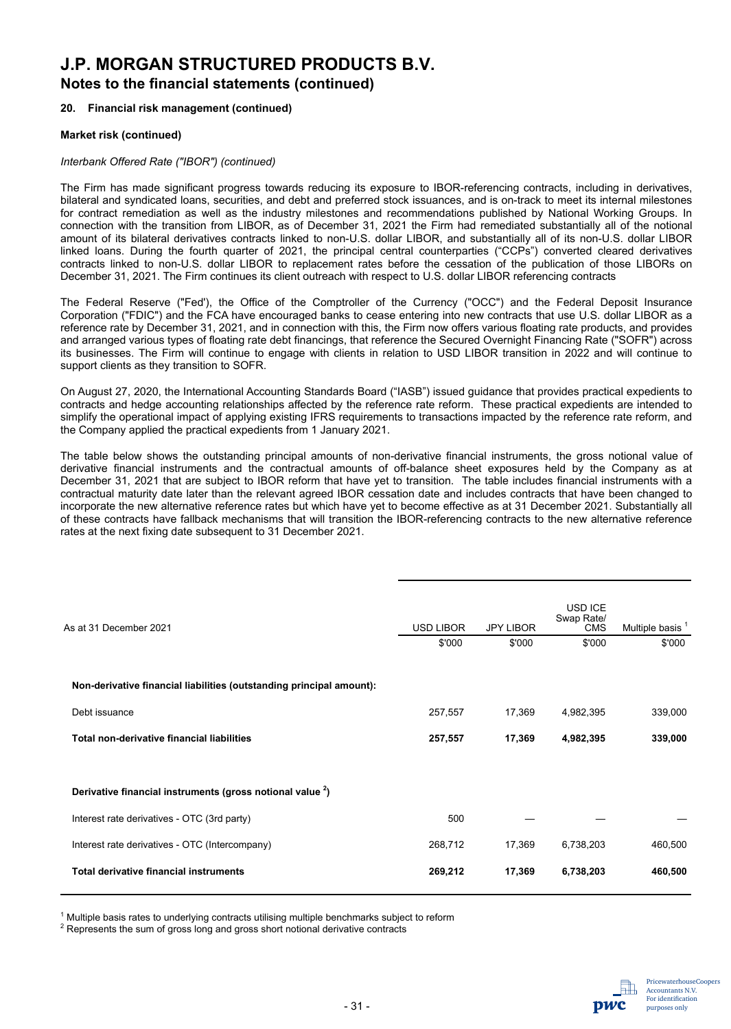## **Notes to the financial statements (continued)**

#### **20. Financial risk management (continued)**

#### **Market risk (continued)**

#### *Interbank Offered Rate ("IBOR") (continued)*

The Firm has made significant progress towards reducing its exposure to IBOR-referencing contracts, including in derivatives, bilateral and syndicated loans, securities, and debt and preferred stock issuances, and is on-track to meet its internal milestones for contract remediation as well as the industry milestones and recommendations published by National Working Groups. In connection with the transition from LIBOR, as of December 31, 2021 the Firm had remediated substantially all of the notional amount of its bilateral derivatives contracts linked to non-U.S. dollar LIBOR, and substantially all of its non-U.S. dollar LIBOR linked loans. During the fourth quarter of 2021, the principal central counterparties ("CCPs") converted cleared derivatives contracts linked to non-U.S. dollar LIBOR to replacement rates before the cessation of the publication of those LIBORs on December 31, 2021. The Firm continues its client outreach with respect to U.S. dollar LIBOR referencing contracts

The Federal Reserve ("Fed'), the Office of the Comptroller of the Currency ("OCC") and the Federal Deposit Insurance Corporation ("FDIC") and the FCA have encouraged banks to cease entering into new contracts that use U.S. dollar LIBOR as a reference rate by December 31, 2021, and in connection with this, the Firm now offers various floating rate products, and provides and arranged various types of floating rate debt financings, that reference the Secured Overnight Financing Rate ("SOFR") across its businesses. The Firm will continue to engage with clients in relation to USD LIBOR transition in 2022 and will continue to support clients as they transition to SOFR.

On August 27, 2020, the International Accounting Standards Board ("IASB") issued guidance that provides practical expedients to contracts and hedge accounting relationships affected by the reference rate reform. These practical expedients are intended to simplify the operational impact of applying existing IFRS requirements to transactions impacted by the reference rate reform, and the Company applied the practical expedients from 1 January 2021.

The table below shows the outstanding principal amounts of non-derivative financial instruments, the gross notional value of derivative financial instruments and the contractual amounts of off-balance sheet exposures held by the Company as at December 31, 2021 that are subject to IBOR reform that have yet to transition. The table includes financial instruments with a contractual maturity date later than the relevant agreed IBOR cessation date and includes contracts that have been changed to incorporate the new alternative reference rates but which have yet to become effective as at 31 December 2021. Substantially all of these contracts have fallback mechanisms that will transition the IBOR-referencing contracts to the new alternative reference rates at the next fixing date subsequent to 31 December 2021.

| As at 31 December 2021                                                | <b>USD LIBOR</b><br>\$'000 | <b>JPY LIBOR</b><br>\$'000 | USD ICE<br>Swap Rate/<br><b>CMS</b><br>\$'000 | Multiple basis <sup>1</sup><br>\$'000 |
|-----------------------------------------------------------------------|----------------------------|----------------------------|-----------------------------------------------|---------------------------------------|
| Non-derivative financial liabilities (outstanding principal amount):  |                            |                            |                                               |                                       |
| Debt issuance                                                         | 257,557                    | 17,369                     | 4,982,395                                     | 339,000                               |
| <b>Total non-derivative financial liabilities</b>                     | 257,557                    | 17,369                     | 4,982,395                                     | 339,000                               |
|                                                                       |                            |                            |                                               |                                       |
| Derivative financial instruments (gross notional value <sup>2</sup> ) |                            |                            |                                               |                                       |
| Interest rate derivatives - OTC (3rd party)                           | 500                        |                            |                                               |                                       |
| Interest rate derivatives - OTC (Intercompany)                        | 268,712                    | 17,369                     | 6,738,203                                     | 460,500                               |
| <b>Total derivative financial instruments</b>                         | 269,212                    | 17,369                     | 6,738,203                                     | 460,500                               |
|                                                                       |                            |                            |                                               |                                       |

<sup>1</sup> Multiple basis rates to underlying contracts utilising multiple benchmarks subject to reform

 $2$  Represents the sum of gross long and gross short notional derivative contracts

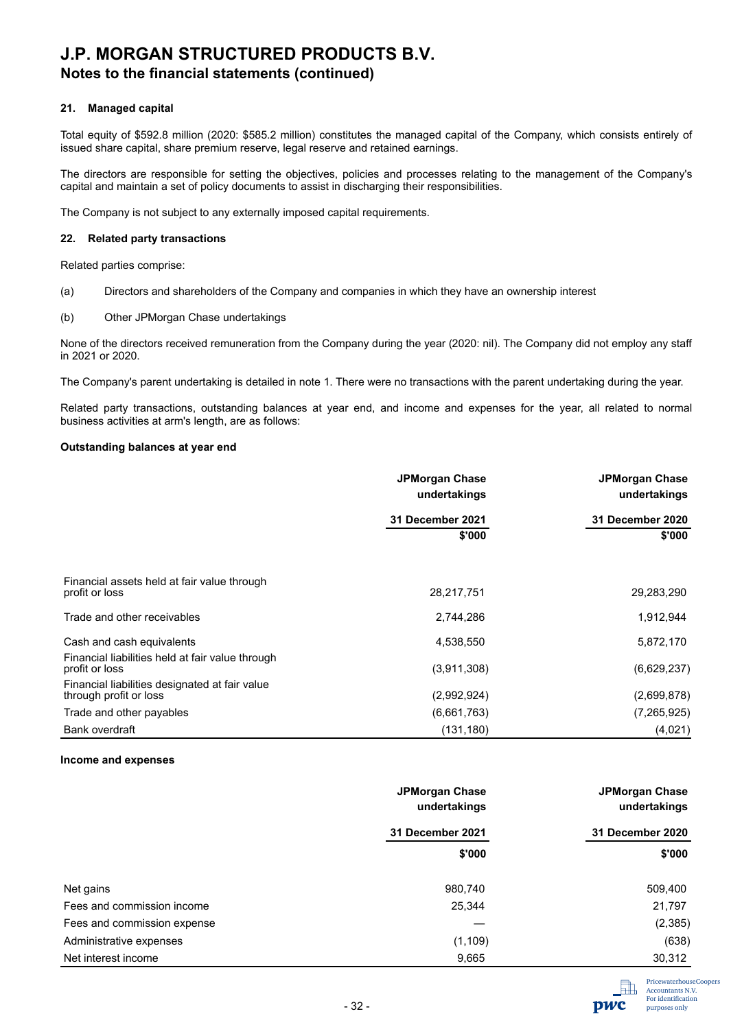## **Notes to the financial statements (continued)**

#### **21. Managed capital**

Total equity of \$592.8 million (2020: \$585.2 million) constitutes the managed capital of the Company, which consists entirely of issued share capital, share premium reserve, legal reserve and retained earnings.

The directors are responsible for setting the objectives, policies and processes relating to the management of the Company's capital and maintain a set of policy documents to assist in discharging their responsibilities.

The Company is not subject to any externally imposed capital requirements.

#### **22. Related party transactions**

Related parties comprise:

- (a) Directors and shareholders of the Company and companies in which they have an ownership interest
- (b) Other JPMorgan Chase undertakings

None of the directors received remuneration from the Company during the year (2020: nil). The Company did not employ any staff in 2021 or 2020.

The Company's parent undertaking is detailed in note 1. There were no transactions with the parent undertaking during the year.

Related party transactions, outstanding balances at year end, and income and expenses for the year, all related to normal business activities at arm's length, are as follows:

#### **Outstanding balances at year end**

|                                                                          | <b>JPMorgan Chase</b><br>undertakings | <b>JPMorgan Chase</b><br>undertakings<br>31 December 2020 |  |
|--------------------------------------------------------------------------|---------------------------------------|-----------------------------------------------------------|--|
|                                                                          | 31 December 2021                      |                                                           |  |
|                                                                          | \$'000                                | \$'000                                                    |  |
| Financial assets held at fair value through<br>profit or loss            | 28,217,751                            | 29,283,290                                                |  |
| Trade and other receivables                                              | 2,744,286                             | 1,912,944                                                 |  |
| Cash and cash equivalents                                                | 4,538,550                             | 5,872,170                                                 |  |
| Financial liabilities held at fair value through<br>profit or loss       | (3,911,308)                           | (6,629,237)                                               |  |
| Financial liabilities designated at fair value<br>through profit or loss | (2,992,924)                           | (2,699,878)                                               |  |
| Trade and other payables                                                 | (6,661,763)                           | (7, 265, 925)                                             |  |
| Bank overdraft                                                           | (131, 180)                            | (4,021)                                                   |  |

#### **Income and expenses**

|                             | <b>JPMorgan Chase</b><br>undertakings | <b>JPMorgan Chase</b><br>undertakings |
|-----------------------------|---------------------------------------|---------------------------------------|
|                             | 31 December 2021                      | 31 December 2020                      |
|                             | \$'000                                | \$'000                                |
| Net gains                   | 980,740                               | 509,400                               |
| Fees and commission income  | 25,344                                | 21,797                                |
| Fees and commission expense |                                       | (2,385)                               |
| Administrative expenses     | (1, 109)                              | (638)                                 |
| Net interest income         | 9,665                                 | 30,312                                |

**DWC**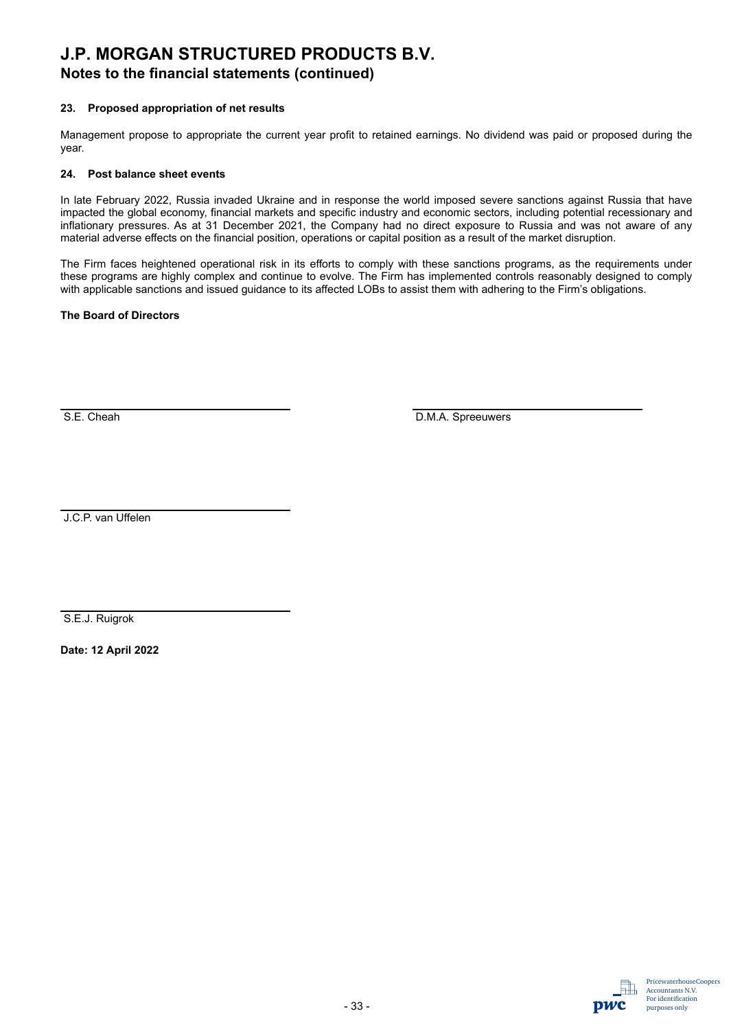## **Notes to the financial statements (continued)**

#### **23. Proposed appropriation of net results**

Management propose to appropriate the current year profit to retained earnings. No dividend was paid or proposed during the year.

#### **24. Post balance sheet events**

In late February 2022, Russia invaded Ukraine and in response the world imposed severe sanctions against Russia that have impacted the global economy, financial markets and specific industry and economic sectors, including potential recessionary and inflationary pressures. As at 31 December 2021, the Company had no direct exposure to Russia and was not aware of any material adverse effects on the financial position, operations or capital position as a result of the market disruption.

The Firm faces heightened operational risk in its efforts to comply with these sanctions programs, as the requirements under these programs are highly complex and continue to evolve. The Firm has implemented controls reasonably designed to comply with applicable sanctions and issued guidance to its affected LOBs to assist them with adhering to the Firm's obligations.

#### **The Board of Directors**

S.E. Cheah D.M.A. Spreeuwers

J.C.P. van Uffelen

S.E.J. Ruigrok

**Date: 12 April 2022** 

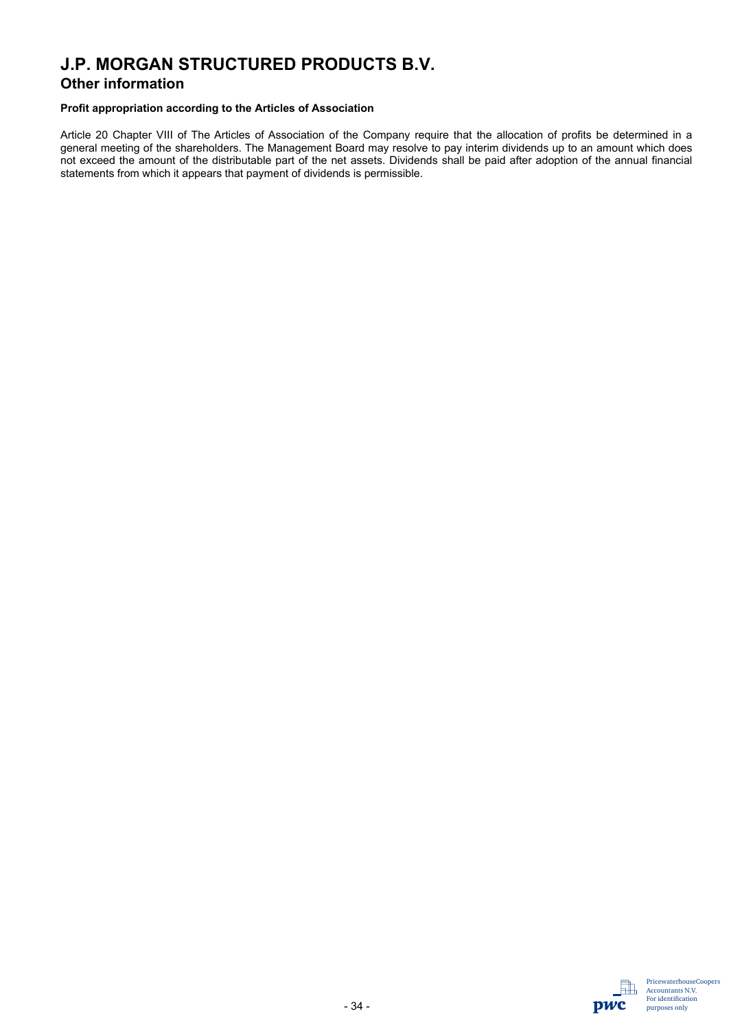### **Other information**

#### **Profit appropriation according to the Articles of Association**

Article 20 Chapter VIII of The Articles of Association of the Company require that the allocation of profits be determined in a general meeting of the shareholders. The Management Board may resolve to pay interim dividends up to an amount which does not exceed the amount of the distributable part of the net assets. Dividends shall be paid after adoption of the annual financial statements from which it appears that payment of dividends is permissible.

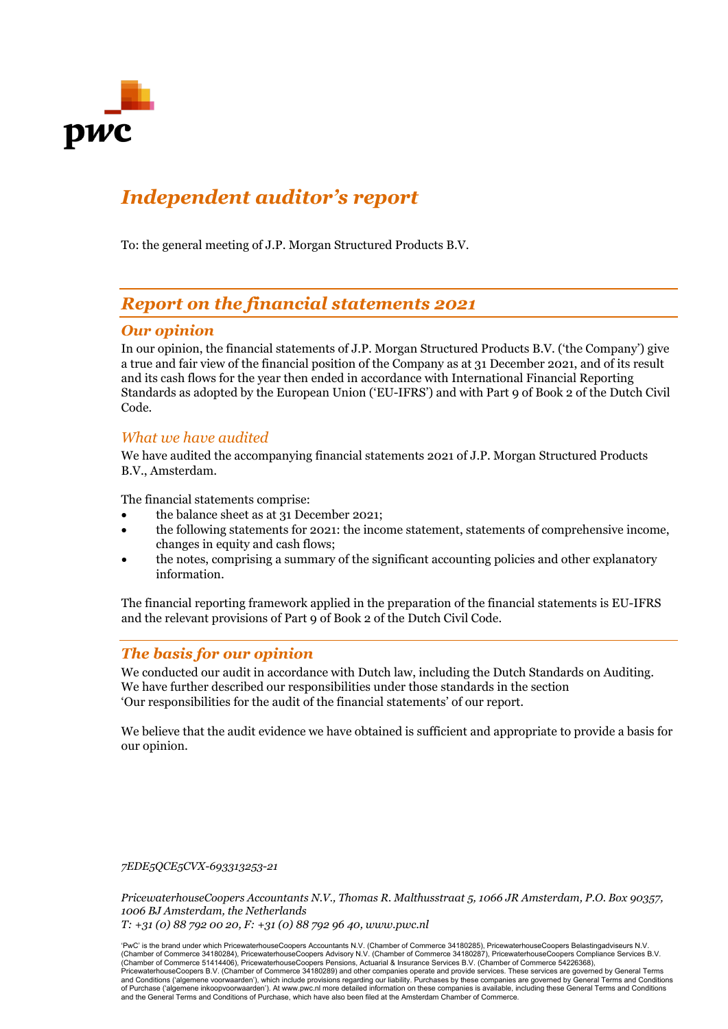

## *Independent auditor's report*

To: the general meeting of J.P. Morgan Structured Products B.V.

## *Report on the financial statements 2021*

### *Our opinion*

In our opinion, the financial statements of J.P. Morgan Structured Products B.V. ('the Company') give a true and fair view of the financial position of the Company as at 31 December 2021, and of its result and its cash flows for the year then ended in accordance with International Financial Reporting Standards as adopted by the European Union ('EU-IFRS') and with Part 9 of Book 2 of the Dutch Civil Code.

### *What we have audited*

We have audited the accompanying financial statements 2021 of J.P. Morgan Structured Products B.V., Amsterdam.

The financial statements comprise:

- the balance sheet as at 31 December 2021;
- the following statements for 2021: the income statement, statements of comprehensive income, changes in equity and cash flows;
- the notes, comprising a summary of the significant accounting policies and other explanatory information.

The financial reporting framework applied in the preparation of the financial statements is EU-IFRS and the relevant provisions of Part 9 of Book 2 of the Dutch Civil Code.

### *The basis for our opinion*

We conducted our audit in accordance with Dutch law, including the Dutch Standards on Auditing. We have further described our responsibilities under those standards in the section 'Our responsibilities for the audit of the financial statements' of our report.

We believe that the audit evidence we have obtained is sufficient and appropriate to provide a basis for our opinion.

#### *7EDE5QCE5CVX-693313253-21*

*PricewaterhouseCoopers Accountants N.V., Thomas R. Malthusstraat 5, 1066 JR Amsterdam, P.O. Box 90357, 1006 BJ Amsterdam, the Netherlands*

*T: +31 (0) 88 792 00 20, F: +31 (0) 88 792 96 40, www.pwc.nl*

'PwC' is the brand under which PricewaterhouseCoopers Accountants N.V. (Chamber of Commerce 34180285), PricewaterhouseCoopers Belastingadviseurs N.V.<br>(Chamber of Commerce 34180284), PricewaterhouseCoopers Advisory N.V. (Ch (Chamber of Commerce 51414406), PricewaterhouseCoopers Pensions, Actuarial & Insurance Services B.V. (Chamber of Commerce 54226368),<br>PricewaterhouseCoopers B.V. (Chamber of Commerce 34180289) and other companies operate an and Conditions ('algemene voorwaarden'), which include provisions regarding our liability. Purchases by these companies are governed by General Terms and Conditions<br>of Purchase ('algemene inkoopvoorwaarden'). At www.pwc.n and the General Terms and Conditions of Purchase, which have also been filed at the Amsterdam Chamber of Commerce.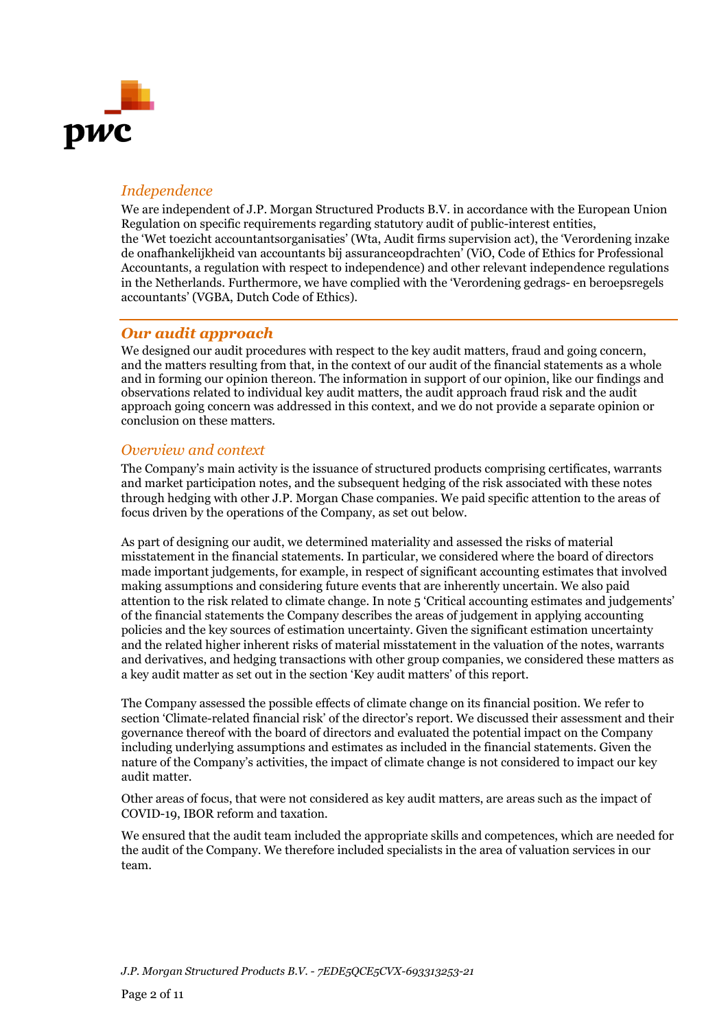

### *Independence*

We are independent of J.P. Morgan Structured Products B.V. in accordance with the European Union Regulation on specific requirements regarding statutory audit of public-interest entities, the 'Wet toezicht accountantsorganisaties' (Wta, Audit firms supervision act), the 'Verordening inzake de onafhankelijkheid van accountants bij assuranceopdrachten' (ViO, Code of Ethics for Professional Accountants, a regulation with respect to independence) and other relevant independence regulations in the Netherlands. Furthermore, we have complied with the 'Verordening gedrags- en beroepsregels accountants' (VGBA, Dutch Code of Ethics).

### *Our audit approach*

We designed our audit procedures with respect to the key audit matters, fraud and going concern, and the matters resulting from that, in the context of our audit of the financial statements as a whole and in forming our opinion thereon. The information in support of our opinion, like our findings and observations related to individual key audit matters, the audit approach fraud risk and the audit approach going concern was addressed in this context, and we do not provide a separate opinion or conclusion on these matters.

### *Overview and context*

The Company's main activity is the issuance of structured products comprising certificates, warrants and market participation notes, and the subsequent hedging of the risk associated with these notes through hedging with other J.P. Morgan Chase companies. We paid specific attention to the areas of focus driven by the operations of the Company, as set out below.

As part of designing our audit, we determined materiality and assessed the risks of material misstatement in the financial statements. In particular, we considered where the board of directors made important judgements, for example, in respect of significant accounting estimates that involved making assumptions and considering future events that are inherently uncertain. We also paid attention to the risk related to climate change. In note 5 'Critical accounting estimates and judgements' of the financial statements the Company describes the areas of judgement in applying accounting policies and the key sources of estimation uncertainty. Given the significant estimation uncertainty and the related higher inherent risks of material misstatement in the valuation of the notes, warrants and derivatives, and hedging transactions with other group companies, we considered these matters as a key audit matter as set out in the section 'Key audit matters' of this report.

The Company assessed the possible effects of climate change on its financial position. We refer to section 'Climate-related financial risk' of the director's report. We discussed their assessment and their governance thereof with the board of directors and evaluated the potential impact on the Company including underlying assumptions and estimates as included in the financial statements. Given the nature of the Company's activities, the impact of climate change is not considered to impact our key audit matter.

Other areas of focus, that were not considered as key audit matters, are areas such as the impact of COVID-19, IBOR reform and taxation*.*

We ensured that the audit team included the appropriate skills and competences, which are needed for the audit of the Company. We therefore included specialists in the area of valuation services in our team.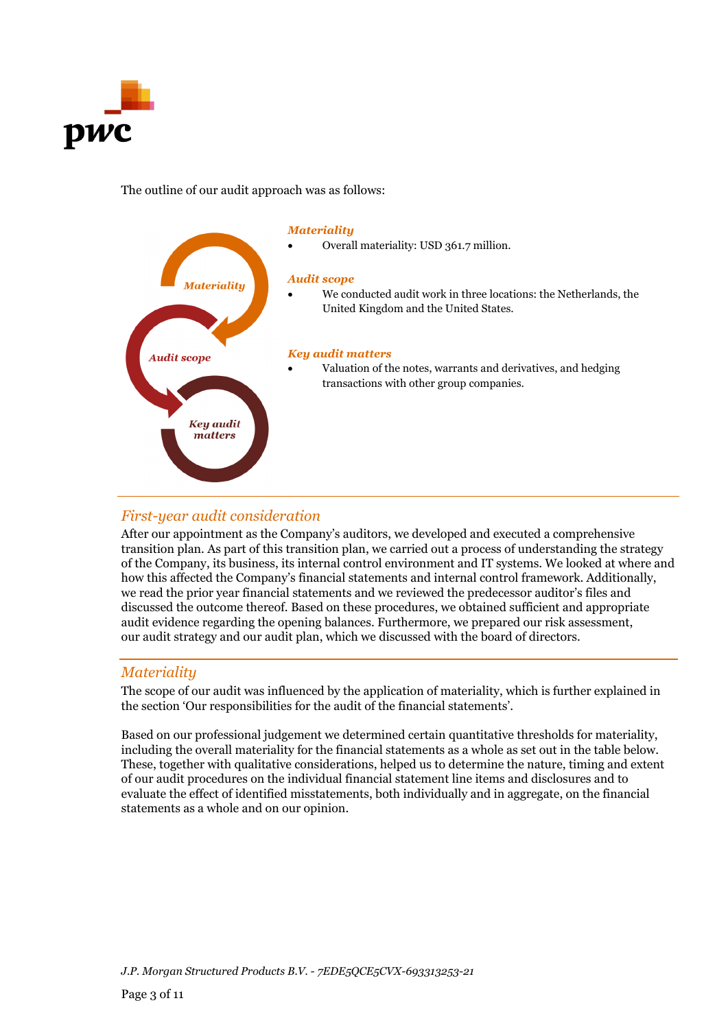

### The outline of our audit approach was as follows:



## *First-year audit consideration*

After our appointment as the Company's auditors, we developed and executed a comprehensive transition plan. As part of this transition plan, we carried out a process of understanding the strategy of the Company, its business, its internal control environment and IT systems. We looked at where and how this affected the Company's financial statements and internal control framework. Additionally, we read the prior year financial statements and we reviewed the predecessor auditor's files and discussed the outcome thereof. Based on these procedures, we obtained sufficient and appropriate audit evidence regarding the opening balances. Furthermore, we prepared our risk assessment, our audit strategy and our audit plan, which we discussed with the board of directors.

### *Materiality*

The scope of our audit was influenced by the application of materiality, which is further explained in the section 'Our responsibilities for the audit of the financial statements'.

Based on our professional judgement we determined certain quantitative thresholds for materiality, including the overall materiality for the financial statements as a whole as set out in the table below. These, together with qualitative considerations, helped us to determine the nature, timing and extent of our audit procedures on the individual financial statement line items and disclosures and to evaluate the effect of identified misstatements, both individually and in aggregate, on the financial statements as a whole and on our opinion.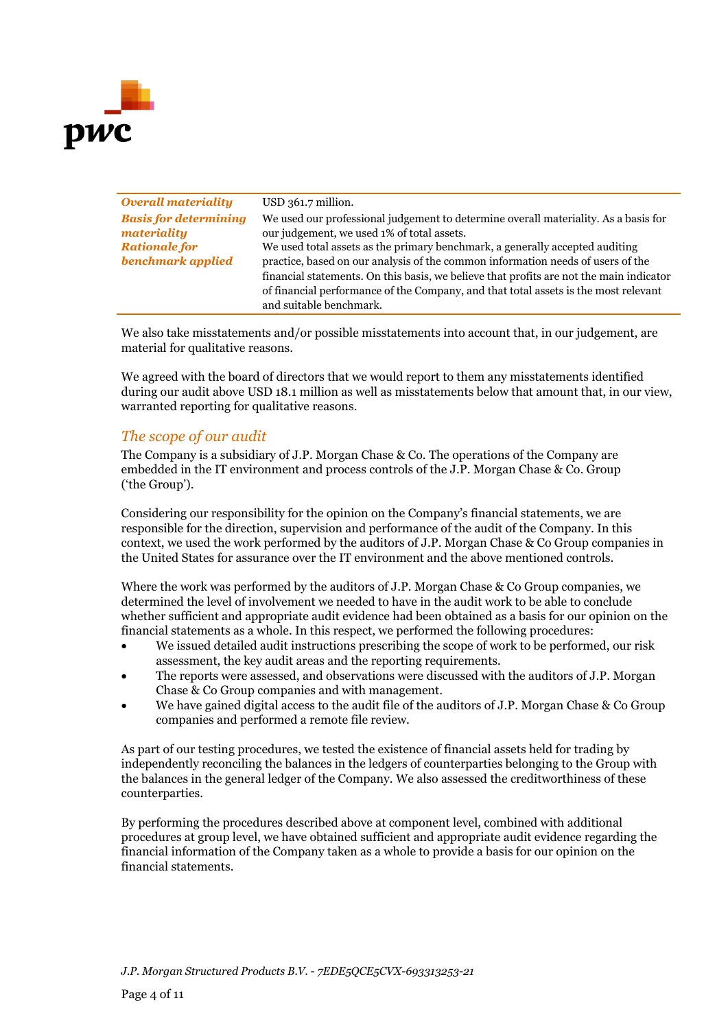

| <b>Overall materiality</b>   | USD 361.7 million.                                                                      |
|------------------------------|-----------------------------------------------------------------------------------------|
| <b>Basis for determining</b> | We used our professional judgement to determine overall materiality. As a basis for     |
| materiality                  | our judgement, we used 1% of total assets.                                              |
| <b>Rationale for</b>         | We used total assets as the primary benchmark, a generally accepted auditing            |
| benchmark applied            | practice, based on our analysis of the common information needs of users of the         |
|                              | financial statements. On this basis, we believe that profits are not the main indicator |
|                              | of financial performance of the Company, and that total assets is the most relevant     |
|                              | and suitable benchmark.                                                                 |

We also take misstatements and/or possible misstatements into account that, in our judgement, are material for qualitative reasons.

We agreed with the board of directors that we would report to them any misstatements identified during our audit above USD 18.1 million as well as misstatements below that amount that, in our view, warranted reporting for qualitative reasons.

### *The scope of our audit*

The Company is a subsidiary of J.P. Morgan Chase & Co. The operations of the Company are embedded in the IT environment and process controls of the J.P. Morgan Chase & Co. Group ('the Group').

Considering our responsibility for the opinion on the Company's financial statements, we are responsible for the direction, supervision and performance of the audit of the Company. In this context, we used the work performed by the auditors of J.P. Morgan Chase & Co Group companies in the United States for assurance over the IT environment and the above mentioned controls.

Where the work was performed by the auditors of J.P. Morgan Chase & Co Group companies, we determined the level of involvement we needed to have in the audit work to be able to conclude whether sufficient and appropriate audit evidence had been obtained as a basis for our opinion on the financial statements as a whole. In this respect, we performed the following procedures:

- We issued detailed audit instructions prescribing the scope of work to be performed, our risk assessment, the key audit areas and the reporting requirements.
- The reports were assessed, and observations were discussed with the auditors of J.P. Morgan Chase & Co Group companies and with management.
- We have gained digital access to the audit file of the auditors of J.P. Morgan Chase & Co Group companies and performed a remote file review.

As part of our testing procedures, we tested the existence of financial assets held for trading by independently reconciling the balances in the ledgers of counterparties belonging to the Group with the balances in the general ledger of the Company. We also assessed the creditworthiness of these counterparties.

By performing the procedures described above at component level, combined with additional procedures at group level, we have obtained sufficient and appropriate audit evidence regarding the financial information of the Company taken as a whole to provide a basis for our opinion on the financial statements.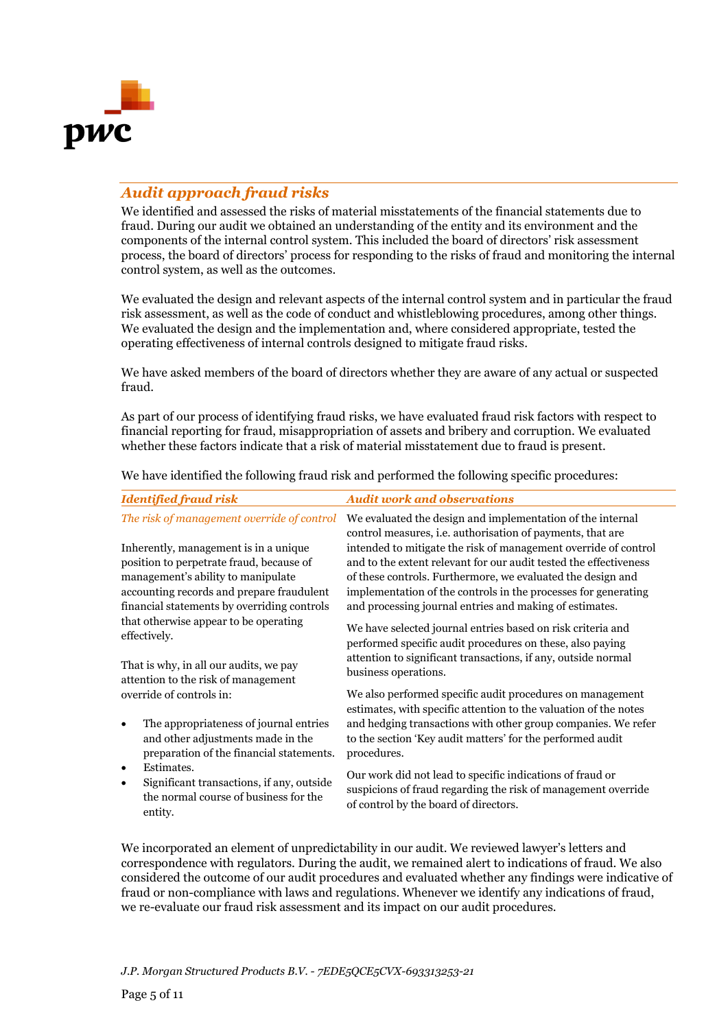

### *Audit approach fraud risks*

We identified and assessed the risks of material misstatements of the financial statements due to fraud. During our audit we obtained an understanding of the entity and its environment and the components of the internal control system. This included the board of directors' risk assessment process, the board of directors' process for responding to the risks of fraud and monitoring the internal control system, as well as the outcomes.

We evaluated the design and relevant aspects of the internal control system and in particular the fraud risk assessment, as well as the code of conduct and whistleblowing procedures, among other things. We evaluated the design and the implementation and, where considered appropriate, tested the operating effectiveness of internal controls designed to mitigate fraud risks.

We have asked members of the board of directors whether they are aware of any actual or suspected fraud.

As part of our process of identifying fraud risks, we have evaluated fraud risk factors with respect to financial reporting for fraud, misappropriation of assets and bribery and corruption. We evaluated whether these factors indicate that a risk of material misstatement due to fraud is present.

We have identified the following fraud risk and performed the following specific procedures:

| <b>Identified fraud risk</b>                                                                                                                                                                                        | <b>Audit work and observations</b>                                                                                                                                                                                                                                                                                               |
|---------------------------------------------------------------------------------------------------------------------------------------------------------------------------------------------------------------------|----------------------------------------------------------------------------------------------------------------------------------------------------------------------------------------------------------------------------------------------------------------------------------------------------------------------------------|
| The risk of management override of control                                                                                                                                                                          | We evaluated the design and implementation of the internal<br>control measures, <i>i.e.</i> authorisation of payments, that are                                                                                                                                                                                                  |
| Inherently, management is in a unique<br>position to perpetrate fraud, because of<br>management's ability to manipulate<br>accounting records and prepare fraudulent<br>financial statements by overriding controls | intended to mitigate the risk of management override of control<br>and to the extent relevant for our audit tested the effectiveness<br>of these controls. Furthermore, we evaluated the design and<br>implementation of the controls in the processes for generating<br>and processing journal entries and making of estimates. |
| that otherwise appear to be operating<br>effectively.                                                                                                                                                               | We have selected journal entries based on risk criteria and<br>performed specific audit procedures on these, also paying<br>attention to significant transactions, if any, outside normal                                                                                                                                        |
| That is why, in all our audits, we pay<br>attention to the risk of management                                                                                                                                       | business operations.                                                                                                                                                                                                                                                                                                             |
| override of controls in:<br>The appropriateness of journal entries<br>$\bullet$<br>and other adjustments made in the<br>preparation of the financial statements.                                                    | We also performed specific audit procedures on management<br>estimates, with specific attention to the valuation of the notes<br>and hedging transactions with other group companies. We refer<br>to the section 'Key audit matters' for the performed audit<br>procedures.                                                      |
| Estimates.<br>$\bullet$<br>Significant transactions, if any, outside<br>$\bullet$<br>the normal course of business for the<br>entity.                                                                               | Our work did not lead to specific indications of fraud or<br>suspicions of fraud regarding the risk of management override<br>of control by the board of directors.                                                                                                                                                              |

We incorporated an element of unpredictability in our audit. We reviewed lawyer's letters and correspondence with regulators. During the audit, we remained alert to indications of fraud. We also considered the outcome of our audit procedures and evaluated whether any findings were indicative of fraud or non-compliance with laws and regulations. Whenever we identify any indications of fraud, we re-evaluate our fraud risk assessment and its impact on our audit procedures.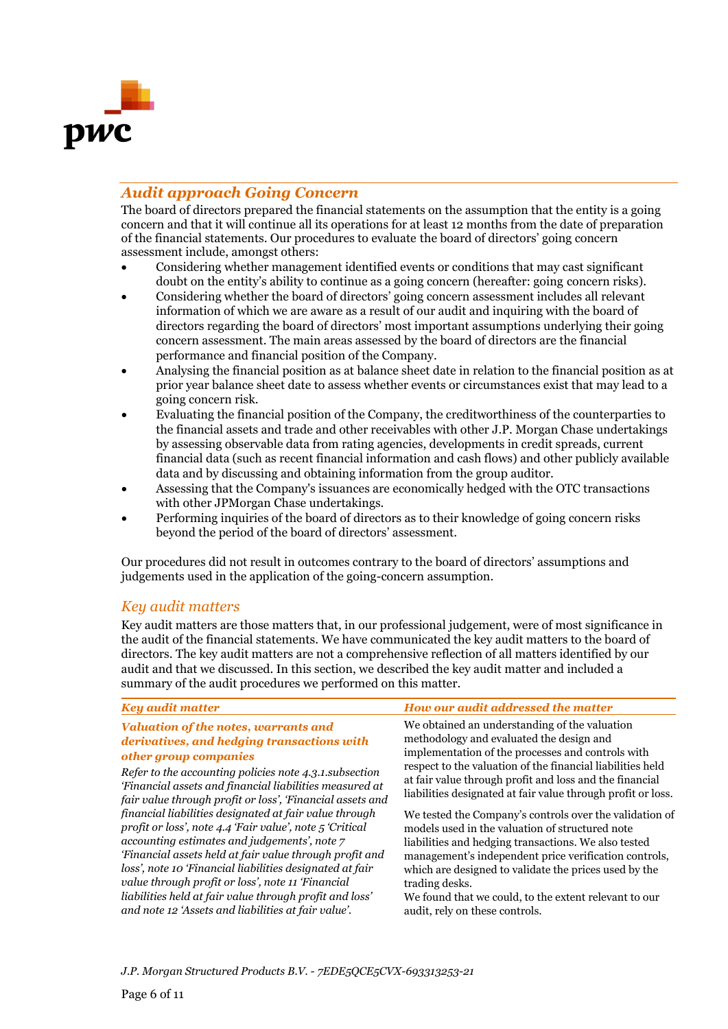

### *Audit approach Going Concern*

The board of directors prepared the financial statements on the assumption that the entity is a going concern and that it will continue all its operations for at least 12 months from the date of preparation of the financial statements. Our procedures to evaluate the board of directors' going concern assessment include, amongst others:

- Considering whether management identified events or conditions that may cast significant doubt on the entity's ability to continue as a going concern (hereafter: going concern risks).
- Considering whether the board of directors' going concern assessment includes all relevant information of which we are aware as a result of our audit and inquiring with the board of directors regarding the board of directors' most important assumptions underlying their going concern assessment. The main areas assessed by the board of directors are the financial performance and financial position of the Company.
- Analysing the financial position as at balance sheet date in relation to the financial position as at prior year balance sheet date to assess whether events or circumstances exist that may lead to a going concern risk.
- Evaluating the financial position of the Company, the creditworthiness of the counterparties to the financial assets and trade and other receivables with other J.P. Morgan Chase undertakings by assessing observable data from rating agencies, developments in credit spreads, current financial data (such as recent financial information and cash flows) and other publicly available data and by discussing and obtaining information from the group auditor.
- Assessing that the Company's issuances are economically hedged with the OTC transactions with other JPMorgan Chase undertakings.
- Performing inquiries of the board of directors as to their knowledge of going concern risks beyond the period of the board of directors' assessment.

Our procedures did not result in outcomes contrary to the board of directors' assumptions and judgements used in the application of the going-concern assumption.

### *Key audit matters*

Key audit matters are those matters that, in our professional judgement, were of most significance in the audit of the financial statements. We have communicated the key audit matters to the board of directors. The key audit matters are not a comprehensive reflection of all matters identified by our audit and that we discussed. In this section, we described the key audit matter and included a summary of the audit procedures we performed on this matter.

| We obtained an understanding of the valuation<br><b>Valuation of the notes, warrants and</b><br>methodology and evaluated the design and<br>derivatives, and hedging transactions with<br>implementation of the processes and controls with<br>other group companies<br>respect to the valuation of the financial liabilities held<br>Refer to the accounting policies note 4.3.1. subsection<br>at fair value through profit and loss and the financial<br>'Financial assets and financial liabilities measured at<br>fair value through profit or loss', 'Financial assets and<br>financial liabilities designated at fair value through<br>profit or loss', note 4.4 'Fair value', note 5 'Critical<br>models used in the valuation of structured note<br>accounting estimates and judgements', note 7<br>liabilities and hedging transactions. We also tested<br>'Financial assets held at fair value through profit and<br>management's independent price verification controls,<br>loss', note 10 'Financial liabilities designated at fair<br>which are designed to validate the prices used by the<br>value through profit or loss', note 11 'Financial<br>trading desks.<br>liabilities held at fair value through profit and loss'<br>We found that we could, to the extent relevant to our<br>and note 12 'Assets and liabilities at fair value'.<br>audit, rely on these controls. | <b>Key audit matter</b> | How our audit addressed the matter                                                                                      |
|------------------------------------------------------------------------------------------------------------------------------------------------------------------------------------------------------------------------------------------------------------------------------------------------------------------------------------------------------------------------------------------------------------------------------------------------------------------------------------------------------------------------------------------------------------------------------------------------------------------------------------------------------------------------------------------------------------------------------------------------------------------------------------------------------------------------------------------------------------------------------------------------------------------------------------------------------------------------------------------------------------------------------------------------------------------------------------------------------------------------------------------------------------------------------------------------------------------------------------------------------------------------------------------------------------------------------------------------------------------------------------------------|-------------------------|-------------------------------------------------------------------------------------------------------------------------|
|                                                                                                                                                                                                                                                                                                                                                                                                                                                                                                                                                                                                                                                                                                                                                                                                                                                                                                                                                                                                                                                                                                                                                                                                                                                                                                                                                                                                |                         | liabilities designated at fair value through profit or loss.<br>We tested the Company's controls over the validation of |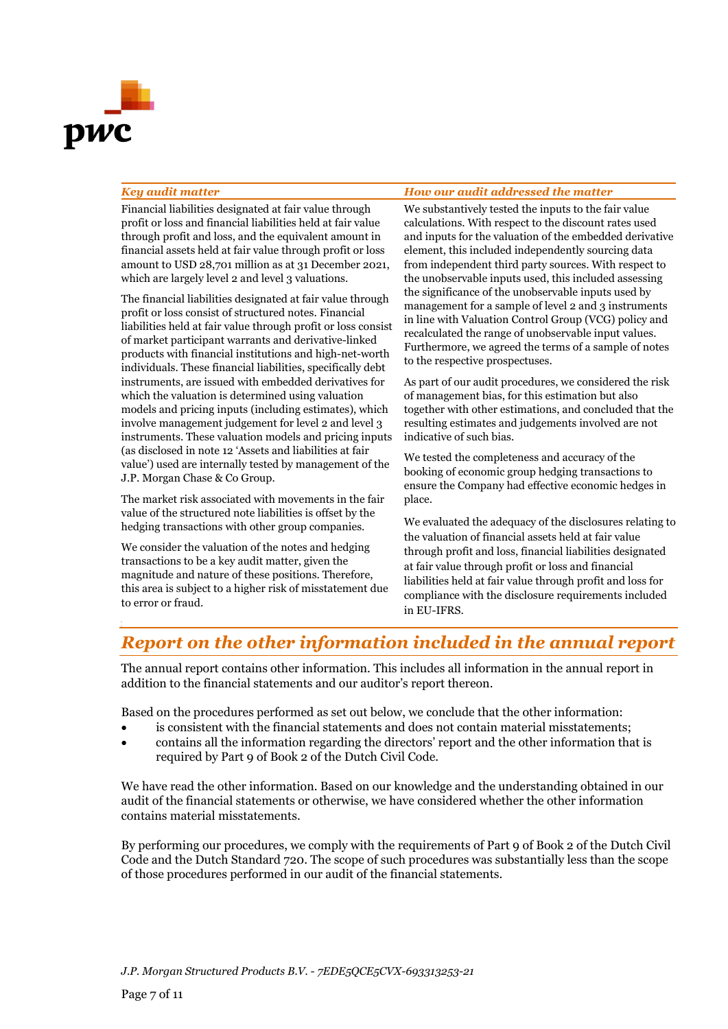

#### *Key audit matter How our audit addressed the matter*

Financial liabilities designated at fair value through profit or loss and financial liabilities held at fair value through profit and loss, and the equivalent amount in financial assets held at fair value through profit or loss amount to USD 28,701 million as at 31 December 2021, which are largely level 2 and level 3 valuations.

The financial liabilities designated at fair value through profit or loss consist of structured notes. Financial liabilities held at fair value through profit or loss consist of market participant warrants and derivative-linked products with financial institutions and high-net-worth individuals. These financial liabilities, specifically debt instruments, are issued with embedded derivatives for which the valuation is determined using valuation models and pricing inputs (including estimates), which involve management judgement for level 2 and level 3 instruments. These valuation models and pricing inputs (as disclosed in note 12 'Assets and liabilities at fair value') used are internally tested by management of the J.P. Morgan Chase & Co Group.

The market risk associated with movements in the fair value of the structured note liabilities is offset by the hedging transactions with other group companies.

We consider the valuation of the notes and hedging transactions to be a key audit matter, given the magnitude and nature of these positions. Therefore, this area is subject to a higher risk of misstatement due to error or fraud.

We substantively tested the inputs to the fair value calculations. With respect to the discount rates used and inputs for the valuation of the embedded derivative element, this included independently sourcing data from independent third party sources. With respect to the unobservable inputs used, this included assessing the significance of the unobservable inputs used by management for a sample of level 2 and 3 instruments in line with Valuation Control Group (VCG) policy and recalculated the range of unobservable input values. Furthermore, we agreed the terms of a sample of notes to the respective prospectuses.

As part of our audit procedures, we considered the risk of management bias, for this estimation but also together with other estimations, and concluded that the resulting estimates and judgements involved are not indicative of such bias.

We tested the completeness and accuracy of the booking of economic group hedging transactions to ensure the Company had effective economic hedges in place.

We evaluated the adequacy of the disclosures relating to the valuation of financial assets held at fair value through profit and loss, financial liabilities designated at fair value through profit or loss and financial liabilities held at fair value through profit and loss for compliance with the disclosure requirements included in EU-IFRS.

## *Report on the other information included in the annual report*

The annual report contains other information. This includes all information in the annual report in addition to the financial statements and our auditor's report thereon.

Based on the procedures performed as set out below, we conclude that the other information:

- is consistent with the financial statements and does not contain material misstatements;
- contains all the information regarding the directors' report and the other information that is required by Part 9 of Book 2 of the Dutch Civil Code.

We have read the other information. Based on our knowledge and the understanding obtained in our audit of the financial statements or otherwise, we have considered whether the other information contains material misstatements.

By performing our procedures, we comply with the requirements of Part 9 of Book 2 of the Dutch Civil Code and the Dutch Standard 720. The scope of such procedures was substantially less than the scope of those procedures performed in our audit of the financial statements.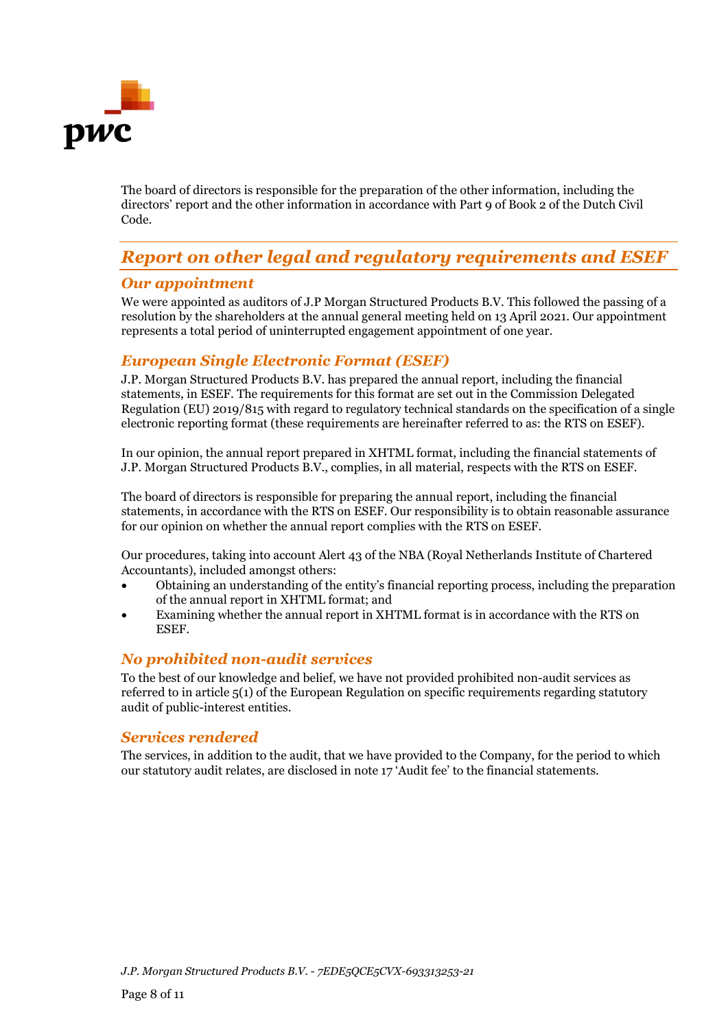

The board of directors is responsible for the preparation of the other information, including the directors' report and the other information in accordance with Part 9 of Book 2 of the Dutch Civil Code.

## *Report on other legal and regulatory requirements and ESEF*

### *Our appointment*

We were appointed as auditors of J.P Morgan Structured Products B.V. This followed the passing of a resolution by the shareholders at the annual general meeting held on 13 April 2021. Our appointment represents a total period of uninterrupted engagement appointment of one year.

## *European Single Electronic Format (ESEF)*

J.P. Morgan Structured Products B.V. has prepared the annual report, including the financial statements, in ESEF. The requirements for this format are set out in the Commission Delegated Regulation (EU) 2019/815 with regard to regulatory technical standards on the specification of a single electronic reporting format (these requirements are hereinafter referred to as: the RTS on ESEF).

In our opinion, the annual report prepared in XHTML format, including the financial statements of J.P. Morgan Structured Products B.V., complies, in all material, respects with the RTS on ESEF.

The board of directors is responsible for preparing the annual report, including the financial statements, in accordance with the RTS on ESEF. Our responsibility is to obtain reasonable assurance for our opinion on whether the annual report complies with the RTS on ESEF.

Our procedures, taking into account Alert 43 of the NBA (Royal Netherlands Institute of Chartered Accountants), included amongst others:

- Obtaining an understanding of the entity's financial reporting process, including the preparation of the annual report in XHTML format; and
- Examining whether the annual report in XHTML format is in accordance with the RTS on ESEF.

### *No prohibited non-audit services*

To the best of our knowledge and belief, we have not provided prohibited non-audit services as referred to in article 5(1) of the European Regulation on specific requirements regarding statutory audit of public-interest entities.

### *Services rendered*

The services, in addition to the audit, that we have provided to the Company, for the period to which our statutory audit relates, are disclosed in note 17 'Audit fee' to the financial statements.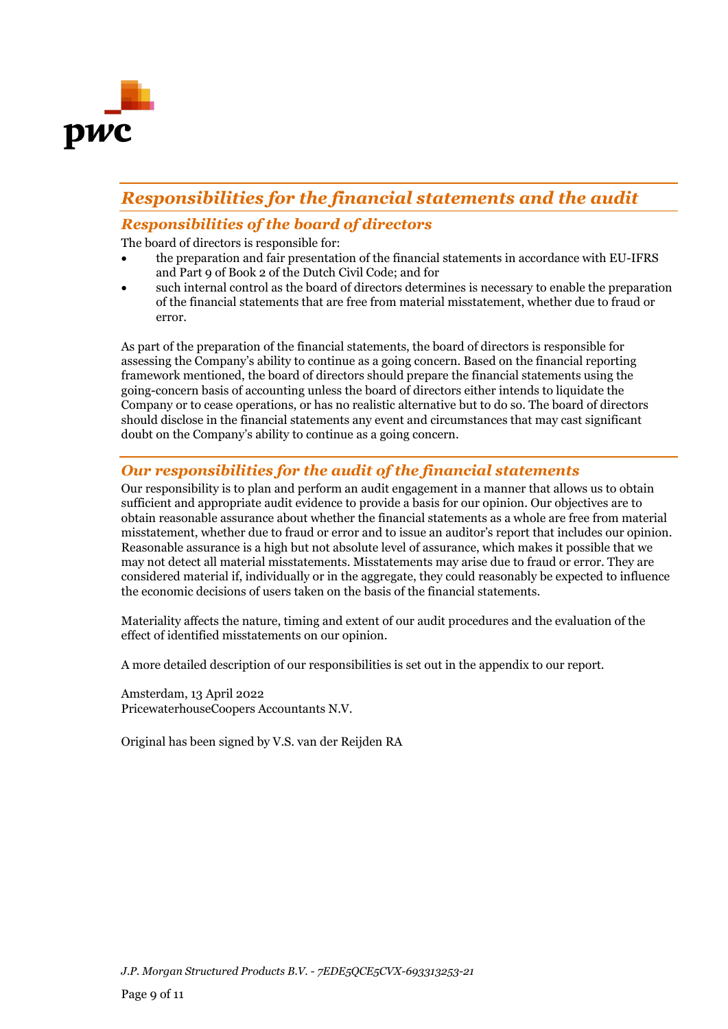

## *Responsibilities for the financial statements and the audit*

## *Responsibilities of the board of directors*

The board of directors is responsible for:

- the preparation and fair presentation of the financial statements in accordance with EU-IFRS and Part 9 of Book 2 of the Dutch Civil Code; and for
- such internal control as the board of directors determines is necessary to enable the preparation of the financial statements that are free from material misstatement, whether due to fraud or error.

As part of the preparation of the financial statements, the board of directors is responsible for assessing the Company's ability to continue as a going concern. Based on the financial reporting framework mentioned, the board of directors should prepare the financial statements using the going-concern basis of accounting unless the board of directors either intends to liquidate the Company or to cease operations, or has no realistic alternative but to do so. The board of directors should disclose in the financial statements any event and circumstances that may cast significant doubt on the Company's ability to continue as a going concern.

## *Our responsibilities for the audit of the financial statements*

Our responsibility is to plan and perform an audit engagement in a manner that allows us to obtain sufficient and appropriate audit evidence to provide a basis for our opinion. Our objectives are to obtain reasonable assurance about whether the financial statements as a whole are free from material misstatement, whether due to fraud or error and to issue an auditor's report that includes our opinion. Reasonable assurance is a high but not absolute level of assurance, which makes it possible that we may not detect all material misstatements. Misstatements may arise due to fraud or error. They are considered material if, individually or in the aggregate, they could reasonably be expected to influence the economic decisions of users taken on the basis of the financial statements.

Materiality affects the nature, timing and extent of our audit procedures and the evaluation of the effect of identified misstatements on our opinion.

A more detailed description of our responsibilities is set out in the appendix to our report.

Amsterdam, 13 April 2022 PricewaterhouseCoopers Accountants N.V.

Original has been signed by V.S. van der Reijden RA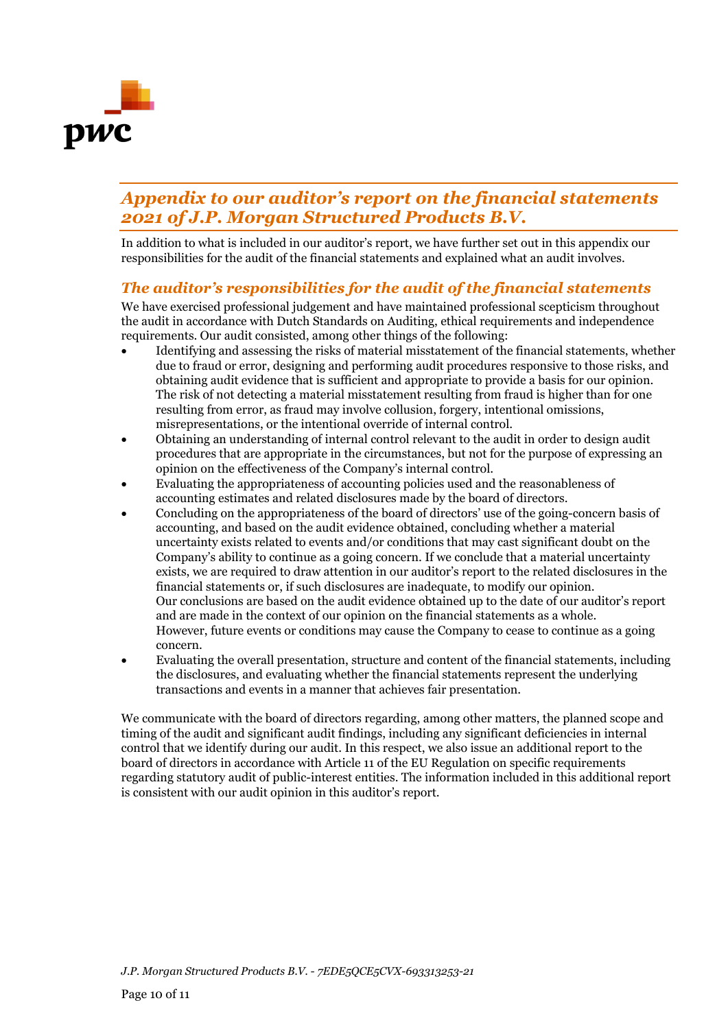

## *Appendix to our auditor's report on the financial statements 2021 of J.P. Morgan Structured Products B.V.*

In addition to what is included in our auditor's report, we have further set out in this appendix our responsibilities for the audit of the financial statements and explained what an audit involves.

## *The auditor's responsibilities for the audit of the financial statements*

We have exercised professional judgement and have maintained professional scepticism throughout the audit in accordance with Dutch Standards on Auditing, ethical requirements and independence requirements. Our audit consisted, among other things of the following:

- Identifying and assessing the risks of material misstatement of the financial statements, whether due to fraud or error, designing and performing audit procedures responsive to those risks, and obtaining audit evidence that is sufficient and appropriate to provide a basis for our opinion. The risk of not detecting a material misstatement resulting from fraud is higher than for one resulting from error, as fraud may involve collusion, forgery, intentional omissions, misrepresentations, or the intentional override of internal control.
- Obtaining an understanding of internal control relevant to the audit in order to design audit procedures that are appropriate in the circumstances, but not for the purpose of expressing an opinion on the effectiveness of the Company's internal control.
- Evaluating the appropriateness of accounting policies used and the reasonableness of accounting estimates and related disclosures made by the board of directors.
- Concluding on the appropriateness of the board of directors' use of the going-concern basis of accounting, and based on the audit evidence obtained, concluding whether a material uncertainty exists related to events and/or conditions that may cast significant doubt on the Company's ability to continue as a going concern. If we conclude that a material uncertainty exists, we are required to draw attention in our auditor's report to the related disclosures in the financial statements or, if such disclosures are inadequate, to modify our opinion. Our conclusions are based on the audit evidence obtained up to the date of our auditor's report and are made in the context of our opinion on the financial statements as a whole. However, future events or conditions may cause the Company to cease to continue as a going concern.
- Evaluating the overall presentation, structure and content of the financial statements, including the disclosures, and evaluating whether the financial statements represent the underlying transactions and events in a manner that achieves fair presentation.

We communicate with the board of directors regarding, among other matters, the planned scope and timing of the audit and significant audit findings, including any significant deficiencies in internal control that we identify during our audit. In this respect, we also issue an additional report to the board of directors in accordance with Article 11 of the EU Regulation on specific requirements regarding statutory audit of public-interest entities. The information included in this additional report is consistent with our audit opinion in this auditor's report.